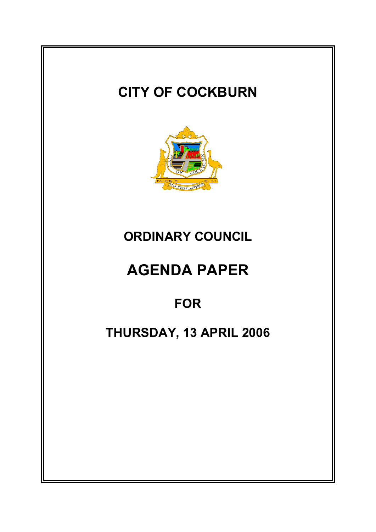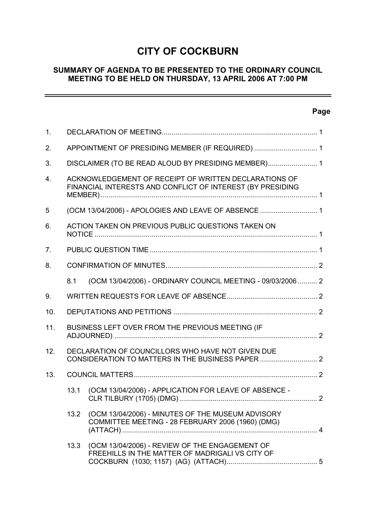# **CITY OF COCKBURN**

# **SUMMARY OF AGENDA TO BE PRESENTED TO THE ORDINARY COUNCIL MEETING TO BE HELD ON THURSDAY, 13 APRIL 2006 AT 7:00 PM**

# **Page**

 $\overline{\phantom{0}}$ 

| $\mathbf{1}$ . |                                                                                                                     |                                                                                                        |  |
|----------------|---------------------------------------------------------------------------------------------------------------------|--------------------------------------------------------------------------------------------------------|--|
| 2 <sub>1</sub> | APPOINTMENT OF PRESIDING MEMBER (IF REQUIRED)  1                                                                    |                                                                                                        |  |
| 3.             | DISCLAIMER (TO BE READ ALOUD BY PRESIDING MEMBER) 1                                                                 |                                                                                                        |  |
| 4.             | ACKNOWLEDGEMENT OF RECEIPT OF WRITTEN DECLARATIONS OF<br>FINANCIAL INTERESTS AND CONFLICT OF INTEREST (BY PRESIDING |                                                                                                        |  |
| 5              | (OCM 13/04/2006) - APOLOGIES AND LEAVE OF ABSENCE  1                                                                |                                                                                                        |  |
| 6.             | ACTION TAKEN ON PREVIOUS PUBLIC QUESTIONS TAKEN ON                                                                  |                                                                                                        |  |
| 7.             |                                                                                                                     |                                                                                                        |  |
| 8.             |                                                                                                                     |                                                                                                        |  |
|                | 8.1                                                                                                                 | (OCM 13/04/2006) - ORDINARY COUNCIL MEETING - 09/03/2006  2                                            |  |
| 9.             |                                                                                                                     |                                                                                                        |  |
| 10.            |                                                                                                                     |                                                                                                        |  |
| 11.            | BUSINESS LEFT OVER FROM THE PREVIOUS MEETING (IF                                                                    |                                                                                                        |  |
| 12.            |                                                                                                                     | DECLARATION OF COUNCILLORS WHO HAVE NOT GIVEN DUE<br>CONSIDERATION TO MATTERS IN THE BUSINESS PAPER  2 |  |
| 13.            |                                                                                                                     |                                                                                                        |  |
|                | 13.1                                                                                                                | (OCM 13/04/2006) - APPLICATION FOR LEAVE OF ABSENCE -                                                  |  |
|                | 13.2                                                                                                                | (OCM 13/04/2006) - MINUTES OF THE MUSEUM ADVISORY<br>COMMITTEE MEETING - 28 FEBRUARY 2006 (1960) (DMG) |  |
|                | 13.3                                                                                                                | (OCM 13/04/2006) - REVIEW OF THE ENGAGEMENT OF<br>FREEHILLS IN THE MATTER OF MADRIGALI VS CITY OF      |  |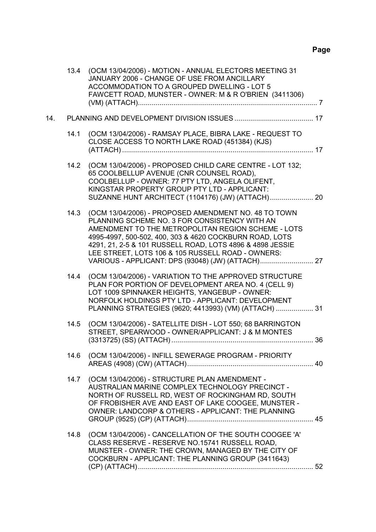|     | 13.4 | (OCM 13/04/2006) - MOTION - ANNUAL ELECTORS MEETING 31<br>JANUARY 2006 - CHANGE OF USE FROM ANCILLARY<br>ACCOMMODATION TO A GROUPED DWELLING - LOT 5<br>FAWCETT ROAD, MUNSTER - OWNER: M & R O'BRIEN (3411306)                                                                                                                           |  |
|-----|------|------------------------------------------------------------------------------------------------------------------------------------------------------------------------------------------------------------------------------------------------------------------------------------------------------------------------------------------|--|
| 14. |      |                                                                                                                                                                                                                                                                                                                                          |  |
|     | 14.1 | (OCM 13/04/2006) - RAMSAY PLACE, BIBRA LAKE - REQUEST TO<br>CLOSE ACCESS TO NORTH LAKE ROAD (451384) (KJS)                                                                                                                                                                                                                               |  |
|     | 14.2 | (OCM 13/04/2006) - PROPOSED CHILD CARE CENTRE - LOT 132;<br>65 COOLBELLUP AVENUE (CNR COUNSEL ROAD),<br>COOLBELLUP - OWNER: 77 PTY LTD, ANGELA OLIFENT,<br>KINGSTAR PROPERTY GROUP PTY LTD - APPLICANT:<br>SUZANNE HUNT ARCHITECT (1104176) (JW) (ATTACH) 20                                                                             |  |
|     | 14.3 | (OCM 13/04/2006) - PROPOSED AMENDMENT NO. 48 TO TOWN<br>PLANNING SCHEME NO. 3 FOR CONSISTENCY WITH AN<br>AMENDMENT TO THE METROPOLITAN REGION SCHEME - LOTS<br>4995-4997, 500-502, 400, 303 & 4620 COCKBURN ROAD, LOTS<br>4291, 21, 2-5 & 101 RUSSELL ROAD, LOTS 4896 & 4898 JESSIE<br>LEE STREET, LOTS 106 & 105 RUSSELL ROAD - OWNERS: |  |
|     | 14.4 | (OCM 13/04/2006) - VARIATION TO THE APPROVED STRUCTURE<br>PLAN FOR PORTION OF DEVELOPMENT AREA NO. 4 (CELL 9)<br>LOT 1009 SPINNAKER HEIGHTS, YANGEBUP - OWNER:<br>NORFOLK HOLDINGS PTY LTD - APPLICANT: DEVELOPMENT<br>PLANNING STRATEGIES (9620; 4413993) (VM) (ATTACH)  31                                                             |  |
|     | 14.5 | (OCM 13/04/2006) - SATELLITE DISH - LOT 550; 68 BARRINGTON<br>STREET, SPEARWOOD - OWNER/APPLICANT: J & M MONTES                                                                                                                                                                                                                          |  |
|     | 14.6 | (OCM 13/04/2006) - INFILL SEWERAGE PROGRAM - PRIORITY                                                                                                                                                                                                                                                                                    |  |
|     |      | 14.7 (OCM 13/04/2006) - STRUCTURE PLAN AMENDMENT -<br>AUSTRALIAN MARINE COMPLEX TECHNOLOGY PRECINCT -<br>NORTH OF RUSSELL RD, WEST OF ROCKINGHAM RD, SOUTH<br>OF FROBISHER AVE AND EAST OF LAKE COOGEE, MUNSTER -<br>OWNER: LANDCORP & OTHERS - APPLICANT: THE PLANNING                                                                  |  |
|     | 14.8 | (OCM 13/04/2006) - CANCELLATION OF THE SOUTH COOGEE 'A'<br>CLASS RESERVE - RESERVE NO.15741 RUSSELL ROAD,<br>MUNSTER - OWNER: THE CROWN, MANAGED BY THE CITY OF<br>COCKBURN - APPLICANT: THE PLANNING GROUP (3411643)                                                                                                                    |  |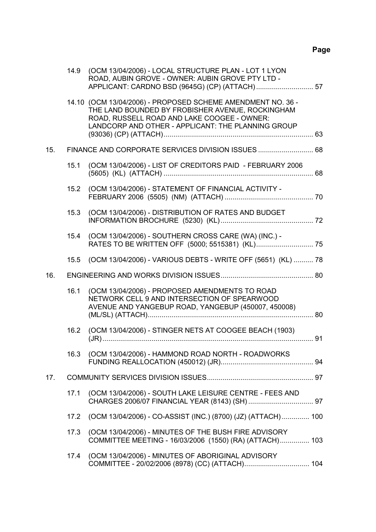|     | 14.9 | (OCM 13/04/2006) - LOCAL STRUCTURE PLAN - LOT 1 LYON<br>ROAD, AUBIN GROVE - OWNER: AUBIN GROVE PTY LTD -                                                                                                             |  |  |
|-----|------|----------------------------------------------------------------------------------------------------------------------------------------------------------------------------------------------------------------------|--|--|
|     |      | 14.10 (OCM 13/04/2006) - PROPOSED SCHEME AMENDMENT NO. 36 -<br>THE LAND BOUNDED BY FROBISHER AVENUE, ROCKINGHAM<br>ROAD, RUSSELL ROAD AND LAKE COOGEE - OWNER:<br>LANDCORP AND OTHER - APPLICANT: THE PLANNING GROUP |  |  |
| 15. |      |                                                                                                                                                                                                                      |  |  |
|     | 15.1 | (OCM 13/04/2006) - LIST OF CREDITORS PAID - FEBRUARY 2006                                                                                                                                                            |  |  |
|     | 15.2 | (OCM 13/04/2006) - STATEMENT OF FINANCIAL ACTIVITY -                                                                                                                                                                 |  |  |
|     | 15.3 | (OCM 13/04/2006) - DISTRIBUTION OF RATES AND BUDGET                                                                                                                                                                  |  |  |
|     | 15.4 | (OCM 13/04/2006) - SOUTHERN CROSS CARE (WA) (INC.) -                                                                                                                                                                 |  |  |
|     | 15.5 | (OCM 13/04/2006) - VARIOUS DEBTS - WRITE OFF (5651) (KL)  78                                                                                                                                                         |  |  |
| 16. |      |                                                                                                                                                                                                                      |  |  |
|     | 16.1 | (OCM 13/04/2006) - PROPOSED AMENDMENTS TO ROAD<br>NETWORK CELL 9 AND INTERSECTION OF SPEARWOOD<br>AVENUE AND YANGEBUP ROAD, YANGEBUP (450007, 450008)                                                                |  |  |
|     | 16.2 | (OCM 13/04/2006) - STINGER NETS AT COOGEE BEACH (1903)                                                                                                                                                               |  |  |
|     |      | 16.3 (OCM 13/04/2006) - HAMMOND ROAD NORTH - ROADWORKS                                                                                                                                                               |  |  |
| 17. |      |                                                                                                                                                                                                                      |  |  |
|     |      |                                                                                                                                                                                                                      |  |  |
|     | 17.1 | (OCM 13/04/2006) - SOUTH LAKE LEISURE CENTRE - FEES AND                                                                                                                                                              |  |  |
|     | 17.2 | (OCM 13/04/2006) - CO-ASSIST (INC.) (8700) (JZ) (ATTACH) 100                                                                                                                                                         |  |  |
|     | 17.3 | (OCM 13/04/2006) - MINUTES OF THE BUSH FIRE ADVISORY<br>COMMITTEE MEETING - 16/03/2006 (1550) (RA) (ATTACH) 103                                                                                                      |  |  |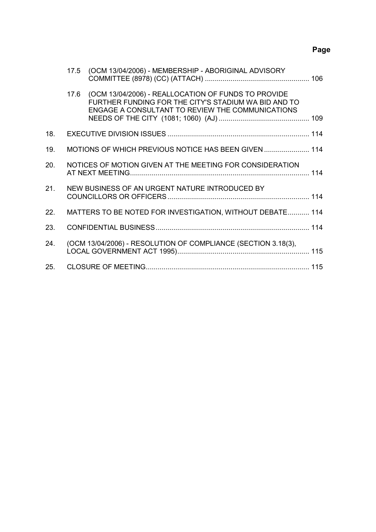# **Page**

|     | 17.5 | (OCM 13/04/2006) - MEMBERSHIP - ABORIGINAL ADVISORY                                                                                                             |  |
|-----|------|-----------------------------------------------------------------------------------------------------------------------------------------------------------------|--|
|     | 17.6 | (OCM 13/04/2006) - REALLOCATION OF FUNDS TO PROVIDE<br>FURTHER FUNDING FOR THE CITY'S STADIUM WA BID AND TO<br>ENGAGE A CONSULTANT TO REVIEW THE COMMUNICATIONS |  |
| 18. |      |                                                                                                                                                                 |  |
| 19. |      | MOTIONS OF WHICH PREVIOUS NOTICE HAS BEEN GIVEN  114                                                                                                            |  |
| 20. |      | NOTICES OF MOTION GIVEN AT THE MEETING FOR CONSIDERATION                                                                                                        |  |
| 21. |      | NEW BUSINESS OF AN URGENT NATURE INTRODUCED BY                                                                                                                  |  |
| 22. |      | MATTERS TO BE NOTED FOR INVESTIGATION, WITHOUT DEBATE 114                                                                                                       |  |
| 23. |      |                                                                                                                                                                 |  |
| 24. |      | (OCM 13/04/2006) - RESOLUTION OF COMPLIANCE (SECTION 3.18(3),                                                                                                   |  |
| 25. |      |                                                                                                                                                                 |  |
|     |      |                                                                                                                                                                 |  |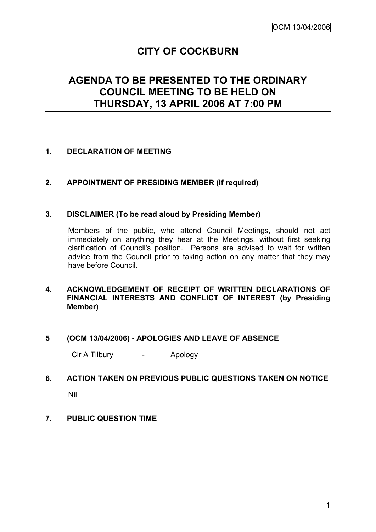# **CITY OF COCKBURN**

# **AGENDA TO BE PRESENTED TO THE ORDINARY COUNCIL MEETING TO BE HELD ON THURSDAY, 13 APRIL 2006 AT 7:00 PM**

# **1. DECLARATION OF MEETING**

# **2. APPOINTMENT OF PRESIDING MEMBER (If required)**

## **3. DISCLAIMER (To be read aloud by Presiding Member)**

Members of the public, who attend Council Meetings, should not act immediately on anything they hear at the Meetings, without first seeking clarification of Council's position. Persons are advised to wait for written advice from the Council prior to taking action on any matter that they may have before Council.

# **4. ACKNOWLEDGEMENT OF RECEIPT OF WRITTEN DECLARATIONS OF FINANCIAL INTERESTS AND CONFLICT OF INTEREST (by Presiding Member)**

## **5 (OCM 13/04/2006) - APOLOGIES AND LEAVE OF ABSENCE**

Clr A Tilbury - Apology

# **6. ACTION TAKEN ON PREVIOUS PUBLIC QUESTIONS TAKEN ON NOTICE**

Nil

## **7. PUBLIC QUESTION TIME**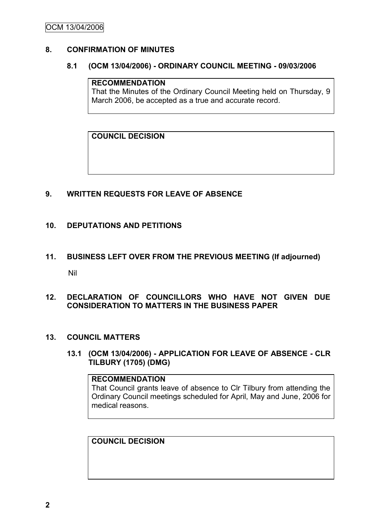# **8. CONFIRMATION OF MINUTES**

### **8.1 (OCM 13/04/2006) - ORDINARY COUNCIL MEETING - 09/03/2006**

# **RECOMMENDATION**

That the Minutes of the Ordinary Council Meeting held on Thursday, 9 March 2006, be accepted as a true and accurate record.

**COUNCIL DECISION**

# **9. WRITTEN REQUESTS FOR LEAVE OF ABSENCE**

## **10. DEPUTATIONS AND PETITIONS**

**11. BUSINESS LEFT OVER FROM THE PREVIOUS MEETING (If adjourned)** Nil

## **12. DECLARATION OF COUNCILLORS WHO HAVE NOT GIVEN DUE CONSIDERATION TO MATTERS IN THE BUSINESS PAPER**

## **13. COUNCIL MATTERS**

**13.1 (OCM 13/04/2006) - APPLICATION FOR LEAVE OF ABSENCE - CLR TILBURY (1705) (DMG)**

#### **RECOMMENDATION**

That Council grants leave of absence to Clr Tilbury from attending the Ordinary Council meetings scheduled for April, May and June, 2006 for medical reasons.

# **COUNCIL DECISION**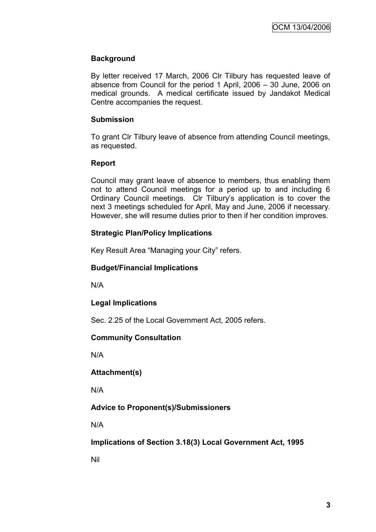# **Background**

By letter received 17 March, 2006 Clr Tilbury has requested leave of absence from Council for the period 1 April, 2006 – 30 June, 2006 on medical grounds. A medical certificate issued by Jandakot Medical Centre accompanies the request.

# **Submission**

To grant Clr Tilbury leave of absence from attending Council meetings, as requested.

## **Report**

Council may grant leave of absence to members, thus enabling them not to attend Council meetings for a period up to and including 6 Ordinary Council meetings. Clr Tilbury"s application is to cover the next 3 meetings scheduled for April, May and June, 2006 if necessary. However, she will resume duties prior to then if her condition improves.

# **Strategic Plan/Policy Implications**

Key Result Area "Managing your City" refers.

# **Budget/Financial Implications**

N/A

# **Legal Implications**

Sec. 2.25 of the Local Government Act, 2005 refers.

# **Community Consultation**

N/A

**Attachment(s)**

N/A

# **Advice to Proponent(s)/Submissioners**

N/A

**Implications of Section 3.18(3) Local Government Act, 1995**

Nil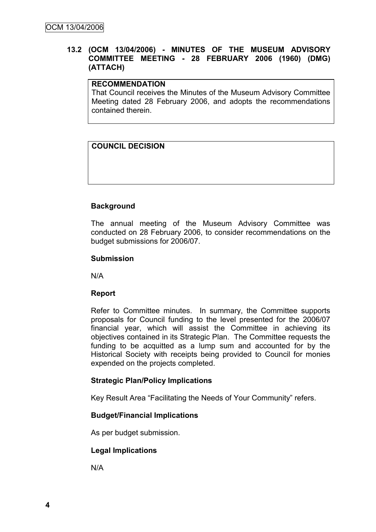# **13.2 (OCM 13/04/2006) - MINUTES OF THE MUSEUM ADVISORY COMMITTEE MEETING - 28 FEBRUARY 2006 (1960) (DMG) (ATTACH)**

## **RECOMMENDATION**

That Council receives the Minutes of the Museum Advisory Committee Meeting dated 28 February 2006, and adopts the recommendations contained therein.

# **COUNCIL DECISION**

# **Background**

The annual meeting of the Museum Advisory Committee was conducted on 28 February 2006, to consider recommendations on the budget submissions for 2006/07.

#### **Submission**

N/A

## **Report**

Refer to Committee minutes. In summary, the Committee supports proposals for Council funding to the level presented for the 2006/07 financial year, which will assist the Committee in achieving its objectives contained in its Strategic Plan. The Committee requests the funding to be acquitted as a lump sum and accounted for by the Historical Society with receipts being provided to Council for monies expended on the projects completed.

## **Strategic Plan/Policy Implications**

Key Result Area "Facilitating the Needs of Your Community" refers.

## **Budget/Financial Implications**

As per budget submission.

## **Legal Implications**

N/A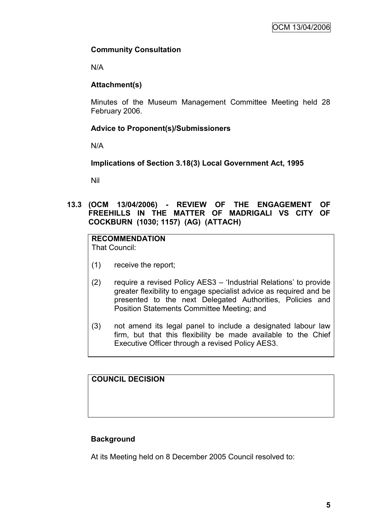# **Community Consultation**

N/A

# **Attachment(s)**

Minutes of the Museum Management Committee Meeting held 28 February 2006.

# **Advice to Proponent(s)/Submissioners**

N/A

**Implications of Section 3.18(3) Local Government Act, 1995**

Nil

**13.3 (OCM 13/04/2006) - REVIEW OF THE ENGAGEMENT OF FREEHILLS IN THE MATTER OF MADRIGALI VS CITY OF COCKBURN (1030; 1157) (AG) (ATTACH)**

# **RECOMMENDATION**

That Council:

- (1) receive the report;
- (2) require a revised Policy AES3 "Industrial Relations" to provide greater flexibility to engage specialist advice as required and be presented to the next Delegated Authorities, Policies and Position Statements Committee Meeting; and
- (3) not amend its legal panel to include a designated labour law firm, but that this flexibility be made available to the Chief Executive Officer through a revised Policy AES3.

# **COUNCIL DECISION**

# **Background**

At its Meeting held on 8 December 2005 Council resolved to: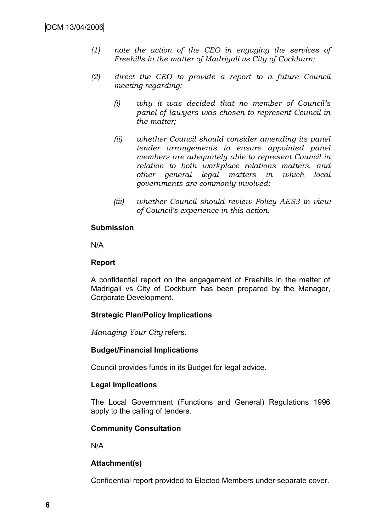- *(1) note the action of the CEO in engaging the services of Freehills in the matter of Madrigali vs City of Cockburn;*
- *(2) direct the CEO to provide a report to a future Council meeting regarding:*
	- *(i) why it was decided that no member of Council's panel of lawyers was chosen to represent Council in the matter;*
	- *(ii) whether Council should consider amending its panel tender arrangements to ensure appointed panel members are adequately able to represent Council in relation to both workplace relations matters, and other general legal matters in which local governments are commonly involved;*
	- *(iii) whether Council should review Policy AES3 in view of Council's experience in this action.*

#### **Submission**

N/A

### **Report**

A confidential report on the engagement of Freehills in the matter of Madrigali vs City of Cockburn has been prepared by the Manager, Corporate Development.

## **Strategic Plan/Policy Implications**

*Managing Your City* refers.

## **Budget/Financial Implications**

Council provides funds in its Budget for legal advice.

## **Legal Implications**

The Local Government (Functions and General) Regulations 1996 apply to the calling of tenders.

## **Community Consultation**

N/A

## **Attachment(s)**

Confidential report provided to Elected Members under separate cover.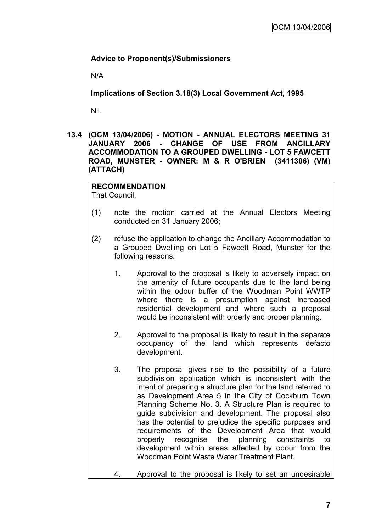# **Advice to Proponent(s)/Submissioners**

N/A

**Implications of Section 3.18(3) Local Government Act, 1995**

Nil.

**13.4 (OCM 13/04/2006) - MOTION - ANNUAL ELECTORS MEETING 31 JANUARY 2006 - CHANGE OF USE FROM ANCILLARY ACCOMMODATION TO A GROUPED DWELLING - LOT 5 FAWCETT ROAD, MUNSTER - OWNER: M & R O'BRIEN (3411306) (VM) (ATTACH)**

# **RECOMMENDATION**

That Council:

- (1) note the motion carried at the Annual Electors Meeting conducted on 31 January 2006;
- (2) refuse the application to change the Ancillary Accommodation to a Grouped Dwelling on Lot 5 Fawcett Road, Munster for the following reasons:
	- 1. Approval to the proposal is likely to adversely impact on the amenity of future occupants due to the land being within the odour buffer of the Woodman Point WWTP where there is a presumption against increased residential development and where such a proposal would be inconsistent with orderly and proper planning.
	- 2. Approval to the proposal is likely to result in the separate occupancy of the land which represents defacto development.
	- 3. The proposal gives rise to the possibility of a future subdivision application which is inconsistent with the intent of preparing a structure plan for the land referred to as Development Area 5 in the City of Cockburn Town Planning Scheme No. 3. A Structure Plan is required to guide subdivision and development. The proposal also has the potential to prejudice the specific purposes and requirements of the Development Area that would properly recognise the planning constraints to development within areas affected by odour from the Woodman Point Waste Water Treatment Plant.
	- 4. Approval to the proposal is likely to set an undesirable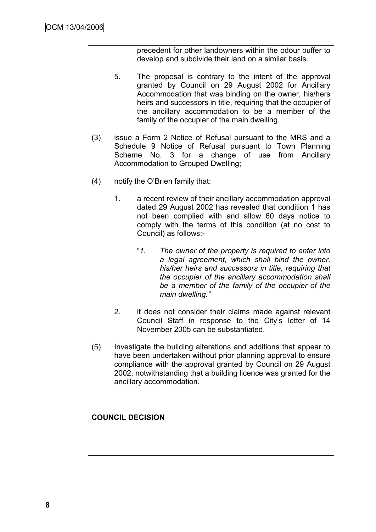precedent for other landowners within the odour buffer to develop and subdivide their land on a similar basis.

- 5. The proposal is contrary to the intent of the approval granted by Council on 29 August 2002 for Ancillary Accommodation that was binding on the owner, his/hers heirs and successors in title, requiring that the occupier of the ancillary accommodation to be a member of the family of the occupier of the main dwelling.
- (3) issue a Form 2 Notice of Refusal pursuant to the MRS and a Schedule 9 Notice of Refusal pursuant to Town Planning Scheme No. 3 for a change of use from Ancillary Accommodation to Grouped Dwelling;
- (4) notify the O"Brien family that:
	- 1. a recent review of their ancillary accommodation approval dated 29 August 2002 has revealed that condition 1 has not been complied with and allow 60 days notice to comply with the terms of this condition (at no cost to Council) as follows:-
		- "*1. The owner of the property is required to enter into a legal agreement, which shall bind the owner, his/her heirs and successors in title, requiring that the occupier of the ancillary accommodation shall be a member of the family of the occupier of the main dwelling."*
	- 2. it does not consider their claims made against relevant Council Staff in response to the City"s letter of 14 November 2005 can be substantiated.
- (5) Investigate the building alterations and additions that appear to have been undertaken without prior planning approval to ensure compliance with the approval granted by Council on 29 August 2002, notwithstanding that a building licence was granted for the ancillary accommodation.

# **COUNCIL DECISION**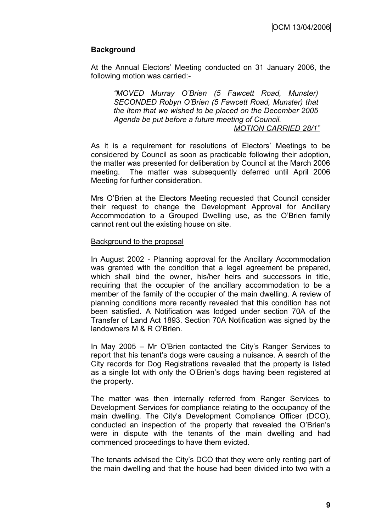# **Background**

At the Annual Electors" Meeting conducted on 31 January 2006, the following motion was carried:-

*"MOVED Murray O'Brien (5 Fawcett Road, Munster) SECONDED Robyn O'Brien (5 Fawcett Road, Munster) that the item that we wished to be placed on the December 2005 Agenda be put before a future meeting of Council. MOTION CARRIED 28/1"*

As it is a requirement for resolutions of Electors' Meetings to be considered by Council as soon as practicable following their adoption, the matter was presented for deliberation by Council at the March 2006 meeting. The matter was subsequently deferred until April 2006 Meeting for further consideration.

Mrs O"Brien at the Electors Meeting requested that Council consider their request to change the Development Approval for Ancillary Accommodation to a Grouped Dwelling use, as the O"Brien family cannot rent out the existing house on site.

#### Background to the proposal

In August 2002 - Planning approval for the Ancillary Accommodation was granted with the condition that a legal agreement be prepared, which shall bind the owner, his/her heirs and successors in title, requiring that the occupier of the ancillary accommodation to be a member of the family of the occupier of the main dwelling. A review of planning conditions more recently revealed that this condition has not been satisfied. A Notification was lodged under section 70A of the Transfer of Land Act 1893. Section 70A Notification was signed by the landowners M & R O"Brien.

In May 2005 – Mr O"Brien contacted the City"s Ranger Services to report that his tenant"s dogs were causing a nuisance. A search of the City records for Dog Registrations revealed that the property is listed as a single lot with only the O"Brien"s dogs having been registered at the property.

The matter was then internally referred from Ranger Services to Development Services for compliance relating to the occupancy of the main dwelling. The City"s Development Compliance Officer (DCO), conducted an inspection of the property that revealed the O"Brien"s were in dispute with the tenants of the main dwelling and had commenced proceedings to have them evicted.

The tenants advised the City"s DCO that they were only renting part of the main dwelling and that the house had been divided into two with a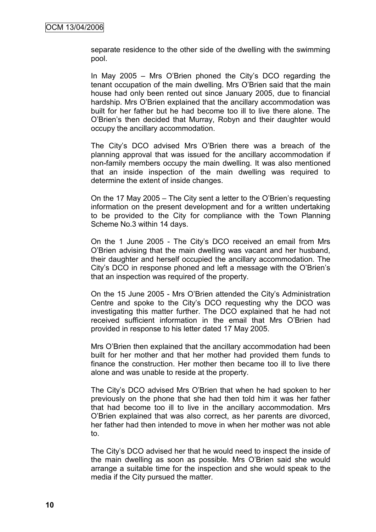separate residence to the other side of the dwelling with the swimming pool.

In May 2005 – Mrs O"Brien phoned the City"s DCO regarding the tenant occupation of the main dwelling. Mrs O"Brien said that the main house had only been rented out since January 2005, due to financial hardship. Mrs O"Brien explained that the ancillary accommodation was built for her father but he had become too ill to live there alone. The O"Brien"s then decided that Murray, Robyn and their daughter would occupy the ancillary accommodation.

The City"s DCO advised Mrs O"Brien there was a breach of the planning approval that was issued for the ancillary accommodation if non-family members occupy the main dwelling. It was also mentioned that an inside inspection of the main dwelling was required to determine the extent of inside changes.

On the 17 May 2005 – The City sent a letter to the O"Brien"s requesting information on the present development and for a written undertaking to be provided to the City for compliance with the Town Planning Scheme No.3 within 14 days.

On the 1 June 2005 - The City"s DCO received an email from Mrs O"Brien advising that the main dwelling was vacant and her husband, their daughter and herself occupied the ancillary accommodation. The City"s DCO in response phoned and left a message with the O"Brien"s that an inspection was required of the property.

On the 15 June 2005 - Mrs O"Brien attended the City"s Administration Centre and spoke to the City"s DCO requesting why the DCO was investigating this matter further. The DCO explained that he had not received sufficient information in the email that Mrs O"Brien had provided in response to his letter dated 17 May 2005.

Mrs O"Brien then explained that the ancillary accommodation had been built for her mother and that her mother had provided them funds to finance the construction. Her mother then became too ill to live there alone and was unable to reside at the property.

The City"s DCO advised Mrs O"Brien that when he had spoken to her previously on the phone that she had then told him it was her father that had become too ill to live in the ancillary accommodation. Mrs O"Brien explained that was also correct, as her parents are divorced, her father had then intended to move in when her mother was not able to.

The City"s DCO advised her that he would need to inspect the inside of the main dwelling as soon as possible. Mrs O"Brien said she would arrange a suitable time for the inspection and she would speak to the media if the City pursued the matter.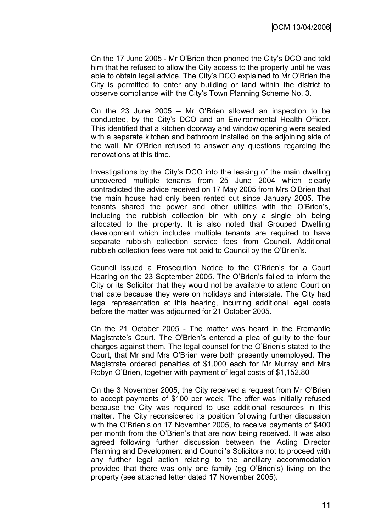On the 17 June 2005 - Mr O"Brien then phoned the City"s DCO and told him that he refused to allow the City access to the property until he was able to obtain legal advice. The City"s DCO explained to Mr O"Brien the City is permitted to enter any building or land within the district to observe compliance with the City"s Town Planning Scheme No. 3.

On the 23 June 2005 – Mr O"Brien allowed an inspection to be conducted, by the City"s DCO and an Environmental Health Officer. This identified that a kitchen doorway and window opening were sealed with a separate kitchen and bathroom installed on the adjoining side of the wall. Mr O"Brien refused to answer any questions regarding the renovations at this time.

Investigations by the City"s DCO into the leasing of the main dwelling uncovered multiple tenants from 25 June 2004 which clearly contradicted the advice received on 17 May 2005 from Mrs O"Brien that the main house had only been rented out since January 2005. The tenants shared the power and other utilities with the O"Brien"s, including the rubbish collection bin with only a single bin being allocated to the property. It is also noted that Grouped Dwelling development which includes multiple tenants are required to have separate rubbish collection service fees from Council. Additional rubbish collection fees were not paid to Council by the O"Brien"s.

Council issued a Prosecution Notice to the O"Brien"s for a Court Hearing on the 23 September 2005. The O"Brien"s failed to inform the City or its Solicitor that they would not be available to attend Court on that date because they were on holidays and interstate. The City had legal representation at this hearing, incurring additional legal costs before the matter was adjourned for 21 October 2005.

On the 21 October 2005 - The matter was heard in the Fremantle Magistrate"s Court. The O"Brien"s entered a plea of guilty to the four charges against them. The legal counsel for the O"Brien"s stated to the Court, that Mr and Mrs O"Brien were both presently unemployed. The Magistrate ordered penalties of \$1,000 each for Mr Murray and Mrs Robyn O"Brien, together with payment of legal costs of \$1,152.80

On the 3 November 2005, the City received a request from Mr O"Brien to accept payments of \$100 per week. The offer was initially refused because the City was required to use additional resources in this matter. The City reconsidered its position following further discussion with the O'Brien's on 17 November 2005, to receive payments of \$400 per month from the O"Brien"s that are now being received. It was also agreed following further discussion between the Acting Director Planning and Development and Council"s Solicitors not to proceed with any further legal action relating to the ancillary accommodation provided that there was only one family (eg O"Brien"s) living on the property (see attached letter dated 17 November 2005).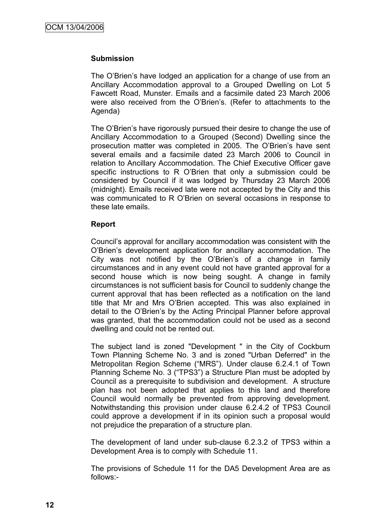### **Submission**

The O'Brien's have lodged an application for a change of use from an Ancillary Accommodation approval to a Grouped Dwelling on Lot 5 Fawcett Road, Munster. Emails and a facsimile dated 23 March 2006 were also received from the O"Brien"s. (Refer to attachments to the Agenda)

The O'Brien's have rigorously pursued their desire to change the use of Ancillary Accommodation to a Grouped (Second) Dwelling since the prosecution matter was completed in 2005. The O"Brien"s have sent several emails and a facsimile dated 23 March 2006 to Council in relation to Ancillary Accommodation. The Chief Executive Officer gave specific instructions to R O"Brien that only a submission could be considered by Council if it was lodged by Thursday 23 March 2006 (midnight). Emails received late were not accepted by the City and this was communicated to R O"Brien on several occasions in response to these late emails.

#### **Report**

Council"s approval for ancillary accommodation was consistent with the O"Brien"s development application for ancillary accommodation. The City was not notified by the O"Brien"s of a change in family circumstances and in any event could not have granted approval for a second house which is now being sought. A change in family circumstances is not sufficient basis for Council to suddenly change the current approval that has been reflected as a notification on the land title that Mr and Mrs O"Brien accepted. This was also explained in detail to the O"Brien"s by the Acting Principal Planner before approval was granted, that the accommodation could not be used as a second dwelling and could not be rented out.

The subject land is zoned "Development " in the City of Cockburn Town Planning Scheme No. 3 and is zoned "Urban Deferred" in the Metropolitan Region Scheme ("MRS"). Under clause 6.2.4.1 of Town Planning Scheme No. 3 ("TPS3") a Structure Plan must be adopted by Council as a prerequisite to subdivision and development. A structure plan has not been adopted that applies to this land and therefore Council would normally be prevented from approving development. Notwithstanding this provision under clause 6.2.4.2 of TPS3 Council could approve a development if in its opinion such a proposal would not prejudice the preparation of a structure plan.

The development of land under sub-clause 6.2.3.2 of TPS3 within a Development Area is to comply with Schedule 11.

The provisions of Schedule 11 for the DA5 Development Area are as follows:-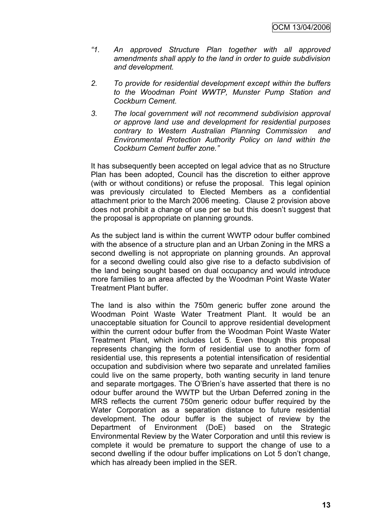- *"1. An approved Structure Plan together with all approved amendments shall apply to the land in order to guide subdivision and development.*
- *2. To provide for residential development except within the buffers to the Woodman Point WWTP, Munster Pump Station and Cockburn Cement.*
- *3. The local government will not recommend subdivision approval or approve land use and development for residential purposes contrary to Western Australian Planning Commission and Environmental Protection Authority Policy on land within the Cockburn Cement buffer zone."*

It has subsequently been accepted on legal advice that as no Structure Plan has been adopted, Council has the discretion to either approve (with or without conditions) or refuse the proposal. This legal opinion was previously circulated to Elected Members as a confidential attachment prior to the March 2006 meeting. Clause 2 provision above does not prohibit a change of use per se but this doesn"t suggest that the proposal is appropriate on planning grounds.

As the subject land is within the current WWTP odour buffer combined with the absence of a structure plan and an Urban Zoning in the MRS a second dwelling is not appropriate on planning grounds. An approval for a second dwelling could also give rise to a defacto subdivision of the land being sought based on dual occupancy and would introduce more families to an area affected by the Woodman Point Waste Water Treatment Plant buffer.

The land is also within the 750m generic buffer zone around the Woodman Point Waste Water Treatment Plant. It would be an unacceptable situation for Council to approve residential development within the current odour buffer from the Woodman Point Waste Water Treatment Plant, which includes Lot 5. Even though this proposal represents changing the form of residential use to another form of residential use, this represents a potential intensification of residential occupation and subdivision where two separate and unrelated families could live on the same property, both wanting security in land tenure and separate mortgages. The O"Brien"s have asserted that there is no odour buffer around the WWTP but the Urban Deferred zoning in the MRS reflects the current 750m generic odour buffer required by the Water Corporation as a separation distance to future residential development. The odour buffer is the subject of review by the Department of Environment (DoE) based on the Strategic Environmental Review by the Water Corporation and until this review is complete it would be premature to support the change of use to a second dwelling if the odour buffer implications on Lot 5 don't change. which has already been implied in the SER.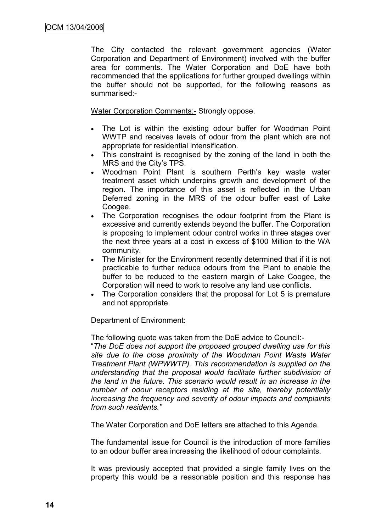The City contacted the relevant government agencies (Water Corporation and Department of Environment) involved with the buffer area for comments. The Water Corporation and DoE have both recommended that the applications for further grouped dwellings within the buffer should not be supported, for the following reasons as summarised:-

Water Corporation Comments:- Strongly oppose.

- The Lot is within the existing odour buffer for Woodman Point WWTP and receives levels of odour from the plant which are not appropriate for residential intensification.
- This constraint is recognised by the zoning of the land in both the MRS and the City"s TPS.
- Woodman Point Plant is southern Perth's key waste water treatment asset which underpins growth and development of the region. The importance of this asset is reflected in the Urban Deferred zoning in the MRS of the odour buffer east of Lake Coogee.
- The Corporation recognises the odour footprint from the Plant is excessive and currently extends beyond the buffer. The Corporation is proposing to implement odour control works in three stages over the next three years at a cost in excess of \$100 Million to the WA community.
- The Minister for the Environment recently determined that if it is not practicable to further reduce odours from the Plant to enable the buffer to be reduced to the eastern margin of Lake Coogee, the Corporation will need to work to resolve any land use conflicts.
- The Corporation considers that the proposal for Lot 5 is premature and not appropriate.

## Department of Environment:

The following quote was taken from the DoE advice to Council:-

"*The DoE does not support the proposed grouped dwelling use for this site due to the close proximity of the Woodman Point Waste Water Treatment Plant (WPWWTP). This recommendation is supplied on the understanding that the proposal would facilitate further subdivision of the land in the future. This scenario would result in an increase in the number of odour receptors residing at the site, thereby potentially increasing the frequency and severity of odour impacts and complaints from such residents."*

The Water Corporation and DoE letters are attached to this Agenda.

The fundamental issue for Council is the introduction of more families to an odour buffer area increasing the likelihood of odour complaints.

It was previously accepted that provided a single family lives on the property this would be a reasonable position and this response has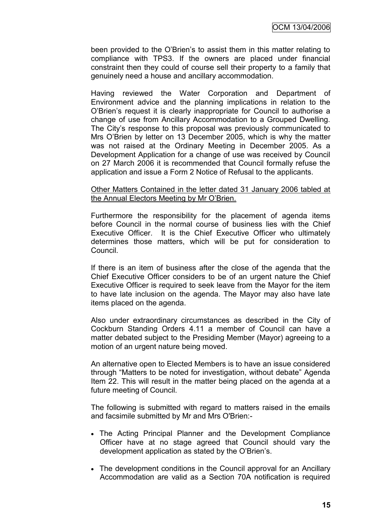been provided to the O"Brien"s to assist them in this matter relating to compliance with TPS3. If the owners are placed under financial constraint then they could of course sell their property to a family that genuinely need a house and ancillary accommodation.

Having reviewed the Water Corporation and Department of Environment advice and the planning implications in relation to the O"Brien"s request it is clearly inappropriate for Council to authorise a change of use from Ancillary Accommodation to a Grouped Dwelling. The City"s response to this proposal was previously communicated to Mrs O"Brien by letter on 13 December 2005, which is why the matter was not raised at the Ordinary Meeting in December 2005. As a Development Application for a change of use was received by Council on 27 March 2006 it is recommended that Council formally refuse the application and issue a Form 2 Notice of Refusal to the applicants.

#### Other Matters Contained in the letter dated 31 January 2006 tabled at the Annual Electors Meeting by Mr O"Brien.

Furthermore the responsibility for the placement of agenda items before Council in the normal course of business lies with the Chief Executive Officer. It is the Chief Executive Officer who ultimately determines those matters, which will be put for consideration to Council.

If there is an item of business after the close of the agenda that the Chief Executive Officer considers to be of an urgent nature the Chief Executive Officer is required to seek leave from the Mayor for the item to have late inclusion on the agenda. The Mayor may also have late items placed on the agenda.

Also under extraordinary circumstances as described in the City of Cockburn Standing Orders 4.11 a member of Council can have a matter debated subject to the Presiding Member (Mayor) agreeing to a motion of an urgent nature being moved.

An alternative open to Elected Members is to have an issue considered through "Matters to be noted for investigation, without debate" Agenda Item 22. This will result in the matter being placed on the agenda at a future meeting of Council.

The following is submitted with regard to matters raised in the emails and facsimile submitted by Mr and Mrs O'Brien:-

- The Acting Principal Planner and the Development Compliance Officer have at no stage agreed that Council should vary the development application as stated by the O'Brien's.
- The development conditions in the Council approval for an Ancillary Accommodation are valid as a Section 70A notification is required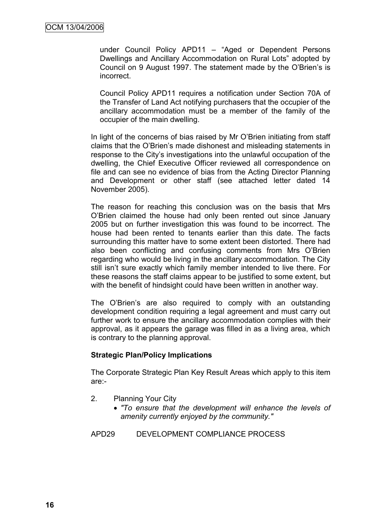under Council Policy APD11 – "Aged or Dependent Persons Dwellings and Ancillary Accommodation on Rural Lots" adopted by Council on 9 August 1997. The statement made by the O"Brien"s is incorrect.

Council Policy APD11 requires a notification under Section 70A of the Transfer of Land Act notifying purchasers that the occupier of the ancillary accommodation must be a member of the family of the occupier of the main dwelling.

In light of the concerns of bias raised by Mr O"Brien initiating from staff claims that the O"Brien"s made dishonest and misleading statements in response to the City"s investigations into the unlawful occupation of the dwelling, the Chief Executive Officer reviewed all correspondence on file and can see no evidence of bias from the Acting Director Planning and Development or other staff (see attached letter dated 14 November 2005).

The reason for reaching this conclusion was on the basis that Mrs O"Brien claimed the house had only been rented out since January 2005 but on further investigation this was found to be incorrect. The house had been rented to tenants earlier than this date. The facts surrounding this matter have to some extent been distorted. There had also been conflicting and confusing comments from Mrs O"Brien regarding who would be living in the ancillary accommodation. The City still isn't sure exactly which family member intended to live there. For these reasons the staff claims appear to be justified to some extent, but with the benefit of hindsight could have been written in another way.

The O'Brien's are also required to comply with an outstanding development condition requiring a legal agreement and must carry out further work to ensure the ancillary accommodation complies with their approval, as it appears the garage was filled in as a living area, which is contrary to the planning approval.

#### **Strategic Plan/Policy Implications**

The Corporate Strategic Plan Key Result Areas which apply to this item are:-

- 2. Planning Your City
	- *"To ensure that the development will enhance the levels of amenity currently enjoyed by the community."*

APD29 DEVELOPMENT COMPLIANCE PROCESS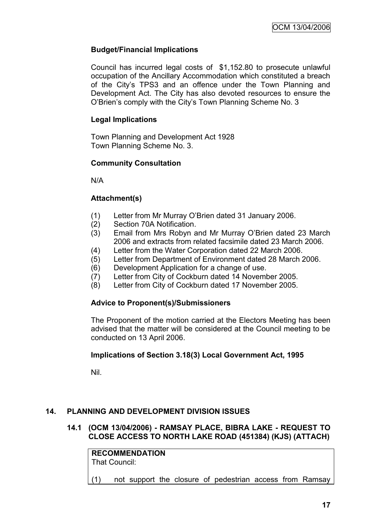# **Budget/Financial Implications**

Council has incurred legal costs of \$1,152.80 to prosecute unlawful occupation of the Ancillary Accommodation which constituted a breach of the City"s TPS3 and an offence under the Town Planning and Development Act. The City has also devoted resources to ensure the O"Brien"s comply with the City"s Town Planning Scheme No. 3

# **Legal Implications**

Town Planning and Development Act 1928 Town Planning Scheme No. 3.

## **Community Consultation**

N/A

# **Attachment(s)**

- (1) Letter from Mr Murray O"Brien dated 31 January 2006.
- (2) Section 70A Notification.
- (3) Email from Mrs Robyn and Mr Murray O"Brien dated 23 March 2006 and extracts from related facsimile dated 23 March 2006.
- (4) Letter from the Water Corporation dated 22 March 2006.
- (5) Letter from Department of Environment dated 28 March 2006.
- (6) Development Application for a change of use.
- (7) Letter from City of Cockburn dated 14 November 2005.
- (8) Letter from City of Cockburn dated 17 November 2005.

## **Advice to Proponent(s)/Submissioners**

The Proponent of the motion carried at the Electors Meeting has been advised that the matter will be considered at the Council meeting to be conducted on 13 April 2006.

## **Implications of Section 3.18(3) Local Government Act, 1995**

Nil.

# **14. PLANNING AND DEVELOPMENT DIVISION ISSUES**

# **14.1 (OCM 13/04/2006) - RAMSAY PLACE, BIBRA LAKE - REQUEST TO CLOSE ACCESS TO NORTH LAKE ROAD (451384) (KJS) (ATTACH)**

**RECOMMENDATION** That Council:

(1) not support the closure of pedestrian access from Ramsay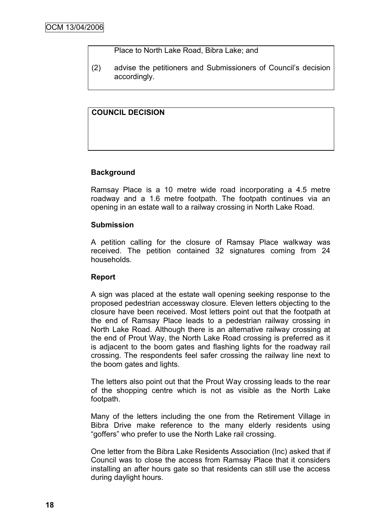Place to North Lake Road, Bibra Lake; and

(2) advise the petitioners and Submissioners of Council"s decision accordingly.

# **COUNCIL DECISION**

## **Background**

Ramsay Place is a 10 metre wide road incorporating a 4.5 metre roadway and a 1.6 metre footpath. The footpath continues via an opening in an estate wall to a railway crossing in North Lake Road.

## **Submission**

A petition calling for the closure of Ramsay Place walkway was received. The petition contained 32 signatures coming from 24 households.

## **Report**

A sign was placed at the estate wall opening seeking response to the proposed pedestrian accessway closure. Eleven letters objecting to the closure have been received. Most letters point out that the footpath at the end of Ramsay Place leads to a pedestrian railway crossing in North Lake Road. Although there is an alternative railway crossing at the end of Prout Way, the North Lake Road crossing is preferred as it is adjacent to the boom gates and flashing lights for the roadway rail crossing. The respondents feel safer crossing the railway line next to the boom gates and lights.

The letters also point out that the Prout Way crossing leads to the rear of the shopping centre which is not as visible as the North Lake footpath.

Many of the letters including the one from the Retirement Village in Bibra Drive make reference to the many elderly residents using "goffers" who prefer to use the North Lake rail crossing.

One letter from the Bibra Lake Residents Association (Inc) asked that if Council was to close the access from Ramsay Place that it considers installing an after hours gate so that residents can still use the access during daylight hours.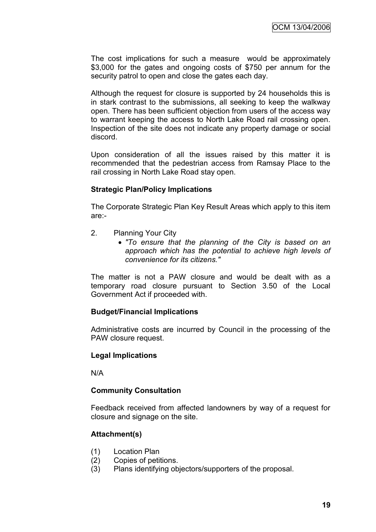The cost implications for such a measure would be approximately \$3,000 for the gates and ongoing costs of \$750 per annum for the security patrol to open and close the gates each day.

Although the request for closure is supported by 24 households this is in stark contrast to the submissions, all seeking to keep the walkway open. There has been sufficient objection from users of the access way to warrant keeping the access to North Lake Road rail crossing open. Inspection of the site does not indicate any property damage or social discord.

Upon consideration of all the issues raised by this matter it is recommended that the pedestrian access from Ramsay Place to the rail crossing in North Lake Road stay open.

#### **Strategic Plan/Policy Implications**

The Corporate Strategic Plan Key Result Areas which apply to this item are:-

- 2. Planning Your City
	- *"To ensure that the planning of the City is based on an approach which has the potential to achieve high levels of convenience for its citizens."*

The matter is not a PAW closure and would be dealt with as a temporary road closure pursuant to Section 3.50 of the Local Government Act if proceeded with.

## **Budget/Financial Implications**

Administrative costs are incurred by Council in the processing of the PAW closure request.

#### **Legal Implications**

N/A

## **Community Consultation**

Feedback received from affected landowners by way of a request for closure and signage on the site.

## **Attachment(s)**

- (1) Location Plan
- (2) Copies of petitions.
- (3) Plans identifying objectors/supporters of the proposal.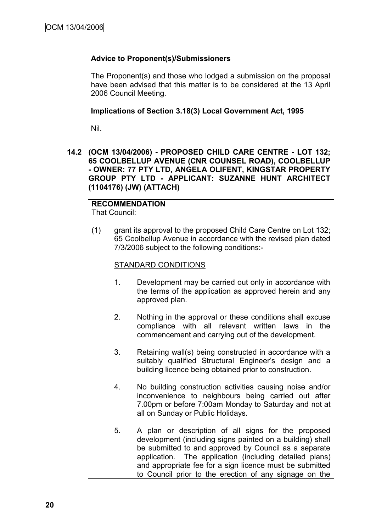# **Advice to Proponent(s)/Submissioners**

The Proponent(s) and those who lodged a submission on the proposal have been advised that this matter is to be considered at the 13 April 2006 Council Meeting.

## **Implications of Section 3.18(3) Local Government Act, 1995**

Nil.

**14.2 (OCM 13/04/2006) - PROPOSED CHILD CARE CENTRE - LOT 132; 65 COOLBELLUP AVENUE (CNR COUNSEL ROAD), COOLBELLUP - OWNER: 77 PTY LTD, ANGELA OLIFENT, KINGSTAR PROPERTY GROUP PTY LTD - APPLICANT: SUZANNE HUNT ARCHITECT (1104176) (JW) (ATTACH)**

# **RECOMMENDATION**

That Council:

(1) grant its approval to the proposed Child Care Centre on Lot 132; 65 Coolbellup Avenue in accordance with the revised plan dated 7/3/2006 subject to the following conditions:-

# STANDARD CONDITIONS

- 1. Development may be carried out only in accordance with the terms of the application as approved herein and any approved plan.
- 2. Nothing in the approval or these conditions shall excuse compliance with all relevant written laws in the commencement and carrying out of the development.
- 3. Retaining wall(s) being constructed in accordance with a suitably qualified Structural Engineer's design and a building licence being obtained prior to construction.
- 4. No building construction activities causing noise and/or inconvenience to neighbours being carried out after 7.00pm or before 7:00am Monday to Saturday and not at all on Sunday or Public Holidays.
- 5. A plan or description of all signs for the proposed development (including signs painted on a building) shall be submitted to and approved by Council as a separate application. The application (including detailed plans) and appropriate fee for a sign licence must be submitted to Council prior to the erection of any signage on the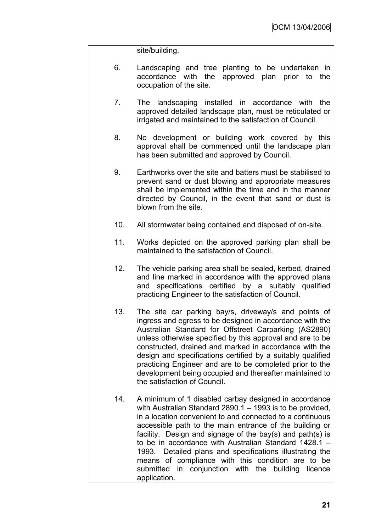site/building.

- 6. Landscaping and tree planting to be undertaken in accordance with the approved plan prior to the occupation of the site.
- 7. The landscaping installed in accordance with the approved detailed landscape plan, must be reticulated or irrigated and maintained to the satisfaction of Council.
- 8. No development or building work covered by this approval shall be commenced until the landscape plan has been submitted and approved by Council.
- 9. Earthworks over the site and batters must be stabilised to prevent sand or dust blowing and appropriate measures shall be implemented within the time and in the manner directed by Council, in the event that sand or dust is blown from the site.
- 10. All stormwater being contained and disposed of on-site.
- 11. Works depicted on the approved parking plan shall be maintained to the satisfaction of Council.
- 12. The vehicle parking area shall be sealed, kerbed, drained and line marked in accordance with the approved plans and specifications certified by a suitably qualified practicing Engineer to the satisfaction of Council.
- 13. The site car parking bay/s, driveway/s and points of ingress and egress to be designed in accordance with the Australian Standard for Offstreet Carparking (AS2890) unless otherwise specified by this approval and are to be constructed, drained and marked in accordance with the design and specifications certified by a suitably qualified practicing Engineer and are to be completed prior to the development being occupied and thereafter maintained to the satisfaction of Council.
- 14. A minimum of 1 disabled carbay designed in accordance with Australian Standard 2890.1 – 1993 is to be provided. in a location convenient to and connected to a continuous accessible path to the main entrance of the building or facility. Design and signage of the bay(s) and path(s) is to be in accordance with Australian Standard 1428.1 – 1993. Detailed plans and specifications illustrating the means of compliance with this condition are to be submitted in conjunction with the building licence application.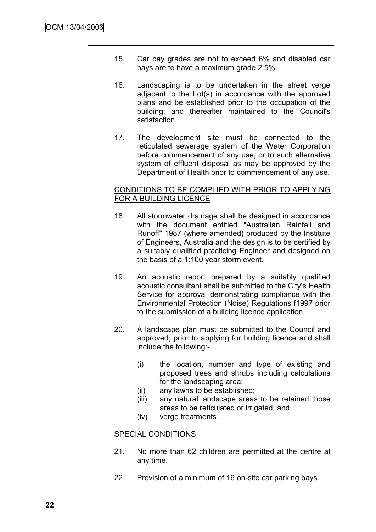- 15. Car bay grades are not to exceed 6% and disabled car bays are to have a maximum grade 2.5%.
- 16. Landscaping is to be undertaken in the street verge adjacent to the Lot(s) in accordance with the approved plans and be established prior to the occupation of the building; and thereafter maintained to the Council's satisfaction.
- 17. The development site must be connected to the reticulated sewerage system of the Water Corporation before commencement of any use, or to such alternative system of effluent disposal as may be approved by the Department of Health prior to commencement of any use.

# CONDITIONS TO BE COMPLIED WITH PRIOR TO APPLYING FOR A BUILDING LICENCE

- 18. All stormwater drainage shall be designed in accordance with the document entitled "Australian Rainfall and Runoff" 1987 (where amended) produced by the Institute of Engineers, Australia and the design is to be certified by a suitably qualified practicing Engineer and designed on the basis of a 1:100 year storm event.
- 19 An acoustic report prepared by a suitably qualified acoustic consultant shall be submitted to the City"s Health Service for approval demonstrating compliance with the Environmental Protection (Noise) Regulations f1997 prior to the submission of a building licence application.
- 20. A landscape plan must be submitted to the Council and approved, prior to applying for building licence and shall include the following:-
	- (i) the location, number and type of existing and proposed trees and shrubs including calculations for the landscaping area;
	- (ii) any lawns to be established;
	- (iii) any natural landscape areas to be retained those areas to be reticulated or irrigated; and
	- (iv) verge treatments.

# SPECIAL CONDITIONS

- 21. No more than 62 children are permitted at the centre at any time.
- 22. Provision of a minimum of 16 on-site car parking bays.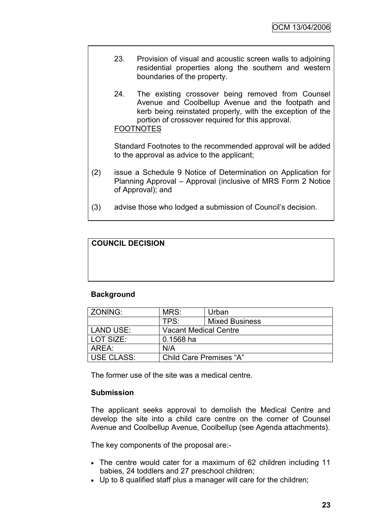- 23. Provision of visual and acoustic screen walls to adjoining residential properties along the southern and western boundaries of the property.
- 24. The existing crossover being removed from Counsel Avenue and Coolbellup Avenue and the footpath and kerb being reinstated properly, with the exception of the portion of crossover required for this approval. FOOTNOTES

Standard Footnotes to the recommended approval will be added to the approval as advice to the applicant;

- (2) issue a Schedule 9 Notice of Determination on Application for Planning Approval – Approval (inclusive of MRS Form 2 Notice of Approval); and
- (3) advise those who lodged a submission of Council"s decision.

# **COUNCIL DECISION**

## **Background**

| l ZONING:                  | MRS:                         | Urban                 |  |
|----------------------------|------------------------------|-----------------------|--|
|                            | TPS:                         | <b>Mixed Business</b> |  |
| LAND USE:                  | <b>Vacant Medical Centre</b> |                       |  |
| l LOT SIZE:<br>$0.1568$ ha |                              |                       |  |
| AREA:                      | N/A                          |                       |  |
| <b>USE CLASS:</b>          | Child Care Premises "A"      |                       |  |

The former use of the site was a medical centre.

## **Submission**

The applicant seeks approval to demolish the Medical Centre and develop the site into a child care centre on the corner of Counsel Avenue and Coolbellup Avenue, Coolbellup (see Agenda attachments).

The key components of the proposal are:-

- The centre would cater for a maximum of 62 children including 11 babies, 24 toddlers and 27 preschool children;
- Up to 8 qualified staff plus a manager will care for the children;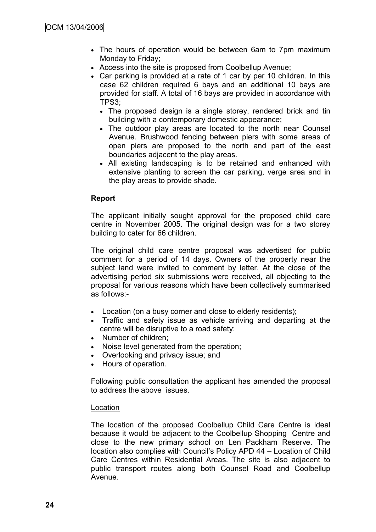- The hours of operation would be between 6am to 7pm maximum Monday to Friday;
- Access into the site is proposed from Coolbellup Avenue;
- Car parking is provided at a rate of 1 car by per 10 children. In this case 62 children required 6 bays and an additional 10 bays are provided for staff. A total of 16 bays are provided in accordance with TPS3;
	- The proposed design is a single storey, rendered brick and tin building with a contemporary domestic appearance;
	- The outdoor play areas are located to the north near Counsel Avenue. Brushwood fencing between piers with some areas of open piers are proposed to the north and part of the east boundaries adjacent to the play areas.
	- All existing landscaping is to be retained and enhanced with extensive planting to screen the car parking, verge area and in the play areas to provide shade.

# **Report**

The applicant initially sought approval for the proposed child care centre in November 2005. The original design was for a two storey building to cater for 66 children.

The original child care centre proposal was advertised for public comment for a period of 14 days. Owners of the property near the subject land were invited to comment by letter. At the close of the advertising period six submissions were received, all objecting to the proposal for various reasons which have been collectively summarised as follows:-

- Location (on a busy corner and close to elderly residents);
- Traffic and safety issue as vehicle arriving and departing at the centre will be disruptive to a road safety;
- Number of children:
- Noise level generated from the operation;
- Overlooking and privacy issue; and
- Hours of operation.

Following public consultation the applicant has amended the proposal to address the above issues.

#### Location

The location of the proposed Coolbellup Child Care Centre is ideal because it would be adjacent to the Coolbellup Shopping Centre and close to the new primary school on Len Packham Reserve. The location also complies with Council"s Policy APD 44 – Location of Child Care Centres within Residential Areas. The site is also adjacent to public transport routes along both Counsel Road and Coolbellup Avenue.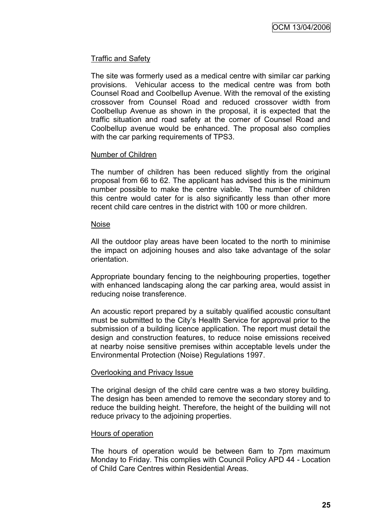# Traffic and Safety

The site was formerly used as a medical centre with similar car parking provisions. Vehicular access to the medical centre was from both Counsel Road and Coolbellup Avenue. With the removal of the existing crossover from Counsel Road and reduced crossover width from Coolbellup Avenue as shown in the proposal, it is expected that the traffic situation and road safety at the corner of Counsel Road and Coolbellup avenue would be enhanced. The proposal also complies with the car parking requirements of TPS3.

#### Number of Children

The number of children has been reduced slightly from the original proposal from 66 to 62. The applicant has advised this is the minimum number possible to make the centre viable. The number of children this centre would cater for is also significantly less than other more recent child care centres in the district with 100 or more children.

#### Noise

All the outdoor play areas have been located to the north to minimise the impact on adjoining houses and also take advantage of the solar orientation.

Appropriate boundary fencing to the neighbouring properties, together with enhanced landscaping along the car parking area, would assist in reducing noise transference.

An acoustic report prepared by a suitably qualified acoustic consultant must be submitted to the City"s Health Service for approval prior to the submission of a building licence application. The report must detail the design and construction features, to reduce noise emissions received at nearby noise sensitive premises within acceptable levels under the Environmental Protection (Noise) Regulations 1997.

## Overlooking and Privacy Issue

The original design of the child care centre was a two storey building. The design has been amended to remove the secondary storey and to reduce the building height. Therefore, the height of the building will not reduce privacy to the adjoining properties.

## Hours of operation

The hours of operation would be between 6am to 7pm maximum Monday to Friday. This complies with Council Policy APD 44 - Location of Child Care Centres within Residential Areas.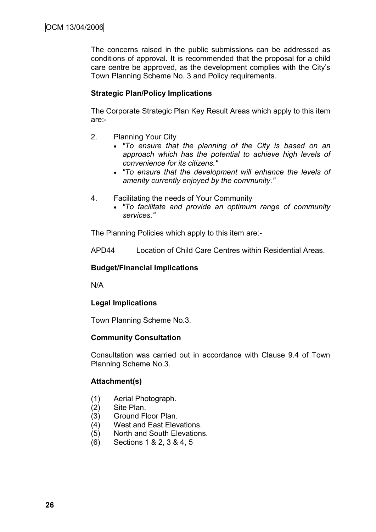The concerns raised in the public submissions can be addressed as conditions of approval. It is recommended that the proposal for a child care centre be approved, as the development complies with the City"s Town Planning Scheme No. 3 and Policy requirements.

# **Strategic Plan/Policy Implications**

The Corporate Strategic Plan Key Result Areas which apply to this item are:-

- 2. Planning Your City
	- *"To ensure that the planning of the City is based on an approach which has the potential to achieve high levels of convenience for its citizens."*
	- *"To ensure that the development will enhance the levels of amenity currently enjoyed by the community."*
- 4. Facilitating the needs of Your Community
	- *"To facilitate and provide an optimum range of community services."*

The Planning Policies which apply to this item are:-

APD44 Location of Child Care Centres within Residential Areas.

### **Budget/Financial Implications**

N/A

## **Legal Implications**

Town Planning Scheme No.3.

#### **Community Consultation**

Consultation was carried out in accordance with Clause 9.4 of Town Planning Scheme No.3.

## **Attachment(s)**

- (1) Aerial Photograph.
- (2) Site Plan.
- (3) Ground Floor Plan.
- (4) West and East Elevations.
- (5) North and South Elevations.
- (6) Sections 1 & 2, 3 & 4, 5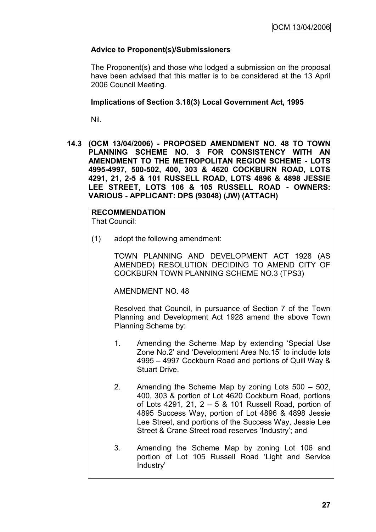# **Advice to Proponent(s)/Submissioners**

The Proponent(s) and those who lodged a submission on the proposal have been advised that this matter is to be considered at the 13 April 2006 Council Meeting.

# **Implications of Section 3.18(3) Local Government Act, 1995**

Nil.

**14.3 (OCM 13/04/2006) - PROPOSED AMENDMENT NO. 48 TO TOWN PLANNING SCHEME NO. 3 FOR CONSISTENCY WITH AN AMENDMENT TO THE METROPOLITAN REGION SCHEME - LOTS 4995-4997, 500-502, 400, 303 & 4620 COCKBURN ROAD, LOTS 4291, 21, 2-5 & 101 RUSSELL ROAD, LOTS 4896 & 4898 JESSIE LEE STREET, LOTS 106 & 105 RUSSELL ROAD - OWNERS: VARIOUS - APPLICANT: DPS (93048) (JW) (ATTACH)**

**RECOMMENDATION** That Council:

(1) adopt the following amendment:

TOWN PLANNING AND DEVELOPMENT ACT 1928 (AS AMENDED) RESOLUTION DECIDING TO AMEND CITY OF COCKBURN TOWN PLANNING SCHEME NO.3 (TPS3)

AMENDMENT NO. 48

Resolved that Council, in pursuance of Section 7 of the Town Planning and Development Act 1928 amend the above Town Planning Scheme by:

- 1. Amending the Scheme Map by extending "Special Use Zone No.2" and "Development Area No.15" to include lots 4995 – 4997 Cockburn Road and portions of Quill Way & Stuart Drive.
- 2. Amending the Scheme Map by zoning Lots 500 502, 400, 303 & portion of Lot 4620 Cockburn Road, portions of Lots 4291, 21, 2 – 5 & 101 Russell Road, portion of 4895 Success Way, portion of Lot 4896 & 4898 Jessie Lee Street, and portions of the Success Way, Jessie Lee Street & Crane Street road reserves "Industry"; and
- 3. Amending the Scheme Map by zoning Lot 106 and portion of Lot 105 Russell Road "Light and Service Industry"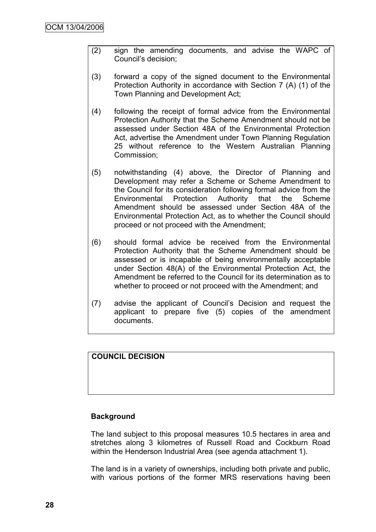- (2) sign the amending documents, and advise the WAPC of Council"s decision;
- (3) forward a copy of the signed document to the Environmental Protection Authority in accordance with Section 7 (A) (1) of the Town Planning and Development Act;
- (4) following the receipt of formal advice from the Environmental Protection Authority that the Scheme Amendment should not be assessed under Section 48A of the Environmental Protection Act, advertise the Amendment under Town Planning Regulation 25 without reference to the Western Australian Planning Commission;
- (5) notwithstanding (4) above, the Director of Planning and Development may refer a Scheme or Scheme Amendment to the Council for its consideration following formal advice from the Environmental Protection Authority that the Scheme Amendment should be assessed under Section 48A of the Environmental Protection Act, as to whether the Council should proceed or not proceed with the Amendment;
- (6) should formal advice be received from the Environmental Protection Authority that the Scheme Amendment should be assessed or is incapable of being environmentally acceptable under Section 48(A) of the Environmental Protection Act, the Amendment be referred to the Council for its determination as to whether to proceed or not proceed with the Amendment; and
- (7) advise the applicant of Council"s Decision and request the applicant to prepare five (5) copies of the amendment documents.

# **COUNCIL DECISION**

## **Background**

The land subject to this proposal measures 10.5 hectares in area and stretches along 3 kilometres of Russell Road and Cockburn Road within the Henderson Industrial Area (see agenda attachment 1).

The land is in a variety of ownerships, including both private and public, with various portions of the former MRS reservations having been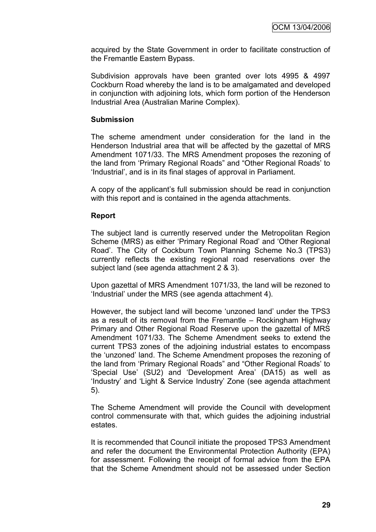acquired by the State Government in order to facilitate construction of the Fremantle Eastern Bypass.

Subdivision approvals have been granted over lots 4995 & 4997 Cockburn Road whereby the land is to be amalgamated and developed in conjunction with adjoining lots, which form portion of the Henderson Industrial Area (Australian Marine Complex).

#### **Submission**

The scheme amendment under consideration for the land in the Henderson Industrial area that will be affected by the gazettal of MRS Amendment 1071/33. The MRS Amendment proposes the rezoning of the land from "Primary Regional Roads" and "Other Regional Roads" to "Industrial", and is in its final stages of approval in Parliament.

A copy of the applicant"s full submission should be read in conjunction with this report and is contained in the agenda attachments.

#### **Report**

The subject land is currently reserved under the Metropolitan Region Scheme (MRS) as either "Primary Regional Road" and "Other Regional Road". The City of Cockburn Town Planning Scheme No.3 (TPS3) currently reflects the existing regional road reservations over the subject land (see agenda attachment 2 & 3).

Upon gazettal of MRS Amendment 1071/33, the land will be rezoned to "Industrial" under the MRS (see agenda attachment 4).

However, the subject land will become "unzoned land" under the TPS3 as a result of its removal from the Fremantle – Rockingham Highway Primary and Other Regional Road Reserve upon the gazettal of MRS Amendment 1071/33. The Scheme Amendment seeks to extend the current TPS3 zones of the adjoining industrial estates to encompass the "unzoned" land. The Scheme Amendment proposes the rezoning of the land from "Primary Regional Roads" and "Other Regional Roads" to "Special Use" (SU2) and "Development Area" (DA15) as well as "Industry" and "Light & Service Industry" Zone (see agenda attachment 5).

The Scheme Amendment will provide the Council with development control commensurate with that, which guides the adjoining industrial estates.

It is recommended that Council initiate the proposed TPS3 Amendment and refer the document the Environmental Protection Authority (EPA) for assessment. Following the receipt of formal advice from the EPA that the Scheme Amendment should not be assessed under Section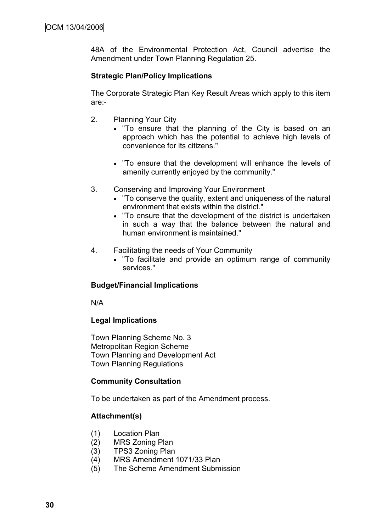48A of the Environmental Protection Act, Council advertise the Amendment under Town Planning Regulation 25.

# **Strategic Plan/Policy Implications**

The Corporate Strategic Plan Key Result Areas which apply to this item are:-

- 2. Planning Your City
	- "To ensure that the planning of the City is based on an approach which has the potential to achieve high levels of convenience for its citizens."
	- "To ensure that the development will enhance the levels of amenity currently enjoyed by the community."
- 3. Conserving and Improving Your Environment
	- "To conserve the quality, extent and uniqueness of the natural environment that exists within the district."
	- "To ensure that the development of the district is undertaken in such a way that the balance between the natural and human environment is maintained."
- 4. Facilitating the needs of Your Community
	- "To facilitate and provide an optimum range of community services."

# **Budget/Financial Implications**

N/A

## **Legal Implications**

Town Planning Scheme No. 3 Metropolitan Region Scheme Town Planning and Development Act Town Planning Regulations

## **Community Consultation**

To be undertaken as part of the Amendment process.

## **Attachment(s)**

- (1) Location Plan
- (2) MRS Zoning Plan
- (3) TPS3 Zoning Plan
- (4) MRS Amendment 1071/33 Plan
- (5) The Scheme Amendment Submission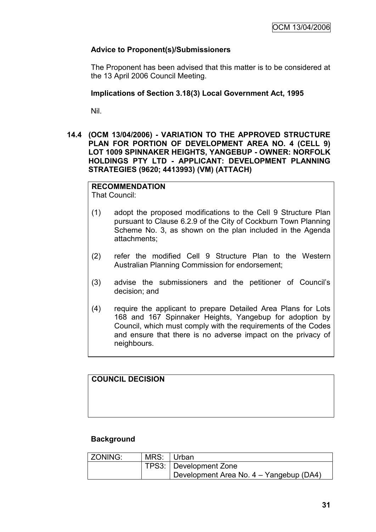# **Advice to Proponent(s)/Submissioners**

The Proponent has been advised that this matter is to be considered at the 13 April 2006 Council Meeting.

# **Implications of Section 3.18(3) Local Government Act, 1995**

Nil.

**14.4 (OCM 13/04/2006) - VARIATION TO THE APPROVED STRUCTURE PLAN FOR PORTION OF DEVELOPMENT AREA NO. 4 (CELL 9) LOT 1009 SPINNAKER HEIGHTS, YANGEBUP - OWNER: NORFOLK HOLDINGS PTY LTD - APPLICANT: DEVELOPMENT PLANNING STRATEGIES (9620; 4413993) (VM) (ATTACH)**

# **RECOMMENDATION**

That Council:

- (1) adopt the proposed modifications to the Cell 9 Structure Plan pursuant to Clause 6.2.9 of the City of Cockburn Town Planning Scheme No. 3, as shown on the plan included in the Agenda attachments;
- (2) refer the modified Cell 9 Structure Plan to the Western Australian Planning Commission for endorsement;
- (3) advise the submissioners and the petitioner of Council"s decision; and
- (4) require the applicant to prepare Detailed Area Plans for Lots 168 and 167 Spinnaker Heights, Yangebup for adoption by Council, which must comply with the requirements of the Codes and ensure that there is no adverse impact on the privacy of neighbours.

# **COUNCIL DECISION**

# **Background**

| ZONING: | MRS: Urban |                                         |
|---------|------------|-----------------------------------------|
|         |            | TPS3: Development Zone                  |
|         |            | Development Area No. 4 - Yangebup (DA4) |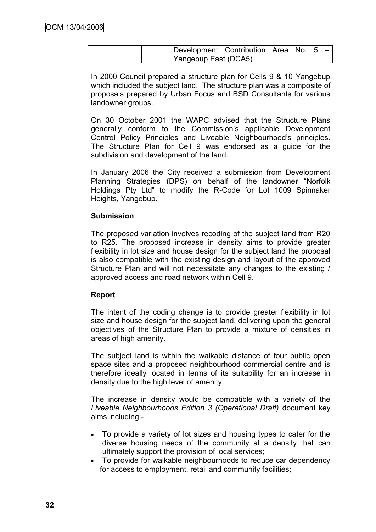|  | Development Contribution Area No. $5 - 1$ |  |  |  |
|--|-------------------------------------------|--|--|--|
|  | Yangebup East (DCA5)                      |  |  |  |

In 2000 Council prepared a structure plan for Cells 9 & 10 Yangebup which included the subject land. The structure plan was a composite of proposals prepared by Urban Focus and BSD Consultants for various landowner groups.

On 30 October 2001 the WAPC advised that the Structure Plans generally conform to the Commission"s applicable Development Control Policy Principles and Liveable Neighbourhood"s principles. The Structure Plan for Cell 9 was endorsed as a guide for the subdivision and development of the land.

In January 2006 the City received a submission from Development Planning Strategies (DPS) on behalf of the landowner "Norfolk Holdings Pty Ltd" to modify the R-Code for Lot 1009 Spinnaker Heights, Yangebup.

# **Submission**

The proposed variation involves recoding of the subject land from R20 to R25. The proposed increase in density aims to provide greater flexibility in lot size and house design for the subject land the proposal is also compatible with the existing design and layout of the approved Structure Plan and will not necessitate any changes to the existing / approved access and road network within Cell 9.

# **Report**

The intent of the coding change is to provide greater flexibility in lot size and house design for the subject land, delivering upon the general objectives of the Structure Plan to provide a mixture of densities in areas of high amenity.

The subject land is within the walkable distance of four public open space sites and a proposed neighbourhood commercial centre and is therefore ideally located in terms of its suitability for an increase in density due to the high level of amenity.

The increase in density would be compatible with a variety of the *Liveable Neighbourhoods Edition 3 (Operational Draft)* document key aims including:-

- To provide a variety of lot sizes and housing types to cater for the diverse housing needs of the community at a density that can ultimately support the provision of local services;
- To provide for walkable neighbourhoods to reduce car dependency for access to employment, retail and community facilities;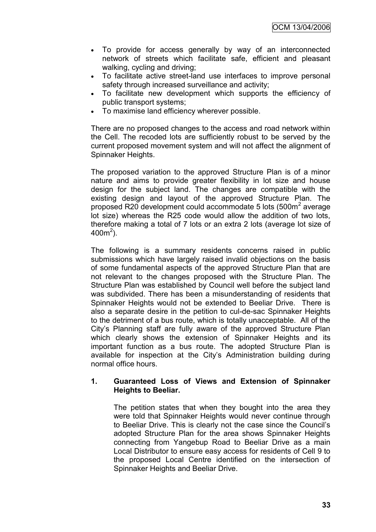- To provide for access generally by way of an interconnected network of streets which facilitate safe, efficient and pleasant walking, cycling and driving;
- To facilitate active street-land use interfaces to improve personal safety through increased surveillance and activity;
- To facilitate new development which supports the efficiency of public transport systems;
- To maximise land efficiency wherever possible.

There are no proposed changes to the access and road network within the Cell. The recoded lots are sufficiently robust to be served by the current proposed movement system and will not affect the alignment of Spinnaker Heights.

The proposed variation to the approved Structure Plan is of a minor nature and aims to provide greater flexibility in lot size and house design for the subject land. The changes are compatible with the existing design and layout of the approved Structure Plan. The proposed R20 development could accommodate 5 lots (500m<sup>2</sup> average lot size) whereas the R25 code would allow the addition of two lots, therefore making a total of 7 lots or an extra 2 lots (average lot size of  $400m^2$ ).

The following is a summary residents concerns raised in public submissions which have largely raised invalid objections on the basis of some fundamental aspects of the approved Structure Plan that are not relevant to the changes proposed with the Structure Plan. The Structure Plan was established by Council well before the subject land was subdivided. There has been a misunderstanding of residents that Spinnaker Heights would not be extended to Beeliar Drive. There is also a separate desire in the petition to cul-de-sac Spinnaker Heights to the detriment of a bus route, which is totally unacceptable. All of the City"s Planning staff are fully aware of the approved Structure Plan which clearly shows the extension of Spinnaker Heights and its important function as a bus route. The adopted Structure Plan is available for inspection at the City"s Administration building during normal office hours.

# **1. Guaranteed Loss of Views and Extension of Spinnaker Heights to Beeliar.**

The petition states that when they bought into the area they were told that Spinnaker Heights would never continue through to Beeliar Drive. This is clearly not the case since the Council"s adopted Structure Plan for the area shows Spinnaker Heights connecting from Yangebup Road to Beeliar Drive as a main Local Distributor to ensure easy access for residents of Cell 9 to the proposed Local Centre identified on the intersection of Spinnaker Heights and Beeliar Drive.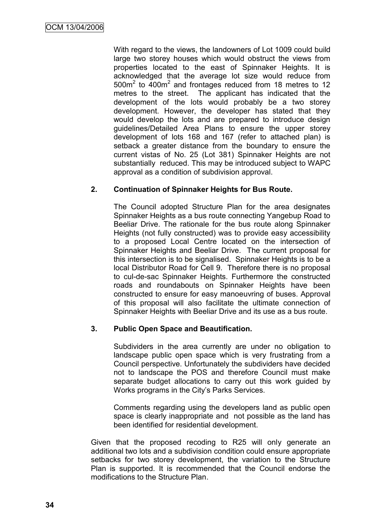With regard to the views, the landowners of Lot 1009 could build large two storey houses which would obstruct the views from properties located to the east of Spinnaker Heights. It is acknowledged that the average lot size would reduce from 500m<sup>2</sup> to 400m<sup>2</sup> and frontages reduced from 18 metres to 12 metres to the street. The applicant has indicated that the development of the lots would probably be a two storey development. However, the developer has stated that they would develop the lots and are prepared to introduce design guidelines/Detailed Area Plans to ensure the upper storey development of lots 168 and 167 (refer to attached plan) is setback a greater distance from the boundary to ensure the current vistas of No. 25 (Lot 381) Spinnaker Heights are not substantially reduced. This may be introduced subject to WAPC approval as a condition of subdivision approval.

# **2. Continuation of Spinnaker Heights for Bus Route.**

The Council adopted Structure Plan for the area designates Spinnaker Heights as a bus route connecting Yangebup Road to Beeliar Drive. The rationale for the bus route along Spinnaker Heights (not fully constructed) was to provide easy accessibility to a proposed Local Centre located on the intersection of Spinnaker Heights and Beeliar Drive. The current proposal for this intersection is to be signalised. Spinnaker Heights is to be a local Distributor Road for Cell 9. Therefore there is no proposal to cul-de-sac Spinnaker Heights. Furthermore the constructed roads and roundabouts on Spinnaker Heights have been constructed to ensure for easy manoeuvring of buses. Approval of this proposal will also facilitate the ultimate connection of Spinnaker Heights with Beeliar Drive and its use as a bus route.

# **3. Public Open Space and Beautification.**

Subdividers in the area currently are under no obligation to landscape public open space which is very frustrating from a Council perspective. Unfortunately the subdividers have decided not to landscape the POS and therefore Council must make separate budget allocations to carry out this work guided by Works programs in the City"s Parks Services.

Comments regarding using the developers land as public open space is clearly inappropriate and not possible as the land has been identified for residential development.

Given that the proposed recoding to R25 will only generate an additional two lots and a subdivision condition could ensure appropriate setbacks for two storey development, the variation to the Structure Plan is supported. It is recommended that the Council endorse the modifications to the Structure Plan.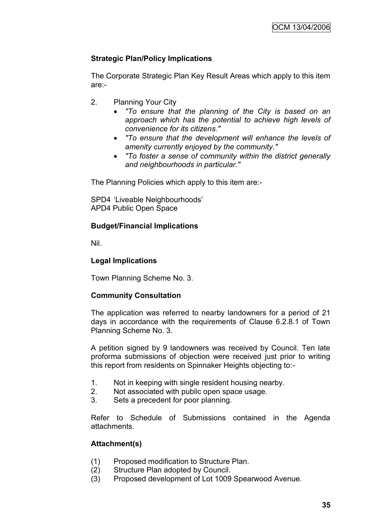# **Strategic Plan/Policy Implications**

The Corporate Strategic Plan Key Result Areas which apply to this item are:-

- 2. Planning Your City
	- *"To ensure that the planning of the City is based on an approach which has the potential to achieve high levels of convenience for its citizens."*
	- *"To ensure that the development will enhance the levels of amenity currently enjoyed by the community."*
	- *"To foster a sense of community within the district generally and neighbourhoods in particular."*

The Planning Policies which apply to this item are:-

SPD4 "Liveable Neighbourhoods" APD4 Public Open Space

# **Budget/Financial Implications**

Nil.

# **Legal Implications**

Town Planning Scheme No. 3.

# **Community Consultation**

The application was referred to nearby landowners for a period of 21 days in accordance with the requirements of Clause 6.2.8.1 of Town Planning Scheme No. 3.

A petition signed by 9 landowners was received by Council. Ten late proforma submissions of objection were received just prior to writing this report from residents on Spinnaker Heights objecting to:-

- 1. Not in keeping with single resident housing nearby.
- 2. Not associated with public open space usage.
- 3. Sets a precedent for poor planning.

Refer to Schedule of Submissions contained in the Agenda attachments.

# **Attachment(s)**

- (1) Proposed modification to Structure Plan.
- (2) Structure Plan adopted by Council.
- (3) Proposed development of Lot 1009 Spearwood Avenue.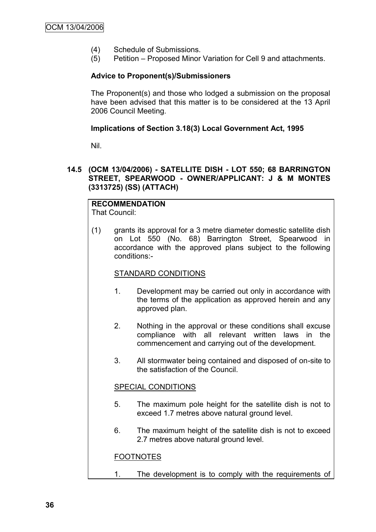- (4) Schedule of Submissions.
- (5) Petition Proposed Minor Variation for Cell 9 and attachments.

# **Advice to Proponent(s)/Submissioners**

The Proponent(s) and those who lodged a submission on the proposal have been advised that this matter is to be considered at the 13 April 2006 Council Meeting.

### **Implications of Section 3.18(3) Local Government Act, 1995**

Nil.

# **14.5 (OCM 13/04/2006) - SATELLITE DISH - LOT 550; 68 BARRINGTON STREET, SPEARWOOD - OWNER/APPLICANT: J & M MONTES (3313725) (SS) (ATTACH)**

#### **RECOMMENDATION** That Council:

(1) grants its approval for a 3 metre diameter domestic satellite dish on Lot 550 (No. 68) Barrington Street, Spearwood in accordance with the approved plans subject to the following conditions:-

# STANDARD CONDITIONS

- 1. Development may be carried out only in accordance with the terms of the application as approved herein and any approved plan.
- 2. Nothing in the approval or these conditions shall excuse compliance with all relevant written laws in the commencement and carrying out of the development.
- 3. All stormwater being contained and disposed of on-site to the satisfaction of the Council.

# SPECIAL CONDITIONS

- 5. The maximum pole height for the satellite dish is not to exceed 1.7 metres above natural ground level.
- 6. The maximum height of the satellite dish is not to exceed 2.7 metres above natural ground level.

# FOOTNOTES

1. The development is to comply with the requirements of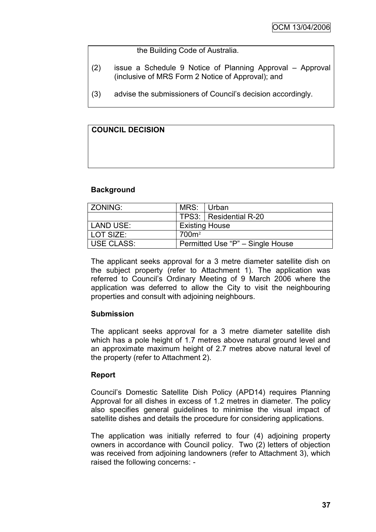the Building Code of Australia.

- (2) issue a Schedule 9 Notice of Planning Approval Approval (inclusive of MRS Form 2 Notice of Approval); and
- (3) advise the submissioners of Council"s decision accordingly.

# **COUNCIL DECISION**

#### **Background**

| LZONING:   | MRS: Urban                       |                        |  |
|------------|----------------------------------|------------------------|--|
|            |                                  | TPS3: Residential R-20 |  |
| LAND USE:  | <b>Existing House</b>            |                        |  |
| LOT SIZE:  | 700 <sup>m²</sup>                |                        |  |
| USE CLASS: | Permitted Use "P" - Single House |                        |  |

The applicant seeks approval for a 3 metre diameter satellite dish on the subject property (refer to Attachment 1). The application was referred to Council"s Ordinary Meeting of 9 March 2006 where the application was deferred to allow the City to visit the neighbouring properties and consult with adjoining neighbours.

# **Submission**

The applicant seeks approval for a 3 metre diameter satellite dish which has a pole height of 1.7 metres above natural ground level and an approximate maximum height of 2.7 metres above natural level of the property (refer to Attachment 2).

# **Report**

Council"s Domestic Satellite Dish Policy (APD14) requires Planning Approval for all dishes in excess of 1.2 metres in diameter. The policy also specifies general guidelines to minimise the visual impact of satellite dishes and details the procedure for considering applications.

The application was initially referred to four (4) adjoining property owners in accordance with Council policy. Two (2) letters of objection was received from adjoining landowners (refer to Attachment 3), which raised the following concerns: -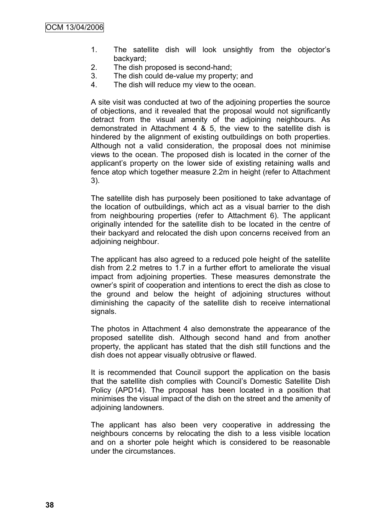- 1. The satellite dish will look unsightly from the objector"s backyard;
- 2. The dish proposed is second-hand;
- 3. The dish could de-value my property; and
- 4. The dish will reduce my view to the ocean.

A site visit was conducted at two of the adjoining properties the source of objections, and it revealed that the proposal would not significantly detract from the visual amenity of the adjoining neighbours. As demonstrated in Attachment 4 & 5, the view to the satellite dish is hindered by the alignment of existing outbuildings on both properties. Although not a valid consideration, the proposal does not minimise views to the ocean. The proposed dish is located in the corner of the applicant"s property on the lower side of existing retaining walls and fence atop which together measure 2.2m in height (refer to Attachment 3).

The satellite dish has purposely been positioned to take advantage of the location of outbuildings, which act as a visual barrier to the dish from neighbouring properties (refer to Attachment 6). The applicant originally intended for the satellite dish to be located in the centre of their backyard and relocated the dish upon concerns received from an adjoining neighbour.

The applicant has also agreed to a reduced pole height of the satellite dish from 2.2 metres to 1.7 in a further effort to ameliorate the visual impact from adjoining properties. These measures demonstrate the owner"s spirit of cooperation and intentions to erect the dish as close to the ground and below the height of adjoining structures without diminishing the capacity of the satellite dish to receive international signals.

The photos in Attachment 4 also demonstrate the appearance of the proposed satellite dish. Although second hand and from another property, the applicant has stated that the dish still functions and the dish does not appear visually obtrusive or flawed.

It is recommended that Council support the application on the basis that the satellite dish complies with Council"s Domestic Satellite Dish Policy (APD14). The proposal has been located in a position that minimises the visual impact of the dish on the street and the amenity of adjoining landowners.

The applicant has also been very cooperative in addressing the neighbours concerns by relocating the dish to a less visible location and on a shorter pole height which is considered to be reasonable under the circumstances.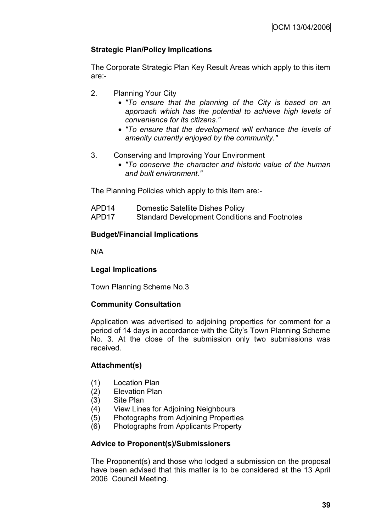# **Strategic Plan/Policy Implications**

The Corporate Strategic Plan Key Result Areas which apply to this item are:-

- 2. Planning Your City
	- *"To ensure that the planning of the City is based on an approach which has the potential to achieve high levels of convenience for its citizens."*
	- *"To ensure that the development will enhance the levels of amenity currently enjoyed by the community."*
- 3. Conserving and Improving Your Environment
	- *"To conserve the character and historic value of the human and built environment."*

The Planning Policies which apply to this item are:-

- APD14 Domestic Satellite Dishes Policy
- APD17 Standard Development Conditions and Footnotes

# **Budget/Financial Implications**

N/A

# **Legal Implications**

Town Planning Scheme No.3

# **Community Consultation**

Application was advertised to adjoining properties for comment for a period of 14 days in accordance with the City"s Town Planning Scheme No. 3. At the close of the submission only two submissions was received.

# **Attachment(s)**

- (1) Location Plan
- (2) Elevation Plan
- (3) Site Plan
- (4) View Lines for Adjoining Neighbours
- (5) Photographs from Adjoining Properties
- (6) Photographs from Applicants Property

# **Advice to Proponent(s)/Submissioners**

The Proponent(s) and those who lodged a submission on the proposal have been advised that this matter is to be considered at the 13 April 2006 Council Meeting.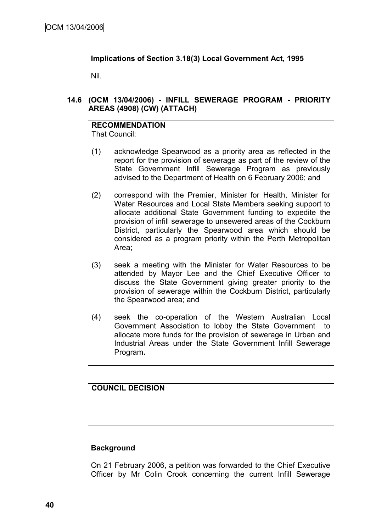# **Implications of Section 3.18(3) Local Government Act, 1995**

Nil.

# **14.6 (OCM 13/04/2006) - INFILL SEWERAGE PROGRAM - PRIORITY AREAS (4908) (CW) (ATTACH)**

# **RECOMMENDATION**

That Council:

- (1) acknowledge Spearwood as a priority area as reflected in the report for the provision of sewerage as part of the review of the State Government Infill Sewerage Program as previously advised to the Department of Health on 6 February 2006; and
- (2) correspond with the Premier, Minister for Health, Minister for Water Resources and Local State Members seeking support to allocate additional State Government funding to expedite the provision of infill sewerage to unsewered areas of the Cockburn District, particularly the Spearwood area which should be considered as a program priority within the Perth Metropolitan Area;
- (3) seek a meeting with the Minister for Water Resources to be attended by Mayor Lee and the Chief Executive Officer to discuss the State Government giving greater priority to the provision of sewerage within the Cockburn District, particularly the Spearwood area; and
- (4) seek the co-operation of the Western Australian Local Government Association to lobby the State Government to allocate more funds for the provision of sewerage in Urban and Industrial Areas under the State Government Infill Sewerage Program**.**

# **COUNCIL DECISION**

# **Background**

On 21 February 2006, a petition was forwarded to the Chief Executive Officer by Mr Colin Crook concerning the current Infill Sewerage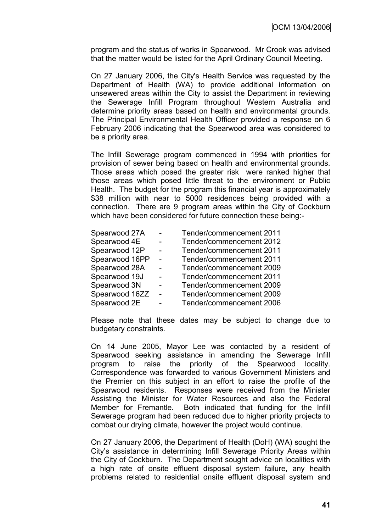program and the status of works in Spearwood. Mr Crook was advised that the matter would be listed for the April Ordinary Council Meeting.

On 27 January 2006, the City's Health Service was requested by the Department of Health (WA) to provide additional information on unsewered areas within the City to assist the Department in reviewing the Sewerage Infill Program throughout Western Australia and determine priority areas based on health and environmental grounds. The Principal Environmental Health Officer provided a response on 6 February 2006 indicating that the Spearwood area was considered to be a priority area.

The Infill Sewerage program commenced in 1994 with priorities for provision of sewer being based on health and environmental grounds. Those areas which posed the greater risk were ranked higher that those areas which posed little threat to the environment or Public Health. The budget for the program this financial year is approximately \$38 million with near to 5000 residences being provided with a connection. There are 9 program areas within the City of Cockburn which have been considered for future connection these being:-

| Spearwood 27A  | $\sim$ | Tender/commencement 2011 |
|----------------|--------|--------------------------|
| Spearwood 4E   |        | Tender/commencement 2012 |
| Spearwood 12P  |        | Tender/commencement 2011 |
| Spearwood 16PP | $\sim$ | Tender/commencement 2011 |
| Spearwood 28A  |        | Tender/commencement 2009 |
| Spearwood 19J  |        | Tender/commencement 2011 |
| Spearwood 3N   |        | Tender/commencement 2009 |
| Spearwood 16ZZ | $\sim$ | Tender/commencement 2009 |
| Spearwood 2E   |        | Tender/commencement 2006 |

Please note that these dates may be subject to change due to budgetary constraints.

On 14 June 2005, Mayor Lee was contacted by a resident of Spearwood seeking assistance in amending the Sewerage Infill program to raise the priority of the Spearwood locality. Correspondence was forwarded to various Government Ministers and the Premier on this subject in an effort to raise the profile of the Spearwood residents. Responses were received from the Minister Assisting the Minister for Water Resources and also the Federal Member for Fremantle. Both indicated that funding for the Infill Sewerage program had been reduced due to higher priority projects to combat our drying climate, however the project would continue.

On 27 January 2006, the Department of Health (DoH) (WA) sought the City"s assistance in determining Infill Sewerage Priority Areas within the City of Cockburn. The Department sought advice on localities with a high rate of onsite effluent disposal system failure, any health problems related to residential onsite effluent disposal system and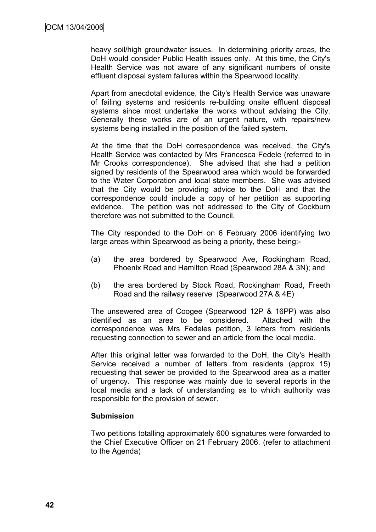heavy soil/high groundwater issues. In determining priority areas, the DoH would consider Public Health issues only. At this time, the City's Health Service was not aware of any significant numbers of onsite effluent disposal system failures within the Spearwood locality.

Apart from anecdotal evidence, the City's Health Service was unaware of failing systems and residents re-building onsite effluent disposal systems since most undertake the works without advising the City. Generally these works are of an urgent nature, with repairs/new systems being installed in the position of the failed system.

At the time that the DoH correspondence was received, the City's Health Service was contacted by Mrs Francesca Fedele (referred to in Mr Crooks correspondence). She advised that she had a petition signed by residents of the Spearwood area which would be forwarded to the Water Corporation and local state members. She was advised that the City would be providing advice to the DoH and that the correspondence could include a copy of her petition as supporting evidence. The petition was not addressed to the City of Cockburn therefore was not submitted to the Council.

The City responded to the DoH on 6 February 2006 identifying two large areas within Spearwood as being a priority, these being:-

- (a) the area bordered by Spearwood Ave, Rockingham Road, Phoenix Road and Hamilton Road (Spearwood 28A & 3N); and
- (b) the area bordered by Stock Road, Rockingham Road, Freeth Road and the railway reserve (Spearwood 27A & 4E)

The unsewered area of Coogee (Spearwood 12P & 16PP) was also identified as an area to be considered. Attached with the correspondence was Mrs Fedeles petition, 3 letters from residents requesting connection to sewer and an article from the local media.

After this original letter was forwarded to the DoH, the City's Health Service received a number of letters from residents (approx 15) requesting that sewer be provided to the Spearwood area as a matter of urgency. This response was mainly due to several reports in the local media and a lack of understanding as to which authority was responsible for the provision of sewer.

# **Submission**

Two petitions totalling approximately 600 signatures were forwarded to the Chief Executive Officer on 21 February 2006. (refer to attachment to the Agenda)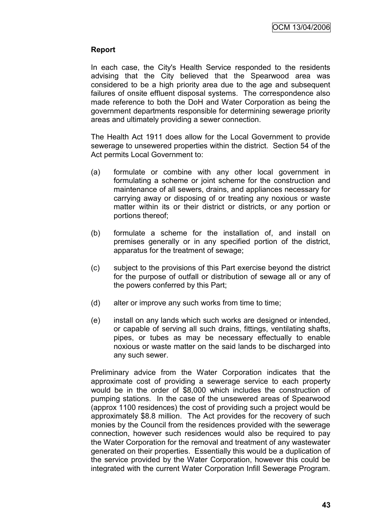# **Report**

In each case, the City's Health Service responded to the residents advising that the City believed that the Spearwood area was considered to be a high priority area due to the age and subsequent failures of onsite effluent disposal systems. The correspondence also made reference to both the DoH and Water Corporation as being the government departments responsible for determining sewerage priority areas and ultimately providing a sewer connection.

The Health Act 1911 does allow for the Local Government to provide sewerage to unsewered properties within the district. Section 54 of the Act permits Local Government to:

- (a) formulate or combine with any other local government in formulating a scheme or joint scheme for the construction and maintenance of all sewers, drains, and appliances necessary for carrying away or disposing of or treating any noxious or waste matter within its or their district or districts, or any portion or portions thereof;
- (b) formulate a scheme for the installation of, and install on premises generally or in any specified portion of the district, apparatus for the treatment of sewage;
- (c) subject to the provisions of this Part exercise beyond the district for the purpose of outfall or distribution of sewage all or any of the powers conferred by this Part;
- (d) alter or improve any such works from time to time;
- (e) install on any lands which such works are designed or intended, or capable of serving all such drains, fittings, ventilating shafts, pipes, or tubes as may be necessary effectually to enable noxious or waste matter on the said lands to be discharged into any such sewer.

Preliminary advice from the Water Corporation indicates that the approximate cost of providing a sewerage service to each property would be in the order of \$8,000 which includes the construction of pumping stations. In the case of the unsewered areas of Spearwood (approx 1100 residences) the cost of providing such a project would be approximately \$8.8 million. The Act provides for the recovery of such monies by the Council from the residences provided with the sewerage connection, however such residences would also be required to pay the Water Corporation for the removal and treatment of any wastewater generated on their properties. Essentially this would be a duplication of the service provided by the Water Corporation, however this could be integrated with the current Water Corporation Infill Sewerage Program.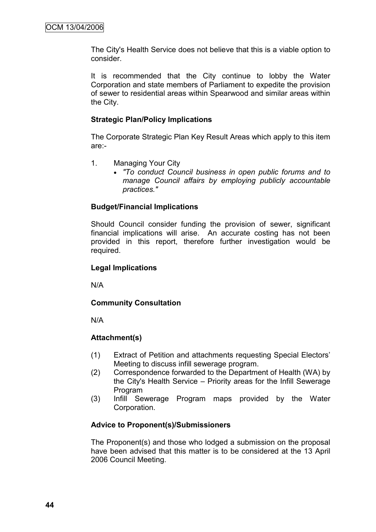The City's Health Service does not believe that this is a viable option to consider.

It is recommended that the City continue to lobby the Water Corporation and state members of Parliament to expedite the provision of sewer to residential areas within Spearwood and similar areas within the City.

# **Strategic Plan/Policy Implications**

The Corporate Strategic Plan Key Result Areas which apply to this item are:-

- 1. Managing Your City
	- *"To conduct Council business in open public forums and to manage Council affairs by employing publicly accountable practices."*

# **Budget/Financial Implications**

Should Council consider funding the provision of sewer, significant financial implications will arise. An accurate costing has not been provided in this report, therefore further investigation would be required.

# **Legal Implications**

N/A

# **Community Consultation**

N/A

# **Attachment(s)**

- (1) Extract of Petition and attachments requesting Special Electors" Meeting to discuss infill sewerage program.
- (2) Correspondence forwarded to the Department of Health (WA) by the City's Health Service – Priority areas for the Infill Sewerage Program
- (3) Infill Sewerage Program maps provided by the Water Corporation.

# **Advice to Proponent(s)/Submissioners**

The Proponent(s) and those who lodged a submission on the proposal have been advised that this matter is to be considered at the 13 April 2006 Council Meeting.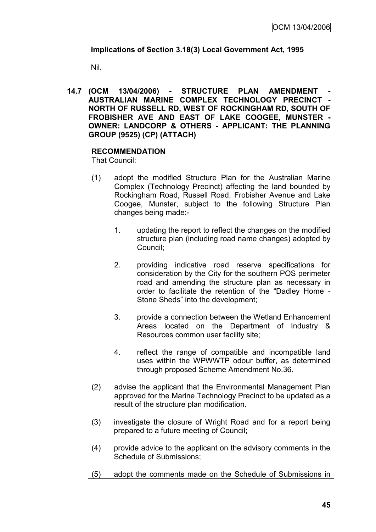# **Implications of Section 3.18(3) Local Government Act, 1995**

Nil.

**14.7 (OCM 13/04/2006) - STRUCTURE PLAN AMENDMENT - AUSTRALIAN MARINE COMPLEX TECHNOLOGY PRECINCT - NORTH OF RUSSELL RD, WEST OF ROCKINGHAM RD, SOUTH OF FROBISHER AVE AND EAST OF LAKE COOGEE, MUNSTER - OWNER: LANDCORP & OTHERS - APPLICANT: THE PLANNING GROUP (9525) (CP) (ATTACH)**

# **RECOMMENDATION**

That Council:

- (1) adopt the modified Structure Plan for the Australian Marine Complex (Technology Precinct) affecting the land bounded by Rockingham Road, Russell Road, Frobisher Avenue and Lake Coogee, Munster, subject to the following Structure Plan changes being made:-
	- 1. updating the report to reflect the changes on the modified structure plan (including road name changes) adopted by Council;
	- 2. providing indicative road reserve specifications for consideration by the City for the southern POS perimeter road and amending the structure plan as necessary in order to facilitate the retention of the "Dadley Home - Stone Sheds" into the development;
	- 3. provide a connection between the Wetland Enhancement Areas located on the Department of Industry & Resources common user facility site;
	- 4. reflect the range of compatible and incompatible land uses within the WPWWTP odour buffer, as determined through proposed Scheme Amendment No.36.
- (2) advise the applicant that the Environmental Management Plan approved for the Marine Technology Precinct to be updated as a result of the structure plan modification.
- (3) investigate the closure of Wright Road and for a report being prepared to a future meeting of Council;
- (4) provide advice to the applicant on the advisory comments in the Schedule of Submissions;
- (5) adopt the comments made on the Schedule of Submissions in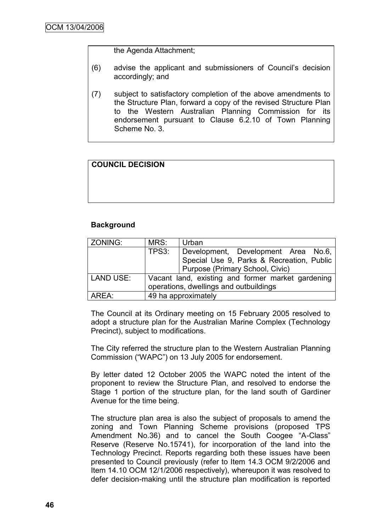the Agenda Attachment;

- (6) advise the applicant and submissioners of Council"s decision accordingly; and
- (7) subject to satisfactory completion of the above amendments to the Structure Plan, forward a copy of the revised Structure Plan to the Western Australian Planning Commission for its endorsement pursuant to Clause 6.2.10 of Town Planning Scheme No. 3.

# **COUNCIL DECISION**

# **Background**

| <b>ZONING:</b> | MRS:                                              | Urban                                     |  |
|----------------|---------------------------------------------------|-------------------------------------------|--|
|                | TPS3:                                             | Development, Development Area No.6,       |  |
|                |                                                   | Special Use 9, Parks & Recreation, Public |  |
|                |                                                   | Purpose (Primary School, Civic)           |  |
| LAND USE:      | Vacant land, existing and former market gardening |                                           |  |
|                | operations, dwellings and outbuildings            |                                           |  |
| AREA:          | 49 ha approximately                               |                                           |  |

The Council at its Ordinary meeting on 15 February 2005 resolved to adopt a structure plan for the Australian Marine Complex (Technology Precinct), subject to modifications.

The City referred the structure plan to the Western Australian Planning Commission ("WAPC") on 13 July 2005 for endorsement.

By letter dated 12 October 2005 the WAPC noted the intent of the proponent to review the Structure Plan, and resolved to endorse the Stage 1 portion of the structure plan, for the land south of Gardiner Avenue for the time being.

The structure plan area is also the subject of proposals to amend the zoning and Town Planning Scheme provisions (proposed TPS Amendment No.36) and to cancel the South Coogee "A-Class" Reserve (Reserve No.15741), for incorporation of the land into the Technology Precinct. Reports regarding both these issues have been presented to Council previously (refer to Item 14.3 OCM 9/2/2006 and Item 14.10 OCM 12/1/2006 respectively), whereupon it was resolved to defer decision-making until the structure plan modification is reported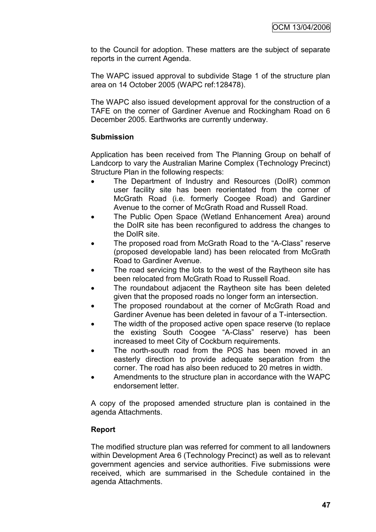to the Council for adoption. These matters are the subject of separate reports in the current Agenda.

The WAPC issued approval to subdivide Stage 1 of the structure plan area on 14 October 2005 (WAPC ref:128478).

The WAPC also issued development approval for the construction of a TAFE on the corner of Gardiner Avenue and Rockingham Road on 6 December 2005. Earthworks are currently underway.

# **Submission**

Application has been received from The Planning Group on behalf of Landcorp to vary the Australian Marine Complex (Technology Precinct) Structure Plan in the following respects:

- The Department of Industry and Resources (DoIR) common user facility site has been reorientated from the corner of McGrath Road (i.e. formerly Coogee Road) and Gardiner Avenue to the corner of McGrath Road and Russell Road.
- The Public Open Space (Wetland Enhancement Area) around the DoIR site has been reconfigured to address the changes to the DoIR site.
- The proposed road from McGrath Road to the "A-Class" reserve (proposed developable land) has been relocated from McGrath Road to Gardiner Avenue.
- The road servicing the lots to the west of the Raytheon site has been relocated from McGrath Road to Russell Road.
- The roundabout adjacent the Raytheon site has been deleted given that the proposed roads no longer form an intersection.
- The proposed roundabout at the corner of McGrath Road and Gardiner Avenue has been deleted in favour of a T-intersection.
- The width of the proposed active open space reserve (to replace the existing South Coogee "A-Class" reserve) has been increased to meet City of Cockburn requirements.
- The north-south road from the POS has been moved in an easterly direction to provide adequate separation from the corner. The road has also been reduced to 20 metres in width.
- Amendments to the structure plan in accordance with the WAPC endorsement letter.

A copy of the proposed amended structure plan is contained in the agenda Attachments.

# **Report**

The modified structure plan was referred for comment to all landowners within Development Area 6 (Technology Precinct) as well as to relevant government agencies and service authorities. Five submissions were received, which are summarised in the Schedule contained in the agenda Attachments.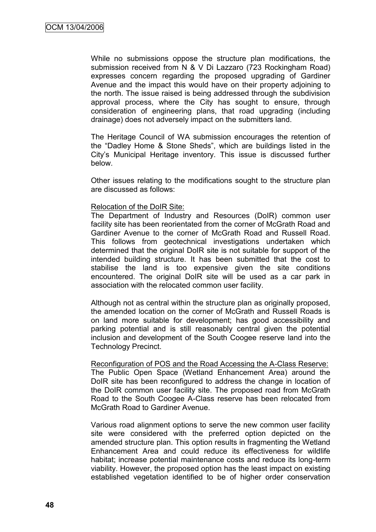While no submissions oppose the structure plan modifications, the submission received from N & V Di Lazzaro (723 Rockingham Road) expresses concern regarding the proposed upgrading of Gardiner Avenue and the impact this would have on their property adjoining to the north. The issue raised is being addressed through the subdivision approval process, where the City has sought to ensure, through consideration of engineering plans, that road upgrading (including drainage) does not adversely impact on the submitters land.

The Heritage Council of WA submission encourages the retention of the "Dadley Home & Stone Sheds", which are buildings listed in the City"s Municipal Heritage inventory. This issue is discussed further below.

Other issues relating to the modifications sought to the structure plan are discussed as follows:

#### Relocation of the DoIR Site:

The Department of Industry and Resources (DoIR) common user facility site has been reorientated from the corner of McGrath Road and Gardiner Avenue to the corner of McGrath Road and Russell Road. This follows from geotechnical investigations undertaken which determined that the original DoIR site is not suitable for support of the intended building structure. It has been submitted that the cost to stabilise the land is too expensive given the site conditions encountered. The original DoIR site will be used as a car park in association with the relocated common user facility.

Although not as central within the structure plan as originally proposed, the amended location on the corner of McGrath and Russell Roads is on land more suitable for development; has good accessibility and parking potential and is still reasonably central given the potential inclusion and development of the South Coogee reserve land into the Technology Precinct.

Reconfiguration of POS and the Road Accessing the A-Class Reserve: The Public Open Space (Wetland Enhancement Area) around the DoIR site has been reconfigured to address the change in location of the DoIR common user facility site. The proposed road from McGrath Road to the South Coogee A-Class reserve has been relocated from McGrath Road to Gardiner Avenue.

Various road alignment options to serve the new common user facility site were considered with the preferred option depicted on the amended structure plan. This option results in fragmenting the Wetland Enhancement Area and could reduce its effectiveness for wildlife habitat; increase potential maintenance costs and reduce its long-term viability. However, the proposed option has the least impact on existing established vegetation identified to be of higher order conservation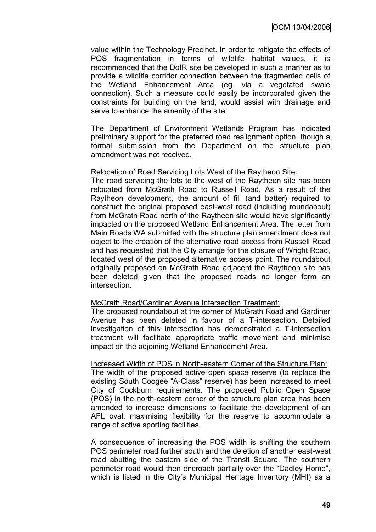OCM 13/04/2006

value within the Technology Precinct. In order to mitigate the effects of POS fragmentation in terms of wildlife habitat values, it is recommended that the DoIR site be developed in such a manner as to provide a wildlife corridor connection between the fragmented cells of the Wetland Enhancement Area (eg. via a vegetated swale connection). Such a measure could easily be incorporated given the constraints for building on the land; would assist with drainage and serve to enhance the amenity of the site.

The Department of Environment Wetlands Program has indicated preliminary support for the preferred road realignment option, though a formal submission from the Department on the structure plan amendment was not received.

#### Relocation of Road Servicing Lots West of the Raytheon Site:

The road servicing the lots to the west of the Raytheon site has been relocated from McGrath Road to Russell Road. As a result of the Raytheon development, the amount of fill (and batter) required to construct the original proposed east-west road (including roundabout) from McGrath Road north of the Raytheon site would have significantly impacted on the proposed Wetland Enhancement Area. The letter from Main Roads WA submitted with the structure plan amendment does not object to the creation of the alternative road access from Russell Road and has requested that the City arrange for the closure of Wright Road, located west of the proposed alternative access point. The roundabout originally proposed on McGrath Road adjacent the Raytheon site has been deleted given that the proposed roads no longer form an intersection.

#### McGrath Road/Gardiner Avenue Intersection Treatment:

The proposed roundabout at the corner of McGrath Road and Gardiner Avenue has been deleted in favour of a T-intersection. Detailed investigation of this intersection has demonstrated a T-intersection treatment will facilitate appropriate traffic movement and minimise impact on the adjoining Wetland Enhancement Area.

#### Increased Width of POS in North-eastern Corner of the Structure Plan:

The width of the proposed active open space reserve (to replace the existing South Coogee "A-Class" reserve) has been increased to meet City of Cockburn requirements. The proposed Public Open Space (POS) in the north-eastern corner of the structure plan area has been amended to increase dimensions to facilitate the development of an AFL oval, maximising flexibility for the reserve to accommodate a range of active sporting facilities.

A consequence of increasing the POS width is shifting the southern POS perimeter road further south and the deletion of another east-west road abutting the eastern side of the Transit Square. The southern perimeter road would then encroach partially over the "Dadley Home", which is listed in the City's Municipal Heritage Inventory (MHI) as a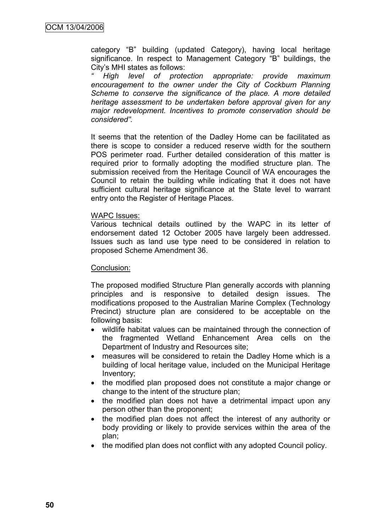category "B" building (updated Category), having local heritage significance. In respect to Management Category "B" buildings, the City"s MHI states as follows:

*" High level of protection appropriate: provide maximum encouragement to the owner under the City of Cockburn Planning Scheme to conserve the significance of the place. A more detailed heritage assessment to be undertaken before approval given for any major redevelopment. Incentives to promote conservation should be considered".*

It seems that the retention of the Dadley Home can be facilitated as there is scope to consider a reduced reserve width for the southern POS perimeter road. Further detailed consideration of this matter is required prior to formally adopting the modified structure plan. The submission received from the Heritage Council of WA encourages the Council to retain the building while indicating that it does not have sufficient cultural heritage significance at the State level to warrant entry onto the Register of Heritage Places.

#### WAPC Issues:

Various technical details outlined by the WAPC in its letter of endorsement dated 12 October 2005 have largely been addressed. Issues such as land use type need to be considered in relation to proposed Scheme Amendment 36.

#### Conclusion:

The proposed modified Structure Plan generally accords with planning principles and is responsive to detailed design issues. The modifications proposed to the Australian Marine Complex (Technology Precinct) structure plan are considered to be acceptable on the following basis:

- wildlife habitat values can be maintained through the connection of the fragmented Wetland Enhancement Area cells on the Department of Industry and Resources site;
- measures will be considered to retain the Dadley Home which is a building of local heritage value, included on the Municipal Heritage Inventory;
- the modified plan proposed does not constitute a major change or change to the intent of the structure plan;
- the modified plan does not have a detrimental impact upon any person other than the proponent;
- the modified plan does not affect the interest of any authority or body providing or likely to provide services within the area of the plan;
- the modified plan does not conflict with any adopted Council policy.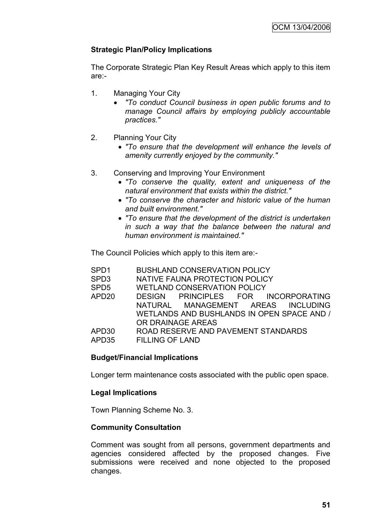# **Strategic Plan/Policy Implications**

The Corporate Strategic Plan Key Result Areas which apply to this item are:-

- 1. Managing Your City
	- *"To conduct Council business in open public forums and to manage Council affairs by employing publicly accountable practices."*
- 2. Planning Your City
	- *"To ensure that the development will enhance the levels of amenity currently enjoyed by the community."*
- 3. Conserving and Improving Your Environment
	- *"To conserve the quality, extent and uniqueness of the natural environment that exists within the district."*
	- *"To conserve the character and historic value of the human and built environment."*
	- *"To ensure that the development of the district is undertaken in such a way that the balance between the natural and human environment is maintained."*

The Council Policies which apply to this item are:-

| SPD <sub>1</sub>  | <b>BUSHLAND CONSERVATION POLICY</b>        |
|-------------------|--------------------------------------------|
| SPD <sub>3</sub>  | NATIVE FAUNA PROTECTION POLICY             |
| SPD <sub>5</sub>  | <b>WETLAND CONSERVATION POLICY</b>         |
| APD <sub>20</sub> | DESIGN PRINCIPLES FOR INCORPORATING        |
|                   | NATURAL MANAGEMENT AREAS INCLUDING         |
|                   | WETLANDS AND BUSHLANDS IN OPEN SPACE AND / |
|                   | OR DRAINAGE AREAS                          |
| APD <sub>30</sub> | ROAD RESERVE AND PAVEMENT STANDARDS        |
| APD35             | <b>FILLING OF LAND</b>                     |
|                   |                                            |

# **Budget/Financial Implications**

Longer term maintenance costs associated with the public open space.

# **Legal Implications**

Town Planning Scheme No. 3.

# **Community Consultation**

Comment was sought from all persons, government departments and agencies considered affected by the proposed changes. Five submissions were received and none objected to the proposed changes.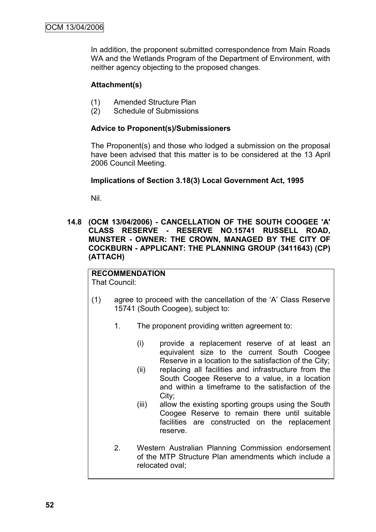In addition, the proponent submitted correspondence from Main Roads WA and the Wetlands Program of the Department of Environment, with neither agency objecting to the proposed changes.

# **Attachment(s)**

- (1) Amended Structure Plan
- (2) Schedule of Submissions

# **Advice to Proponent(s)/Submissioners**

The Proponent(s) and those who lodged a submission on the proposal have been advised that this matter is to be considered at the 13 April 2006 Council Meeting.

# **Implications of Section 3.18(3) Local Government Act, 1995**

Nil.

**14.8 (OCM 13/04/2006) - CANCELLATION OF THE SOUTH COOGEE 'A' CLASS RESERVE - RESERVE NO.15741 RUSSELL ROAD, MUNSTER - OWNER: THE CROWN, MANAGED BY THE CITY OF COCKBURN - APPLICANT: THE PLANNING GROUP (3411643) (CP) (ATTACH)**

# **RECOMMENDATION**

That Council:

- (1) agree to proceed with the cancellation of the "A" Class Reserve 15741 (South Coogee), subject to:
	- 1. The proponent providing written agreement to:
		- (i) provide a replacement reserve of at least an equivalent size to the current South Coogee Reserve in a location to the satisfaction of the City;
		- (ii) replacing all facilities and infrastructure from the South Coogee Reserve to a value, in a location and within a timeframe to the satisfaction of the City;
		- (iii) allow the existing sporting groups using the South Coogee Reserve to remain there until suitable facilities are constructed on the replacement reserve.
	- 2. Western Australian Planning Commission endorsement of the MTP Structure Plan amendments which include a relocated oval;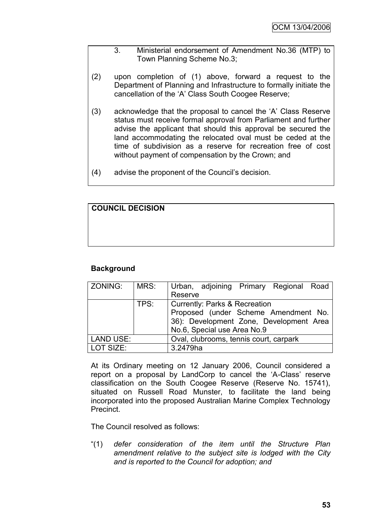- 3. Ministerial endorsement of Amendment No.36 (MTP) to Town Planning Scheme No.3;
- (2) upon completion of (1) above, forward a request to the Department of Planning and Infrastructure to formally initiate the cancellation of the "A" Class South Coogee Reserve;
- (3) acknowledge that the proposal to cancel the "A" Class Reserve status must receive formal approval from Parliament and further advise the applicant that should this approval be secured the land accommodating the relocated oval must be ceded at the time of subdivision as a reserve for recreation free of cost without payment of compensation by the Crown; and
- (4) advise the proponent of the Council"s decision.

# **COUNCIL DECISION**

# **Background**

| ZONING:          | MRS: | Urban, adjoining Primary Regional Road   |
|------------------|------|------------------------------------------|
|                  |      | Reserve                                  |
|                  | TPS: | <b>Currently: Parks &amp; Recreation</b> |
|                  |      | Proposed (under Scheme Amendment No.     |
|                  |      | 36): Development Zone, Development Area  |
|                  |      | No.6, Special use Area No.9              |
| <b>LAND USE:</b> |      | Oval, clubrooms, tennis court, carpark   |
| LOT SIZE:        |      | 3.2479ha                                 |

At its Ordinary meeting on 12 January 2006, Council considered a report on a proposal by LandCorp to cancel the 'A-Class' reserve classification on the South Coogee Reserve (Reserve No. 15741), situated on Russell Road Munster, to facilitate the land being incorporated into the proposed Australian Marine Complex Technology Precinct.

The Council resolved as follows:

"(1) *defer consideration of the item until the Structure Plan amendment relative to the subject site is lodged with the City and is reported to the Council for adoption; and*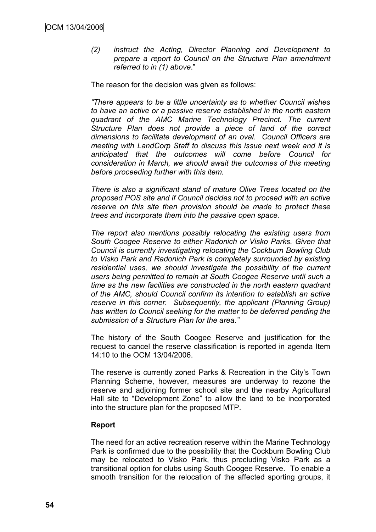*(2) instruct the Acting, Director Planning and Development to prepare a report to Council on the Structure Plan amendment referred to in (1) above*."

The reason for the decision was given as follows:

*"There appears to be a little uncertainty as to whether Council wishes to have an active or a passive reserve established in the north eastern quadrant of the AMC Marine Technology Precinct. The current Structure Plan does not provide a piece of land of the correct dimensions to facilitate development of an oval. Council Officers are meeting with LandCorp Staff to discuss this issue next week and it is anticipated that the outcomes will come before Council for consideration in March, we should await the outcomes of this meeting before proceeding further with this item.*

*There is also a significant stand of mature Olive Trees located on the proposed POS site and if Council decides not to proceed with an active reserve on this site then provision should be made to protect these trees and incorporate them into the passive open space.*

*The report also mentions possibly relocating the existing users from South Coogee Reserve to either Radonich or Visko Parks. Given that Council is currently investigating relocating the Cockburn Bowling Club to Visko Park and Radonich Park is completely surrounded by existing residential uses, we should investigate the possibility of the current users being permitted to remain at South Coogee Reserve until such a time as the new facilities are constructed in the north eastern quadrant of the AMC, should Council confirm its intention to establish an active reserve in this corner. Subsequently, the applicant (Planning Group) has written to Council seeking for the matter to be deferred pending the submission of a Structure Plan for the area."*

The history of the South Coogee Reserve and justification for the request to cancel the reserve classification is reported in agenda Item 14:10 to the OCM 13/04/2006.

The reserve is currently zoned Parks & Recreation in the City"s Town Planning Scheme, however, measures are underway to rezone the reserve and adjoining former school site and the nearby Agricultural Hall site to "Development Zone" to allow the land to be incorporated into the structure plan for the proposed MTP.

# **Report**

The need for an active recreation reserve within the Marine Technology Park is confirmed due to the possibility that the Cockburn Bowling Club may be relocated to Visko Park, thus precluding Visko Park as a transitional option for clubs using South Coogee Reserve. To enable a smooth transition for the relocation of the affected sporting groups, it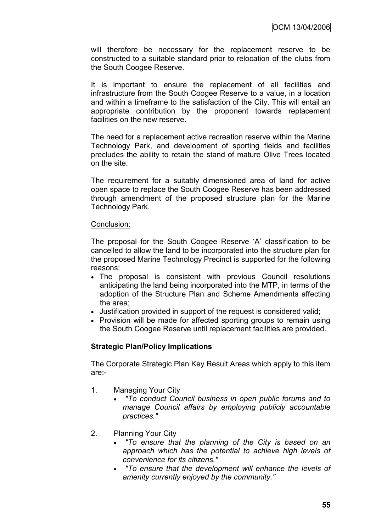will therefore be necessary for the replacement reserve to be constructed to a suitable standard prior to relocation of the clubs from the South Coogee Reserve.

It is important to ensure the replacement of all facilities and infrastructure from the South Coogee Reserve to a value, in a location and within a timeframe to the satisfaction of the City. This will entail an appropriate contribution by the proponent towards replacement facilities on the new reserve.

The need for a replacement active recreation reserve within the Marine Technology Park, and development of sporting fields and facilities precludes the ability to retain the stand of mature Olive Trees located on the site.

The requirement for a suitably dimensioned area of land for active open space to replace the South Coogee Reserve has been addressed through amendment of the proposed structure plan for the Marine Technology Park.

#### Conclusion:

The proposal for the South Coogee Reserve "A" classification to be cancelled to allow the land to be incorporated into the structure plan for the proposed Marine Technology Precinct is supported for the following reasons:

- The proposal is consistent with previous Council resolutions anticipating the land being incorporated into the MTP, in terms of the adoption of the Structure Plan and Scheme Amendments affecting the area;
- Justification provided in support of the request is considered valid;
- Provision will be made for affected sporting groups to remain using the South Coogee Reserve until replacement facilities are provided.

# **Strategic Plan/Policy Implications**

The Corporate Strategic Plan Key Result Areas which apply to this item are:-

- 1. Managing Your City
	- *"To conduct Council business in open public forums and to manage Council affairs by employing publicly accountable practices."*
- 2. Planning Your City
	- *"To ensure that the planning of the City is based on an approach which has the potential to achieve high levels of convenience for its citizens."*
	- *"To ensure that the development will enhance the levels of amenity currently enjoyed by the community."*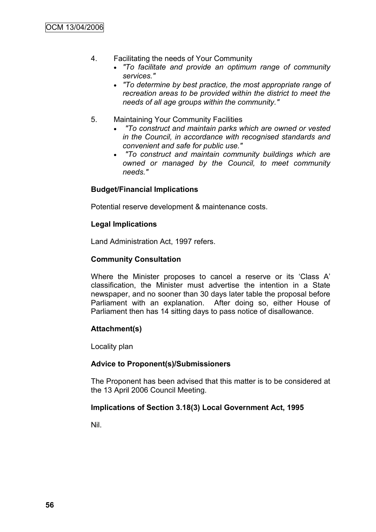- 4. Facilitating the needs of Your Community
	- *"To facilitate and provide an optimum range of community services."*
	- *"To determine by best practice, the most appropriate range of recreation areas to be provided within the district to meet the needs of all age groups within the community."*
- 5. Maintaining Your Community Facilities
	- *"To construct and maintain parks which are owned or vested in the Council, in accordance with recognised standards and convenient and safe for public use."*
	- *"To construct and maintain community buildings which are owned or managed by the Council, to meet community needs."*

# **Budget/Financial Implications**

Potential reserve development & maintenance costs.

# **Legal Implications**

Land Administration Act, 1997 refers.

# **Community Consultation**

Where the Minister proposes to cancel a reserve or its "Class A" classification, the Minister must advertise the intention in a State newspaper, and no sooner than 30 days later table the proposal before Parliament with an explanation. After doing so, either House of Parliament then has 14 sitting days to pass notice of disallowance.

# **Attachment(s)**

Locality plan

# **Advice to Proponent(s)/Submissioners**

The Proponent has been advised that this matter is to be considered at the 13 April 2006 Council Meeting.

# **Implications of Section 3.18(3) Local Government Act, 1995**

Nil.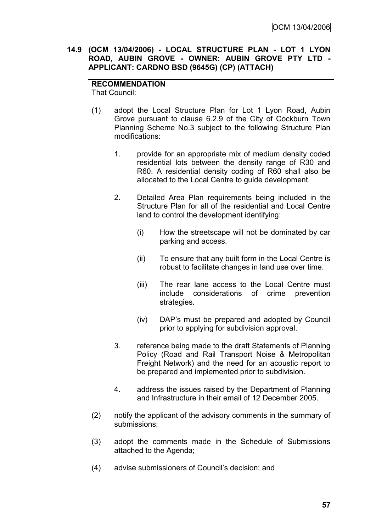# **14.9 (OCM 13/04/2006) - LOCAL STRUCTURE PLAN - LOT 1 LYON ROAD, AUBIN GROVE - OWNER: AUBIN GROVE PTY LTD - APPLICANT: CARDNO BSD (9645G) (CP) (ATTACH)**

# **RECOMMENDATION**

That Council:

- (1) adopt the Local Structure Plan for Lot 1 Lyon Road, Aubin Grove pursuant to clause 6.2.9 of the City of Cockburn Town Planning Scheme No.3 subject to the following Structure Plan modifications:
	- 1. provide for an appropriate mix of medium density coded residential lots between the density range of R30 and R60. A residential density coding of R60 shall also be allocated to the Local Centre to guide development.
	- 2. Detailed Area Plan requirements being included in the Structure Plan for all of the residential and Local Centre land to control the development identifying:
		- (i) How the streetscape will not be dominated by car parking and access.
		- (ii) To ensure that any built form in the Local Centre is robust to facilitate changes in land use over time.
		- (iii) The rear lane access to the Local Centre must include considerations of crime prevention strategies.
		- (iv) DAP"s must be prepared and adopted by Council prior to applying for subdivision approval.
	- 3. reference being made to the draft Statements of Planning Policy (Road and Rail Transport Noise & Metropolitan Freight Network) and the need for an acoustic report to be prepared and implemented prior to subdivision.
	- 4. address the issues raised by the Department of Planning and Infrastructure in their email of 12 December 2005.
- (2) notify the applicant of the advisory comments in the summary of submissions;
- (3) adopt the comments made in the Schedule of Submissions attached to the Agenda;
- (4) advise submissioners of Council"s decision; and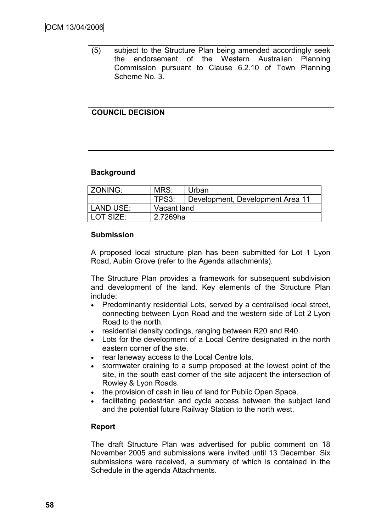(5) subject to the Structure Plan being amended accordingly seek the endorsement of the Western Australian Planning Commission pursuant to Clause 6.2.10 of Town Planning Scheme No. 3.

# **COUNCIL DECISION**

# **Background**

| ZONING:   | MRS:<br>Urban |                                  |  |  |
|-----------|---------------|----------------------------------|--|--|
|           | TPS3:         | Development, Development Area 11 |  |  |
| LAND USE: |               | Vacant land                      |  |  |
| LOT SIZE: | 2.7269ha      |                                  |  |  |

#### **Submission**

A proposed local structure plan has been submitted for Lot 1 Lyon Road, Aubin Grove (refer to the Agenda attachments).

The Structure Plan provides a framework for subsequent subdivision and development of the land. Key elements of the Structure Plan include:

- Predominantly residential Lots, served by a centralised local street, connecting between Lyon Road and the western side of Lot 2 Lyon Road to the north.
- residential density codings, ranging between R20 and R40.
- Lots for the development of a Local Centre designated in the north eastern corner of the site.
- rear laneway access to the Local Centre lots.
- stormwater draining to a sump proposed at the lowest point of the site, in the south east corner of the site adjacent the intersection of Rowley & Lyon Roads.
- the provision of cash in lieu of land for Public Open Space.
- facilitating pedestrian and cycle access between the subject land and the potential future Railway Station to the north west.

# **Report**

The draft Structure Plan was advertised for public comment on 18 November 2005 and submissions were invited until 13 December. Six submissions were received, a summary of which is contained in the Schedule in the agenda Attachments.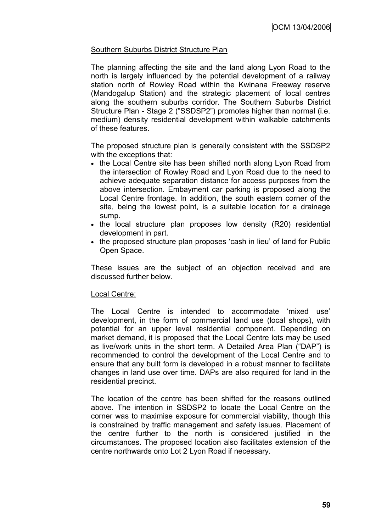# Southern Suburbs District Structure Plan

The planning affecting the site and the land along Lyon Road to the north is largely influenced by the potential development of a railway station north of Rowley Road within the Kwinana Freeway reserve (Mandogalup Station) and the strategic placement of local centres along the southern suburbs corridor. The Southern Suburbs District Structure Plan - Stage 2 ("SSDSP2") promotes higher than normal (i.e. medium) density residential development within walkable catchments of these features.

The proposed structure plan is generally consistent with the SSDSP2 with the exceptions that:

- the Local Centre site has been shifted north along Lyon Road from the intersection of Rowley Road and Lyon Road due to the need to achieve adequate separation distance for access purposes from the above intersection. Embayment car parking is proposed along the Local Centre frontage. In addition, the south eastern corner of the site, being the lowest point, is a suitable location for a drainage sump.
- the local structure plan proposes low density (R20) residential development in part.
- the proposed structure plan proposes 'cash in lieu' of land for Public Open Space.

These issues are the subject of an objection received and are discussed further below.

# Local Centre:

The Local Centre is intended to accommodate "mixed use" development, in the form of commercial land use (local shops), with potential for an upper level residential component. Depending on market demand, it is proposed that the Local Centre lots may be used as live/work units in the short term. A Detailed Area Plan ("DAP") is recommended to control the development of the Local Centre and to ensure that any built form is developed in a robust manner to facilitate changes in land use over time. DAPs are also required for land in the residential precinct.

The location of the centre has been shifted for the reasons outlined above. The intention in SSDSP2 to locate the Local Centre on the corner was to maximise exposure for commercial viability, though this is constrained by traffic management and safety issues. Placement of the centre further to the north is considered justified in the circumstances. The proposed location also facilitates extension of the centre northwards onto Lot 2 Lyon Road if necessary.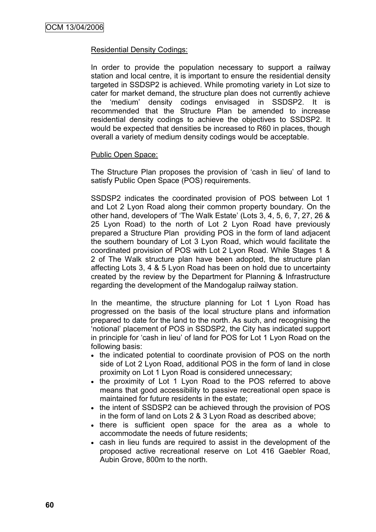### Residential Density Codings:

In order to provide the population necessary to support a railway station and local centre, it is important to ensure the residential density targeted in SSDSP2 is achieved. While promoting variety in Lot size to cater for market demand, the structure plan does not currently achieve the "medium" density codings envisaged in SSDSP2. It is recommended that the Structure Plan be amended to increase residential density codings to achieve the objectives to SSDSP2. It would be expected that densities be increased to R60 in places, though overall a variety of medium density codings would be acceptable.

# Public Open Space:

The Structure Plan proposes the provision of "cash in lieu" of land to satisfy Public Open Space (POS) requirements.

SSDSP2 indicates the coordinated provision of POS between Lot 1 and Lot 2 Lyon Road along their common property boundary. On the other hand, developers of "The Walk Estate" (Lots 3, 4, 5, 6, 7, 27, 26 & 25 Lyon Road) to the north of Lot 2 Lyon Road have previously prepared a Structure Plan providing POS in the form of land adjacent the southern boundary of Lot 3 Lyon Road, which would facilitate the coordinated provision of POS with Lot 2 Lyon Road. While Stages 1 & 2 of The Walk structure plan have been adopted, the structure plan affecting Lots 3, 4 & 5 Lyon Road has been on hold due to uncertainty created by the review by the Department for Planning & Infrastructure regarding the development of the Mandogalup railway station.

In the meantime, the structure planning for Lot 1 Lyon Road has progressed on the basis of the local structure plans and information prepared to date for the land to the north. As such, and recognising the "notional" placement of POS in SSDSP2, the City has indicated support in principle for "cash in lieu" of land for POS for Lot 1 Lyon Road on the following basis:

- the indicated potential to coordinate provision of POS on the north side of Lot 2 Lyon Road, additional POS in the form of land in close proximity on Lot 1 Lyon Road is considered unnecessary;
- the proximity of Lot 1 Lyon Road to the POS referred to above means that good accessibility to passive recreational open space is maintained for future residents in the estate;
- the intent of SSDSP2 can be achieved through the provision of POS in the form of land on Lots 2 & 3 Lyon Road as described above;
- there is sufficient open space for the area as a whole to accommodate the needs of future residents;
- cash in lieu funds are required to assist in the development of the proposed active recreational reserve on Lot 416 Gaebler Road, Aubin Grove, 800m to the north.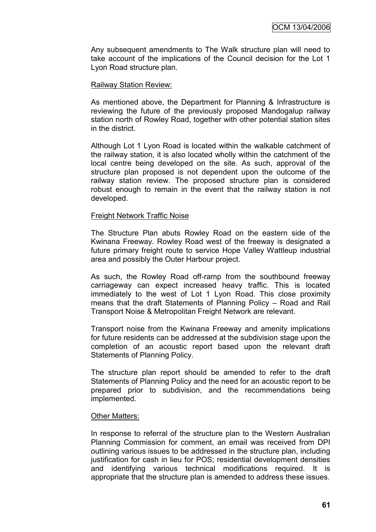Any subsequent amendments to The Walk structure plan will need to take account of the implications of the Council decision for the Lot 1 Lyon Road structure plan.

#### Railway Station Review:

As mentioned above, the Department for Planning & Infrastructure is reviewing the future of the previously proposed Mandogalup railway station north of Rowley Road, together with other potential station sites in the district.

Although Lot 1 Lyon Road is located within the walkable catchment of the railway station, it is also located wholly within the catchment of the local centre being developed on the site. As such, approval of the structure plan proposed is not dependent upon the outcome of the railway station review. The proposed structure plan is considered robust enough to remain in the event that the railway station is not developed.

#### Freight Network Traffic Noise

The Structure Plan abuts Rowley Road on the eastern side of the Kwinana Freeway. Rowley Road west of the freeway is designated a future primary freight route to service Hope Valley Wattleup industrial area and possibly the Outer Harbour project.

As such, the Rowley Road off-ramp from the southbound freeway carriageway can expect increased heavy traffic. This is located immediately to the west of Lot 1 Lyon Road. This close proximity means that the draft Statements of Planning Policy – Road and Rail Transport Noise & Metropolitan Freight Network are relevant.

Transport noise from the Kwinana Freeway and amenity implications for future residents can be addressed at the subdivision stage upon the completion of an acoustic report based upon the relevant draft Statements of Planning Policy.

The structure plan report should be amended to refer to the draft Statements of Planning Policy and the need for an acoustic report to be prepared prior to subdivision, and the recommendations being implemented.

#### Other Matters:

In response to referral of the structure plan to the Western Australian Planning Commission for comment, an email was received from DPI outlining various issues to be addressed in the structure plan, including justification for cash in lieu for POS; residential development densities and identifying various technical modifications required. It is appropriate that the structure plan is amended to address these issues.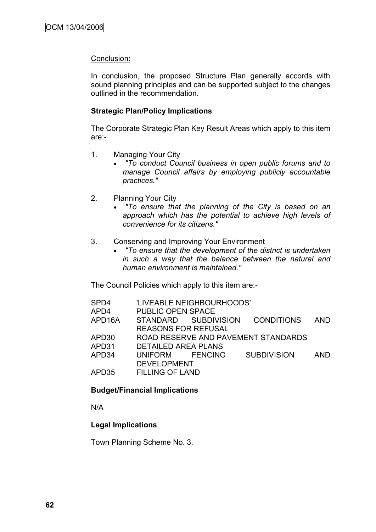# Conclusion:

In conclusion, the proposed Structure Plan generally accords with sound planning principles and can be supported subject to the changes outlined in the recommendation.

# **Strategic Plan/Policy Implications**

The Corporate Strategic Plan Key Result Areas which apply to this item are:-

- 1. Managing Your City
	- *"To conduct Council business in open public forums and to manage Council affairs by employing publicly accountable practices."*
- 2. Planning Your City
	- *"To ensure that the planning of the City is based on an approach which has the potential to achieve high levels of convenience for its citizens."*
- 3. Conserving and Improving Your Environment
	- *"To ensure that the development of the district is undertaken in such a way that the balance between the natural and human environment is maintained."*

The Council Policies which apply to this item are:-

| SPD4   |                            | 'LIVEABLE NEIGHBOURHOODS' |                                     |            |
|--------|----------------------------|---------------------------|-------------------------------------|------------|
| APD4   | <b>PUBLIC OPEN SPACE</b>   |                           |                                     |            |
| APD16A |                            | STANDARD SUBDIVISION      | <b>CONDITIONS</b>                   | <b>AND</b> |
|        | <b>REASONS FOR REFUSAL</b> |                           |                                     |            |
| APD30  |                            |                           | ROAD RESERVE AND PAVEMENT STANDARDS |            |
| APD31  | <b>DETAILED AREA PLANS</b> |                           |                                     |            |
| APD34  | UNIFORM FENCING            |                           | <b>SUBDIVISION</b>                  | <b>AND</b> |
|        | <b>DEVELOPMENT</b>         |                           |                                     |            |
| APD35  | <b>FILLING OF LAND</b>     |                           |                                     |            |
|        |                            |                           |                                     |            |

# **Budget/Financial Implications**

N/A

# **Legal Implications**

Town Planning Scheme No. 3.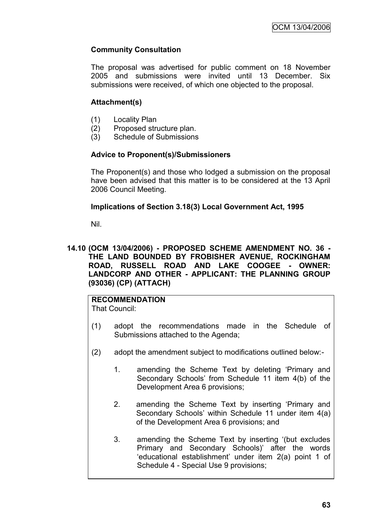# **Community Consultation**

The proposal was advertised for public comment on 18 November 2005 and submissions were invited until 13 December. Six submissions were received, of which one objected to the proposal.

# **Attachment(s)**

- (1) Locality Plan
- (2) Proposed structure plan.
- (3) Schedule of Submissions

# **Advice to Proponent(s)/Submissioners**

The Proponent(s) and those who lodged a submission on the proposal have been advised that this matter is to be considered at the 13 April 2006 Council Meeting.

# **Implications of Section 3.18(3) Local Government Act, 1995**

Nil.

# **14.10 (OCM 13/04/2006) - PROPOSED SCHEME AMENDMENT NO. 36 - THE LAND BOUNDED BY FROBISHER AVENUE, ROCKINGHAM ROAD, RUSSELL ROAD AND LAKE COOGEE - OWNER: LANDCORP AND OTHER - APPLICANT: THE PLANNING GROUP (93036) (CP) (ATTACH)**

# **RECOMMENDATION**

That Council:

- (1) adopt the recommendations made in the Schedule of Submissions attached to the Agenda;
- (2) adopt the amendment subject to modifications outlined below:-
	- 1. amending the Scheme Text by deleting "Primary and Secondary Schools" from Schedule 11 item 4(b) of the Development Area 6 provisions;
	- 2. amending the Scheme Text by inserting "Primary and Secondary Schools' within Schedule 11 under item 4(a) of the Development Area 6 provisions; and
	- 3. amending the Scheme Text by inserting "(but excludes Primary and Secondary Schools)" after the words "educational establishment" under item 2(a) point 1 of Schedule 4 - Special Use 9 provisions;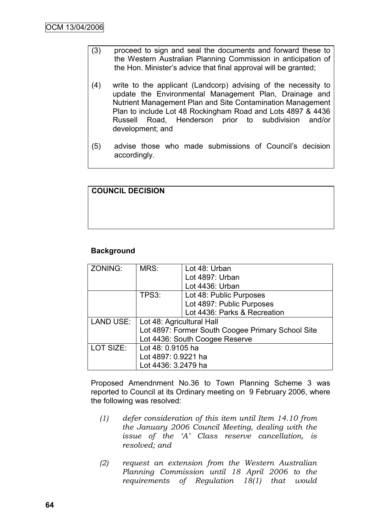- (3) proceed to sign and seal the documents and forward these to the Western Australian Planning Commission in anticipation of the Hon. Minister's advice that final approval will be granted;
- (4) write to the applicant (Landcorp) advising of the necessity to update the Environmental Management Plan, Drainage and Nutrient Management Plan and Site Contamination Management Plan to include Lot 48 Rockingham Road and Lots 4897 & 4436 Russell Road, Henderson prior to subdivision and/or development; and
- (5) advise those who made submissions of Council"s decision accordingly.

| <b>COUNCIL DECISION</b> |  |  |
|-------------------------|--|--|
|                         |  |  |
|                         |  |  |
|                         |  |  |

# **Background**

| ZONING:   | MRS:                                              | Lot 48: Urban                |  |
|-----------|---------------------------------------------------|------------------------------|--|
|           |                                                   | Lot 4897: Urban              |  |
|           |                                                   | Lot 4436: Urban              |  |
|           | TPS3:                                             | Lot 48: Public Purposes      |  |
|           |                                                   | Lot 4897: Public Purposes    |  |
|           |                                                   | Lot 4436: Parks & Recreation |  |
| LAND USE: | Lot 48: Agricultural Hall                         |                              |  |
|           | Lot 4897: Former South Coogee Primary School Site |                              |  |
|           | Lot 4436: South Coogee Reserve                    |                              |  |
| LOT SIZE: | Lot 48: 0.9105 ha                                 |                              |  |
|           | Lot 4897: 0.9221 ha                               |                              |  |
|           | Lot 4436: 3.2479 ha                               |                              |  |

Proposed Amendnment No.36 to Town Planning Scheme 3 was reported to Council at its Ordinary meeting on 9 February 2006, where the following was resolved:

- *(1) defer consideration of this item until Item 14.10 from the January 2006 Council Meeting, dealing with the issue of the 'A' Class reserve cancellation, is resolved; and*
- *(2) request an extension from the Western Australian Planning Commission until 18 April 2006 to the requirements of Regulation 18(1) that would*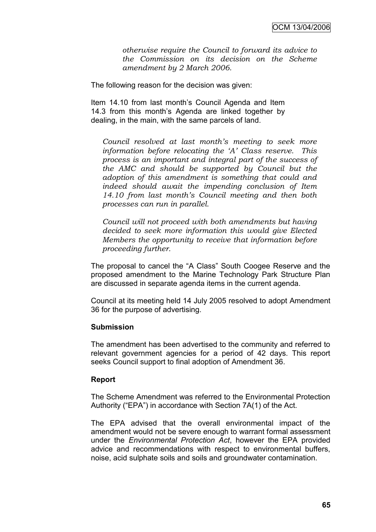*otherwise require the Council to forward its advice to the Commission on its decision on the Scheme amendment by 2 March 2006.*

The following reason for the decision was given:

Item 14.10 from last month"s Council Agenda and Item 14.3 from this month"s Agenda are linked together by dealing, in the main, with the same parcels of land.

*Council resolved at last month's meeting to seek more information before relocating the 'A' Class reserve. This process is an important and integral part of the success of the AMC and should be supported by Council but the adoption of this amendment is something that could and indeed should await the impending conclusion of Item 14.10 from last month's Council meeting and then both processes can run in parallel.*

*Council will not proceed with both amendments but having decided to seek more information this would give Elected Members the opportunity to receive that information before proceeding further.*

The proposal to cancel the "A Class" South Coogee Reserve and the proposed amendment to the Marine Technology Park Structure Plan are discussed in separate agenda items in the current agenda.

Council at its meeting held 14 July 2005 resolved to adopt Amendment 36 for the purpose of advertising.

# **Submission**

The amendment has been advertised to the community and referred to relevant government agencies for a period of 42 days. This report seeks Council support to final adoption of Amendment 36.

#### **Report**

The Scheme Amendment was referred to the Environmental Protection Authority ("EPA") in accordance with Section 7A(1) of the Act.

The EPA advised that the overall environmental impact of the amendment would not be severe enough to warrant formal assessment under the *Environmental Protection Act*, however the EPA provided advice and recommendations with respect to environmental buffers, noise, acid sulphate soils and soils and groundwater contamination.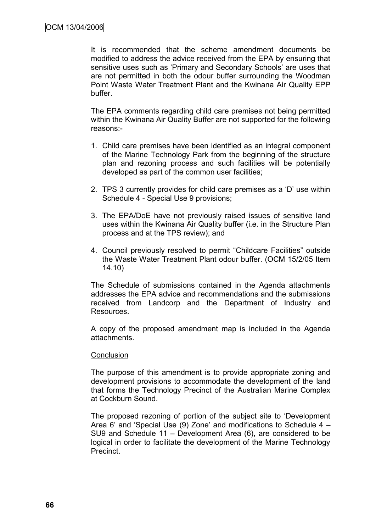It is recommended that the scheme amendment documents be modified to address the advice received from the EPA by ensuring that sensitive uses such as 'Primary and Secondary Schools' are uses that are not permitted in both the odour buffer surrounding the Woodman Point Waste Water Treatment Plant and the Kwinana Air Quality EPP buffer.

The EPA comments regarding child care premises not being permitted within the Kwinana Air Quality Buffer are not supported for the following reasons:-

- 1. Child care premises have been identified as an integral component of the Marine Technology Park from the beginning of the structure plan and rezoning process and such facilities will be potentially developed as part of the common user facilities;
- 2. TPS 3 currently provides for child care premises as a "D" use within Schedule 4 - Special Use 9 provisions;
- 3. The EPA/DoE have not previously raised issues of sensitive land uses within the Kwinana Air Quality buffer (i.e. in the Structure Plan process and at the TPS review); and
- 4. Council previously resolved to permit "Childcare Facilities" outside the Waste Water Treatment Plant odour buffer. (OCM 15/2/05 Item 14.10)

The Schedule of submissions contained in the Agenda attachments addresses the EPA advice and recommendations and the submissions received from Landcorp and the Department of Industry and Resources.

A copy of the proposed amendment map is included in the Agenda attachments.

#### **Conclusion**

The purpose of this amendment is to provide appropriate zoning and development provisions to accommodate the development of the land that forms the Technology Precinct of the Australian Marine Complex at Cockburn Sound.

The proposed rezoning of portion of the subject site to "Development Area 6" and "Special Use (9) Zone" and modifications to Schedule 4 – SU9 and Schedule 11 – Development Area (6), are considered to be logical in order to facilitate the development of the Marine Technology Precinct.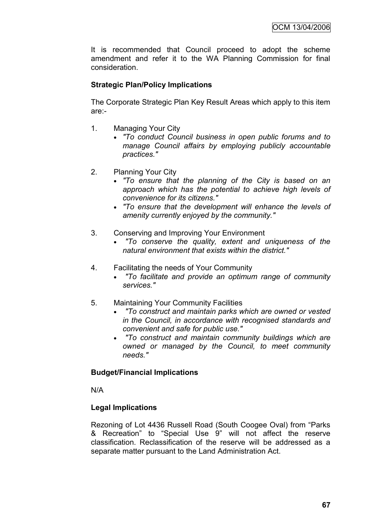It is recommended that Council proceed to adopt the scheme amendment and refer it to the WA Planning Commission for final consideration.

## **Strategic Plan/Policy Implications**

The Corporate Strategic Plan Key Result Areas which apply to this item are:-

- 1. Managing Your City
	- *"To conduct Council business in open public forums and to manage Council affairs by employing publicly accountable practices."*
- 2. Planning Your City
	- *"To ensure that the planning of the City is based on an approach which has the potential to achieve high levels of convenience for its citizens."*
	- *"To ensure that the development will enhance the levels of amenity currently enjoyed by the community."*
- 3. Conserving and Improving Your Environment
	- *"To conserve the quality, extent and uniqueness of the natural environment that exists within the district."*
- 4. Facilitating the needs of Your Community
	- *"To facilitate and provide an optimum range of community services."*
- 5. Maintaining Your Community Facilities
	- *"To construct and maintain parks which are owned or vested in the Council, in accordance with recognised standards and convenient and safe for public use."*
	- *"To construct and maintain community buildings which are owned or managed by the Council, to meet community needs."*

#### **Budget/Financial Implications**

N/A

#### **Legal Implications**

Rezoning of Lot 4436 Russell Road (South Coogee Oval) from "Parks & Recreation" to "Special Use 9" will not affect the reserve classification. Reclassification of the reserve will be addressed as a separate matter pursuant to the Land Administration Act.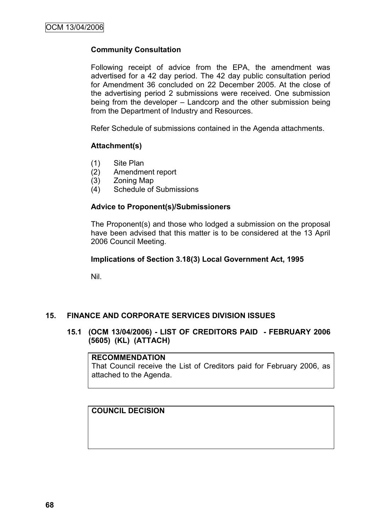## **Community Consultation**

Following receipt of advice from the EPA, the amendment was advertised for a 42 day period. The 42 day public consultation period for Amendment 36 concluded on 22 December 2005. At the close of the advertising period 2 submissions were received. One submission being from the developer – Landcorp and the other submission being from the Department of Industry and Resources.

Refer Schedule of submissions contained in the Agenda attachments.

#### **Attachment(s)**

- (1) Site Plan
- (2) Amendment report
- (3) Zoning Map
- (4) Schedule of Submissions

#### **Advice to Proponent(s)/Submissioners**

The Proponent(s) and those who lodged a submission on the proposal have been advised that this matter is to be considered at the 13 April 2006 Council Meeting.

#### **Implications of Section 3.18(3) Local Government Act, 1995**

Nil.

#### **15. FINANCE AND CORPORATE SERVICES DIVISION ISSUES**

## **15.1 (OCM 13/04/2006) - LIST OF CREDITORS PAID - FEBRUARY 2006 (5605) (KL) (ATTACH)**

#### **RECOMMENDATION**

That Council receive the List of Creditors paid for February 2006, as attached to the Agenda.

#### **COUNCIL DECISION**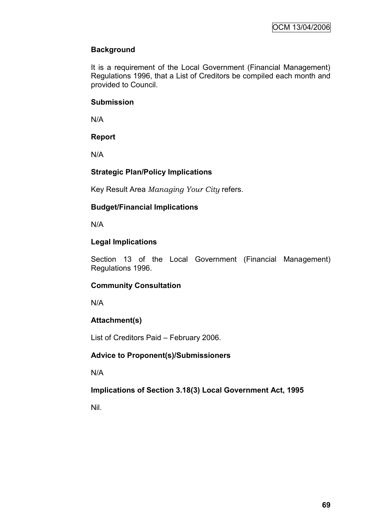# **Background**

It is a requirement of the Local Government (Financial Management) Regulations 1996, that a List of Creditors be compiled each month and provided to Council.

## **Submission**

N/A

# **Report**

N/A

# **Strategic Plan/Policy Implications**

Key Result Area *Managing Your City* refers.

# **Budget/Financial Implications**

N/A

# **Legal Implications**

Section 13 of the Local Government (Financial Management) Regulations 1996.

# **Community Consultation**

N/A

# **Attachment(s)**

List of Creditors Paid – February 2006.

# **Advice to Proponent(s)/Submissioners**

N/A

# **Implications of Section 3.18(3) Local Government Act, 1995**

Nil.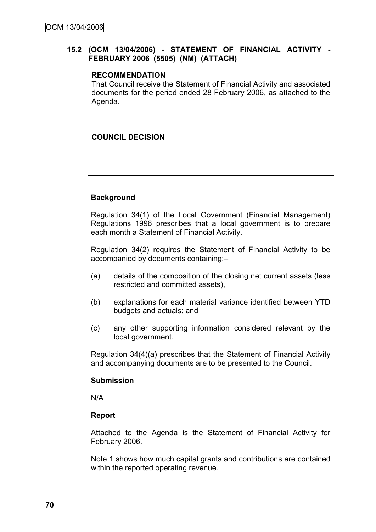## **15.2 (OCM 13/04/2006) - STATEMENT OF FINANCIAL ACTIVITY - FEBRUARY 2006 (5505) (NM) (ATTACH)**

## **RECOMMENDATION**

That Council receive the Statement of Financial Activity and associated documents for the period ended 28 February 2006, as attached to the Agenda.

# **COUNCIL DECISION**

## **Background**

Regulation 34(1) of the Local Government (Financial Management) Regulations 1996 prescribes that a local government is to prepare each month a Statement of Financial Activity.

Regulation 34(2) requires the Statement of Financial Activity to be accompanied by documents containing:–

- (a) details of the composition of the closing net current assets (less restricted and committed assets),
- (b) explanations for each material variance identified between YTD budgets and actuals; and
- (c) any other supporting information considered relevant by the local government.

Regulation 34(4)(a) prescribes that the Statement of Financial Activity and accompanying documents are to be presented to the Council.

#### **Submission**

N/A

#### **Report**

Attached to the Agenda is the Statement of Financial Activity for February 2006.

Note 1 shows how much capital grants and contributions are contained within the reported operating revenue.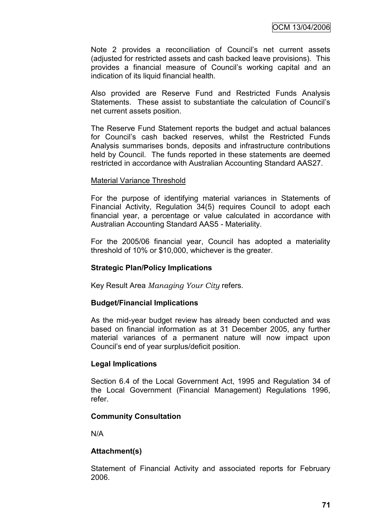Note 2 provides a reconciliation of Council"s net current assets (adjusted for restricted assets and cash backed leave provisions). This provides a financial measure of Council"s working capital and an indication of its liquid financial health.

Also provided are Reserve Fund and Restricted Funds Analysis Statements. These assist to substantiate the calculation of Council"s net current assets position.

The Reserve Fund Statement reports the budget and actual balances for Council"s cash backed reserves, whilst the Restricted Funds Analysis summarises bonds, deposits and infrastructure contributions held by Council. The funds reported in these statements are deemed restricted in accordance with Australian Accounting Standard AAS27.

#### Material Variance Threshold

For the purpose of identifying material variances in Statements of Financial Activity, Regulation 34(5) requires Council to adopt each financial year, a percentage or value calculated in accordance with Australian Accounting Standard AAS5 - Materiality.

For the 2005/06 financial year, Council has adopted a materiality threshold of 10% or \$10,000, whichever is the greater.

#### **Strategic Plan/Policy Implications**

Key Result Area *Managing Your City* refers.

#### **Budget/Financial Implications**

As the mid-year budget review has already been conducted and was based on financial information as at 31 December 2005, any further material variances of a permanent nature will now impact upon Council"s end of year surplus/deficit position.

#### **Legal Implications**

Section 6.4 of the Local Government Act, 1995 and Regulation 34 of the Local Government (Financial Management) Regulations 1996, refer.

#### **Community Consultation**

N/A

#### **Attachment(s)**

Statement of Financial Activity and associated reports for February 2006.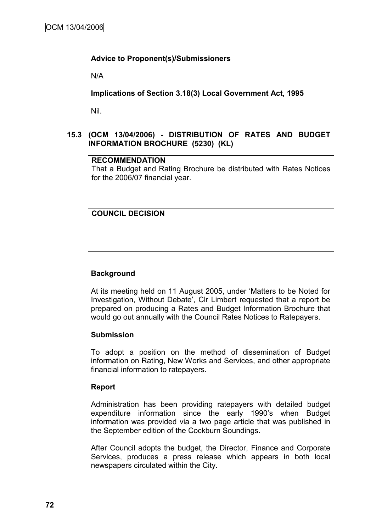## **Advice to Proponent(s)/Submissioners**

N/A

**Implications of Section 3.18(3) Local Government Act, 1995**

Nil.

# **15.3 (OCM 13/04/2006) - DISTRIBUTION OF RATES AND BUDGET INFORMATION BROCHURE (5230) (KL)**

## **RECOMMENDATION**

That a Budget and Rating Brochure be distributed with Rates Notices for the 2006/07 financial year.

# **COUNCIL DECISION**

# **Background**

At its meeting held on 11 August 2005, under "Matters to be Noted for Investigation, Without Debate", Clr Limbert requested that a report be prepared on producing a Rates and Budget Information Brochure that would go out annually with the Council Rates Notices to Ratepayers.

#### **Submission**

To adopt a position on the method of dissemination of Budget information on Rating, New Works and Services, and other appropriate financial information to ratepayers.

#### **Report**

Administration has been providing ratepayers with detailed budget expenditure information since the early 1990"s when Budget information was provided via a two page article that was published in the September edition of the Cockburn Soundings.

After Council adopts the budget, the Director, Finance and Corporate Services, produces a press release which appears in both local newspapers circulated within the City.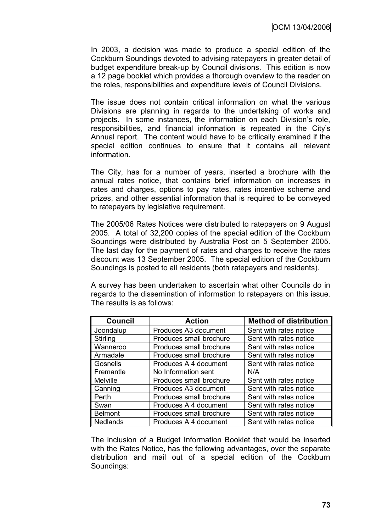In 2003, a decision was made to produce a special edition of the Cockburn Soundings devoted to advising ratepayers in greater detail of budget expenditure break-up by Council divisions. This edition is now a 12 page booklet which provides a thorough overview to the reader on the roles, responsibilities and expenditure levels of Council Divisions.

The issue does not contain critical information on what the various Divisions are planning in regards to the undertaking of works and projects. In some instances, the information on each Division"s role, responsibilities, and financial information is repeated in the City"s Annual report. The content would have to be critically examined if the special edition continues to ensure that it contains all relevant information.

The City, has for a number of years, inserted a brochure with the annual rates notice, that contains brief information on increases in rates and charges, options to pay rates, rates incentive scheme and prizes, and other essential information that is required to be conveyed to ratepayers by legislative requirement.

The 2005/06 Rates Notices were distributed to ratepayers on 9 August 2005. A total of 32,200 copies of the special edition of the Cockburn Soundings were distributed by Australia Post on 5 September 2005. The last day for the payment of rates and charges to receive the rates discount was 13 September 2005. The special edition of the Cockburn Soundings is posted to all residents (both ratepayers and residents).

A survey has been undertaken to ascertain what other Councils do in regards to the dissemination of information to ratepayers on this issue. The results is as follows:

| Council         | <b>Action</b>           | <b>Method of distribution</b> |
|-----------------|-------------------------|-------------------------------|
| Joondalup       | Produces A3 document    | Sent with rates notice        |
| Stirling        | Produces small brochure | Sent with rates notice        |
| Wanneroo        | Produces small brochure | Sent with rates notice        |
| Armadale        | Produces small brochure | Sent with rates notice        |
| Gosnells        | Produces A 4 document   | Sent with rates notice        |
| Fremantle       | No Information sent     | N/A                           |
| <b>Melville</b> | Produces small brochure | Sent with rates notice        |
| Canning         | Produces A3 document    | Sent with rates notice        |
| Perth           | Produces small brochure | Sent with rates notice        |
| Swan            | Produces A 4 document   | Sent with rates notice        |
| <b>Belmont</b>  | Produces small brochure | Sent with rates notice        |
| <b>Nedlands</b> | Produces A 4 document   | Sent with rates notice        |

The inclusion of a Budget Information Booklet that would be inserted with the Rates Notice, has the following advantages, over the separate distribution and mail out of a special edition of the Cockburn Soundings: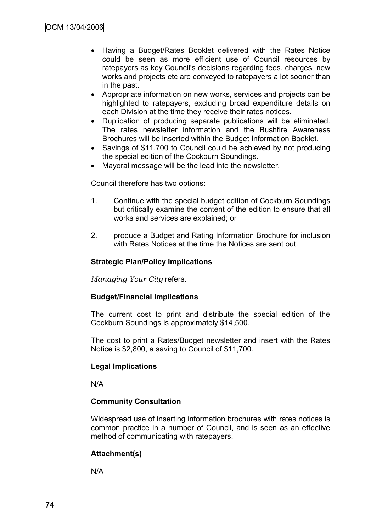- Having a Budget/Rates Booklet delivered with the Rates Notice could be seen as more efficient use of Council resources by ratepayers as key Council"s decisions regarding fees. charges, new works and projects etc are conveyed to ratepayers a lot sooner than in the past.
- Appropriate information on new works, services and projects can be highlighted to ratepayers, excluding broad expenditure details on each Division at the time they receive their rates notices.
- Duplication of producing separate publications will be eliminated. The rates newsletter information and the Bushfire Awareness Brochures will be inserted within the Budget Information Booklet.
- Savings of \$11,700 to Council could be achieved by not producing the special edition of the Cockburn Soundings.
- Mayoral message will be the lead into the newsletter.

Council therefore has two options:

- 1. Continue with the special budget edition of Cockburn Soundings but critically examine the content of the edition to ensure that all works and services are explained; or
- 2. produce a Budget and Rating Information Brochure for inclusion with Rates Notices at the time the Notices are sent out.

#### **Strategic Plan/Policy Implications**

*Managing Your City* refers.

#### **Budget/Financial Implications**

The current cost to print and distribute the special edition of the Cockburn Soundings is approximately \$14,500.

The cost to print a Rates/Budget newsletter and insert with the Rates Notice is \$2,800, a saving to Council of \$11,700.

#### **Legal Implications**

N/A

#### **Community Consultation**

Widespread use of inserting information brochures with rates notices is common practice in a number of Council, and is seen as an effective method of communicating with ratepayers.

#### **Attachment(s)**

N/A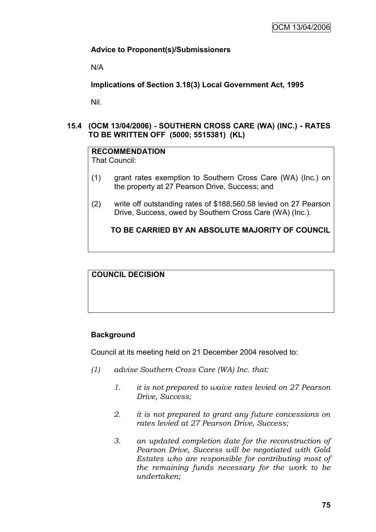## **Advice to Proponent(s)/Submissioners**

N/A

**Implications of Section 3.18(3) Local Government Act, 1995**

Nil.

**15.4 (OCM 13/04/2006) - SOUTHERN CROSS CARE (WA) (INC.) - RATES TO BE WRITTEN OFF (5000; 5515381) (KL)**

# **RECOMMENDATION**

That Council:

- (1) grant rates exemption to Southern Cross Care (WA) (Inc.) on the property at 27 Pearson Drive, Success; and
- (2) write off outstanding rates of \$188,560.58 levied on 27 Pearson Drive, Success, owed by Southern Cross Care (WA) (Inc.).

## **TO BE CARRIED BY AN ABSOLUTE MAJORITY OF COUNCIL**

**COUNCIL DECISION**

#### **Background**

Council at its meeting held on 21 December 2004 resolved to:

- *(1) advise Southern Cross Care (WA) Inc. that:*
	- *1. it is not prepared to waive rates levied on 27 Pearson Drive, Success;*
	- *2. it is not prepared to grant any future concessions on rates levied at 27 Pearson Drive, Success;*
	- *3. an updated completion date for the reconstruction of Pearson Drive, Success will be negotiated with Gold Estates who are responsible for contributing most of the remaining funds necessary for the work to be undertaken;*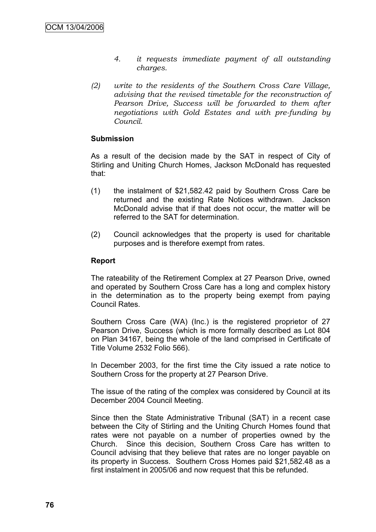- *4. it requests immediate payment of all outstanding charges.*
- *(2) write to the residents of the Southern Cross Care Village, advising that the revised timetable for the reconstruction of Pearson Drive, Success will be forwarded to them after negotiations with Gold Estates and with pre-funding by Council.*

#### **Submission**

As a result of the decision made by the SAT in respect of City of Stirling and Uniting Church Homes, Jackson McDonald has requested that:

- (1) the instalment of \$21,582.42 paid by Southern Cross Care be returned and the existing Rate Notices withdrawn. Jackson McDonald advise that if that does not occur, the matter will be referred to the SAT for determination.
- (2) Council acknowledges that the property is used for charitable purposes and is therefore exempt from rates.

#### **Report**

The rateability of the Retirement Complex at 27 Pearson Drive, owned and operated by Southern Cross Care has a long and complex history in the determination as to the property being exempt from paying Council Rates.

Southern Cross Care (WA) (Inc.) is the registered proprietor of 27 Pearson Drive, Success (which is more formally described as Lot 804 on Plan 34167, being the whole of the land comprised in Certificate of Title Volume 2532 Folio 566).

In December 2003, for the first time the City issued a rate notice to Southern Cross for the property at 27 Pearson Drive.

The issue of the rating of the complex was considered by Council at its December 2004 Council Meeting.

Since then the State Administrative Tribunal (SAT) in a recent case between the City of Stirling and the Uniting Church Homes found that rates were not payable on a number of properties owned by the Church. Since this decision, Southern Cross Care has written to Council advising that they believe that rates are no longer payable on its property in Success. Southern Cross Homes paid \$21,582.48 as a first instalment in 2005/06 and now request that this be refunded.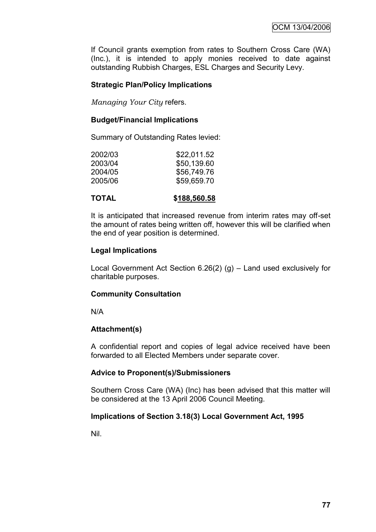If Council grants exemption from rates to Southern Cross Care (WA) (Inc.), it is intended to apply monies received to date against outstanding Rubbish Charges, ESL Charges and Security Levy.

## **Strategic Plan/Policy Implications**

*Managing Your City* refers.

#### **Budget/Financial Implications**

Summary of Outstanding Rates levied:

| \$22,011.52 |
|-------------|
| \$50,139.60 |
| \$56,749.76 |
| \$59,659.70 |
|             |

It is anticipated that increased revenue from interim rates may off-set the amount of rates being written off, however this will be clarified when the end of year position is determined.

## **Legal Implications**

Local Government Act Section 6.26(2) (g) – Land used exclusively for charitable purposes.

# **Community Consultation**

N/A

#### **Attachment(s)**

A confidential report and copies of legal advice received have been forwarded to all Elected Members under separate cover.

#### **Advice to Proponent(s)/Submissioners**

Southern Cross Care (WA) (Inc) has been advised that this matter will be considered at the 13 April 2006 Council Meeting.

# **Implications of Section 3.18(3) Local Government Act, 1995**

Nil.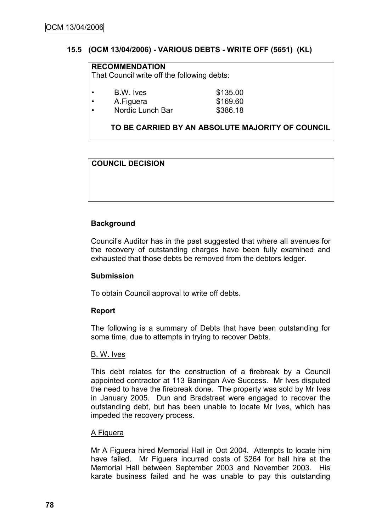## **15.5 (OCM 13/04/2006) - VARIOUS DEBTS - WRITE OFF (5651) (KL)**

# **RECOMMENDATION**

That Council write off the following debts:

| B.W. Ives | \$135.00 |
|-----------|----------|

A.Figuera \$169.60

• Nordic Lunch Bar \$386.18

# **TO BE CARRIED BY AN ABSOLUTE MAJORITY OF COUNCIL**

# **COUNCIL DECISION**

# **Background**

Council"s Auditor has in the past suggested that where all avenues for the recovery of outstanding charges have been fully examined and exhausted that those debts be removed from the debtors ledger.

#### **Submission**

To obtain Council approval to write off debts.

#### **Report**

The following is a summary of Debts that have been outstanding for some time, due to attempts in trying to recover Debts.

#### B. W. Ives

This debt relates for the construction of a firebreak by a Council appointed contractor at 113 Baningan Ave Success. Mr Ives disputed the need to have the firebreak done. The property was sold by Mr Ives in January 2005. Dun and Bradstreet were engaged to recover the outstanding debt, but has been unable to locate Mr Ives, which has impeded the recovery process.

#### A Figuera

Mr A Figuera hired Memorial Hall in Oct 2004. Attempts to locate him have failed. Mr Figuera incurred costs of \$264 for hall hire at the Memorial Hall between September 2003 and November 2003. His karate business failed and he was unable to pay this outstanding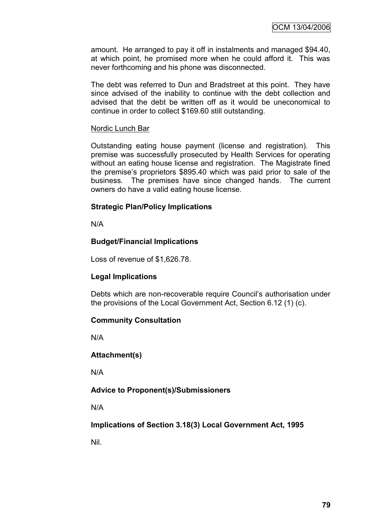amount. He arranged to pay it off in instalments and managed \$94.40, at which point, he promised more when he could afford it. This was never forthcoming and his phone was disconnected.

The debt was referred to Dun and Bradstreet at this point. They have since advised of the inability to continue with the debt collection and advised that the debt be written off as it would be uneconomical to continue in order to collect \$169.60 still outstanding.

#### Nordic Lunch Bar

Outstanding eating house payment (license and registration). This premise was successfully prosecuted by Health Services for operating without an eating house license and registration. The Magistrate fined the premise's proprietors \$895.40 which was paid prior to sale of the business. The premises have since changed hands. The current owners do have a valid eating house license.

#### **Strategic Plan/Policy Implications**

N/A

#### **Budget/Financial Implications**

Loss of revenue of \$1,626.78.

#### **Legal Implications**

Debts which are non-recoverable require Council's authorisation under the provisions of the Local Government Act, Section 6.12 (1) (c).

#### **Community Consultation**

N/A

#### **Attachment(s)**

N/A

#### **Advice to Proponent(s)/Submissioners**

N/A

**Implications of Section 3.18(3) Local Government Act, 1995**

Nil.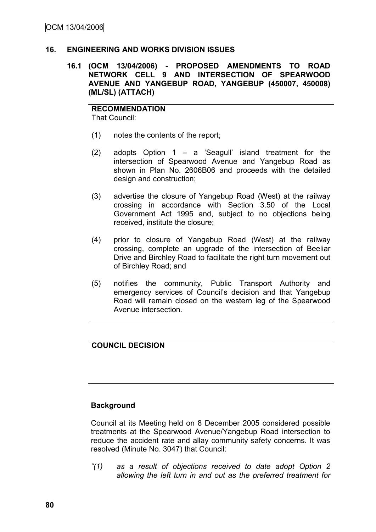#### **16. ENGINEERING AND WORKS DIVISION ISSUES**

**16.1 (OCM 13/04/2006) - PROPOSED AMENDMENTS TO ROAD NETWORK CELL 9 AND INTERSECTION OF SPEARWOOD AVENUE AND YANGEBUP ROAD, YANGEBUP (450007, 450008) (ML/SL) (ATTACH)**

**RECOMMENDATION** That Council:

- (1) notes the contents of the report;
- (2) adopts Option 1 a "Seagull" island treatment for the intersection of Spearwood Avenue and Yangebup Road as shown in Plan No. 2606B06 and proceeds with the detailed design and construction;
- (3) advertise the closure of Yangebup Road (West) at the railway crossing in accordance with Section 3.50 of the Local Government Act 1995 and, subject to no objections being received, institute the closure;
- (4) prior to closure of Yangebup Road (West) at the railway crossing, complete an upgrade of the intersection of Beeliar Drive and Birchley Road to facilitate the right turn movement out of Birchley Road; and
- (5) notifies the community, Public Transport Authority and emergency services of Council"s decision and that Yangebup Road will remain closed on the western leg of the Spearwood Avenue intersection.

**COUNCIL DECISION**

#### **Background**

Council at its Meeting held on 8 December 2005 considered possible treatments at the Spearwood Avenue/Yangebup Road intersection to reduce the accident rate and allay community safety concerns. It was resolved (Minute No. 3047) that Council:

*"(1) as a result of objections received to date adopt Option 2 allowing the left turn in and out as the preferred treatment for*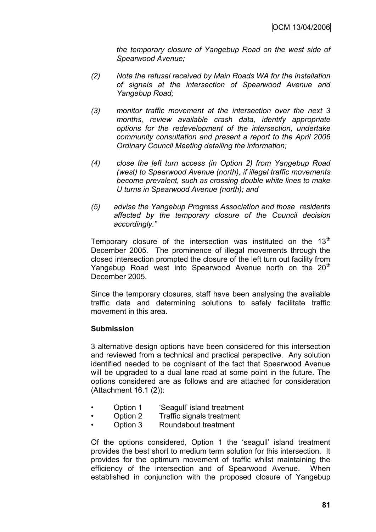*the temporary closure of Yangebup Road on the west side of Spearwood Avenue;*

- *(2) Note the refusal received by Main Roads WA for the installation of signals at the intersection of Spearwood Avenue and Yangebup Road;*
- *(3) monitor traffic movement at the intersection over the next 3 months, review available crash data, identify appropriate options for the redevelopment of the intersection, undertake community consultation and present a report to the April 2006 Ordinary Council Meeting detailing the information;*
- *(4) close the left turn access (in Option 2) from Yangebup Road (west) to Spearwood Avenue (north), if illegal traffic movements become prevalent, such as crossing double white lines to make U turns in Spearwood Avenue (north); and*
- *(5) advise the Yangebup Progress Association and those residents affected by the temporary closure of the Council decision accordingly."*

Temporary closure of the intersection was instituted on the  $13<sup>th</sup>$ December 2005. The prominence of illegal movements through the closed intersection prompted the closure of the left turn out facility from Yangebup Road west into Spearwood Avenue north on the 20<sup>th</sup> December 2005.

Since the temporary closures, staff have been analysing the available traffic data and determining solutions to safely facilitate traffic movement in this area.

#### **Submission**

3 alternative design options have been considered for this intersection and reviewed from a technical and practical perspective. Any solution identified needed to be cognisant of the fact that Spearwood Avenue will be upgraded to a dual lane road at some point in the future. The options considered are as follows and are attached for consideration (Attachment 16.1 (2)):

- Option 1 'Seagull' island treatment
- Option 2 Traffic signals treatment
- Option 3 Roundabout treatment

Of the options considered, Option 1 the "seagull" island treatment provides the best short to medium term solution for this intersection. It provides for the optimum movement of traffic whilst maintaining the efficiency of the intersection and of Spearwood Avenue. When established in conjunction with the proposed closure of Yangebup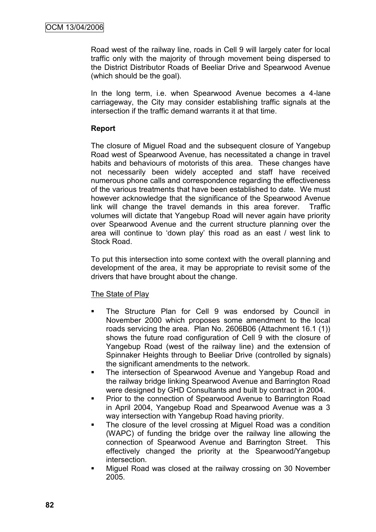Road west of the railway line, roads in Cell 9 will largely cater for local traffic only with the majority of through movement being dispersed to the District Distributor Roads of Beeliar Drive and Spearwood Avenue (which should be the goal).

In the long term, i.e. when Spearwood Avenue becomes a 4-lane carriageway, the City may consider establishing traffic signals at the intersection if the traffic demand warrants it at that time.

## **Report**

The closure of Miguel Road and the subsequent closure of Yangebup Road west of Spearwood Avenue, has necessitated a change in travel habits and behaviours of motorists of this area. These changes have not necessarily been widely accepted and staff have received numerous phone calls and correspondence regarding the effectiveness of the various treatments that have been established to date. We must however acknowledge that the significance of the Spearwood Avenue link will change the travel demands in this area forever. Traffic volumes will dictate that Yangebup Road will never again have priority over Spearwood Avenue and the current structure planning over the area will continue to "down play" this road as an east / west link to Stock Road.

To put this intersection into some context with the overall planning and development of the area, it may be appropriate to revisit some of the drivers that have brought about the change.

#### The State of Play

- **The Structure Plan for Cell 9 was endorsed by Council in** November 2000 which proposes some amendment to the local roads servicing the area. Plan No. 2606B06 (Attachment 16.1 (1)) shows the future road configuration of Cell 9 with the closure of Yangebup Road (west of the railway line) and the extension of Spinnaker Heights through to Beeliar Drive (controlled by signals) the significant amendments to the network.
- The intersection of Spearwood Avenue and Yangebup Road and the railway bridge linking Spearwood Avenue and Barrington Road were designed by GHD Consultants and built by contract in 2004.
- **Prior to the connection of Spearwood Avenue to Barrington Road** in April 2004, Yangebup Road and Spearwood Avenue was a 3 way intersection with Yangebup Road having priority.
- The closure of the level crossing at Miguel Road was a condition (WAPC) of funding the bridge over the railway line allowing the connection of Spearwood Avenue and Barrington Street. This effectively changed the priority at the Spearwood/Yangebup intersection.
- Miguel Road was closed at the railway crossing on 30 November 2005.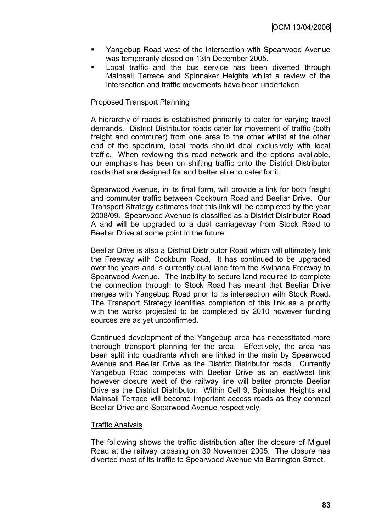- Yangebup Road west of the intersection with Spearwood Avenue was temporarily closed on 13th December 2005.
- Local traffic and the bus service has been diverted through Mainsail Terrace and Spinnaker Heights whilst a review of the intersection and traffic movements have been undertaken.

#### Proposed Transport Planning

A hierarchy of roads is established primarily to cater for varying travel demands. District Distributor roads cater for movement of traffic (both freight and commuter) from one area to the other whilst at the other end of the spectrum, local roads should deal exclusively with local traffic. When reviewing this road network and the options available, our emphasis has been on shifting traffic onto the District Distributor roads that are designed for and better able to cater for it.

Spearwood Avenue, in its final form, will provide a link for both freight and commuter traffic between Cockburn Road and Beeliar Drive. Our Transport Strategy estimates that this link will be completed by the year 2008/09. Spearwood Avenue is classified as a District Distributor Road A and will be upgraded to a dual carriageway from Stock Road to Beeliar Drive at some point in the future.

Beeliar Drive is also a District Distributor Road which will ultimately link the Freeway with Cockburn Road. It has continued to be upgraded over the years and is currently dual lane from the Kwinana Freeway to Spearwood Avenue. The inability to secure land required to complete the connection through to Stock Road has meant that Beeliar Drive merges with Yangebup Road prior to its intersection with Stock Road. The Transport Strategy identifies completion of this link as a priority with the works projected to be completed by 2010 however funding sources are as yet unconfirmed.

Continued development of the Yangebup area has necessitated more thorough transport planning for the area. Effectively, the area has been split into quadrants which are linked in the main by Spearwood Avenue and Beeliar Drive as the District Distributor roads. Currently Yangebup Road competes with Beeliar Drive as an east/west link however closure west of the railway line will better promote Beeliar Drive as the District Distributor. Within Cell 9, Spinnaker Heights and Mainsail Terrace will become important access roads as they connect Beeliar Drive and Spearwood Avenue respectively.

#### Traffic Analysis

The following shows the traffic distribution after the closure of Miguel Road at the railway crossing on 30 November 2005. The closure has diverted most of its traffic to Spearwood Avenue via Barrington Street.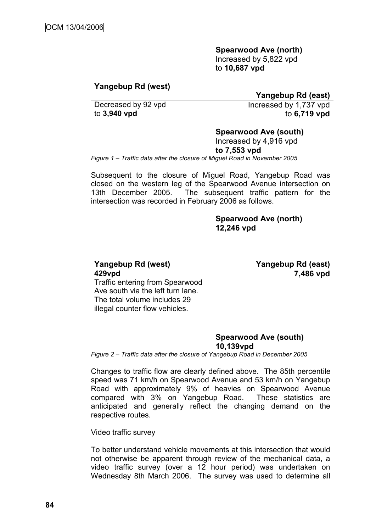# **Spearwood Ave (north)**

Increased by 5,822 vpd to **10,687 vpd** 

## **Yangebup Rd (west)**

# **Yangebup Rd (east)**

Decreased by 92 vpd to **3,940 vpd**

 Increased by 1,737 vpd to **6,719 vpd**

## **Spearwood Ave (south)**

Increased by 4,916 vpd

#### **to 7,553 vpd**

*Figure 1 – Traffic data after the closure of Miguel Road in November 2005*

Subsequent to the closure of Miguel Road, Yangebup Road was closed on the western leg of the Spearwood Avenue intersection on 13th December 2005. The subsequent traffic pattern for the intersection was recorded in February 2006 as follows.

|                                                                                                                                                         | <b>Spearwood Ave (north)</b><br>12,246 vpd |
|---------------------------------------------------------------------------------------------------------------------------------------------------------|--------------------------------------------|
| Yangebup Rd (west)                                                                                                                                      | Yangebup Rd (east)                         |
| 429vpd<br><b>Traffic entering from Spearwood</b><br>Ave south via the left turn lane.<br>The total volume includes 29<br>illegal counter flow vehicles. | 7,486 vpd                                  |
|                                                                                                                                                         | <b>Spearwood Ave (south)</b><br>10,139vpd  |

*Figure 2 – Traffic data after the closure of Yangebup Road in December 2005*

Changes to traffic flow are clearly defined above. The 85th percentile speed was 71 km/h on Spearwood Avenue and 53 km/h on Yangebup Road with approximately 9% of heavies on Spearwood Avenue compared with 3% on Yangebup Road. These statistics are anticipated and generally reflect the changing demand on the respective routes.

#### Video traffic survey

To better understand vehicle movements at this intersection that would not otherwise be apparent through review of the mechanical data, a video traffic survey (over a 12 hour period) was undertaken on Wednesday 8th March 2006. The survey was used to determine all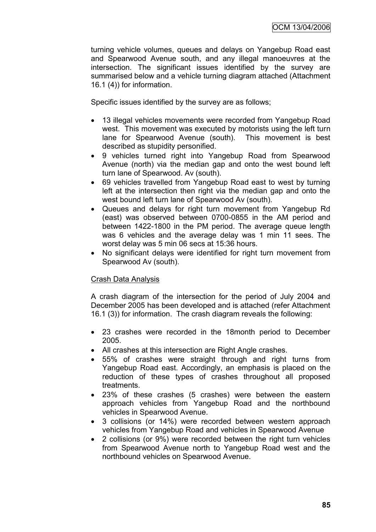turning vehicle volumes, queues and delays on Yangebup Road east and Spearwood Avenue south, and any illegal manoeuvres at the intersection. The significant issues identified by the survey are summarised below and a vehicle turning diagram attached (Attachment 16.1 (4)) for information.

Specific issues identified by the survey are as follows;

- 13 illegal vehicles movements were recorded from Yangebup Road west. This movement was executed by motorists using the left turn lane for Spearwood Avenue (south). This movement is best described as stupidity personified.
- 9 vehicles turned right into Yangebup Road from Spearwood Avenue (north) via the median gap and onto the west bound left turn lane of Spearwood. Av (south).
- 69 vehicles travelled from Yangebup Road east to west by turning left at the intersection then right via the median gap and onto the west bound left turn lane of Spearwood Av (south).
- Queues and delays for right turn movement from Yangebup Rd (east) was observed between 0700-0855 in the AM period and between 1422-1800 in the PM period. The average queue length was 6 vehicles and the average delay was 1 min 11 sees. The worst delay was 5 min 06 secs at 15:36 hours.
- No significant delays were identified for right turn movement from Spearwood Av (south).

#### Crash Data Analysis

A crash diagram of the intersection for the period of July 2004 and December 2005 has been developed and is attached (refer Attachment 16.1 (3)) for information. The crash diagram reveals the following:

- 23 crashes were recorded in the 18month period to December 2005.
- All crashes at this intersection are Right Angle crashes.
- 55% of crashes were straight through and right turns from Yangebup Road east. Accordingly, an emphasis is placed on the reduction of these types of crashes throughout all proposed treatments.
- 23% of these crashes (5 crashes) were between the eastern approach vehicles from Yangebup Road and the northbound vehicles in Spearwood Avenue.
- 3 collisions (or 14%) were recorded between western approach vehicles from Yangebup Road and vehicles in Spearwood Avenue
- 2 collisions (or 9%) were recorded between the right turn vehicles from Spearwood Avenue north to Yangebup Road west and the northbound vehicles on Spearwood Avenue.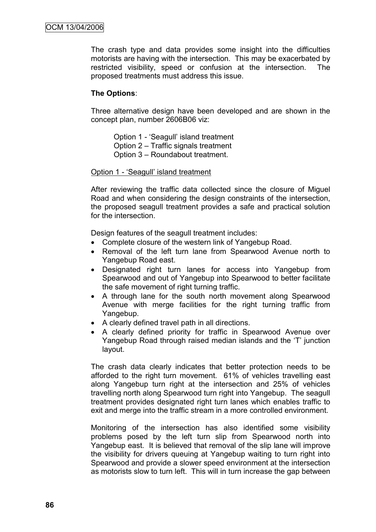The crash type and data provides some insight into the difficulties motorists are having with the intersection. This may be exacerbated by restricted visibility, speed or confusion at the intersection. The proposed treatments must address this issue.

#### **The Options**:

Three alternative design have been developed and are shown in the concept plan, number 2606B06 viz:

- Option 1 "Seagull" island treatment
- Option 2 Traffic signals treatment
- Option 3 Roundabout treatment.

#### Option 1 - "Seagull" island treatment

After reviewing the traffic data collected since the closure of Miguel Road and when considering the design constraints of the intersection. the proposed seagull treatment provides a safe and practical solution for the intersection.

Design features of the seagull treatment includes:

- Complete closure of the western link of Yangebup Road.
- Removal of the left turn lane from Spearwood Avenue north to Yangebup Road east.
- Designated right turn lanes for access into Yangebup from Spearwood and out of Yangebup into Spearwood to better facilitate the safe movement of right turning traffic.
- A through lane for the south north movement along Spearwood Avenue with merge facilities for the right turning traffic from Yangebup.
- A clearly defined travel path in all directions.
- A clearly defined priority for traffic in Spearwood Avenue over Yangebup Road through raised median islands and the "T" junction layout.

The crash data clearly indicates that better protection needs to be afforded to the right turn movement. 61% of vehicles travelling east along Yangebup turn right at the intersection and 25% of vehicles travelling north along Spearwood turn right into Yangebup. The seagull treatment provides designated right turn lanes which enables traffic to exit and merge into the traffic stream in a more controlled environment.

Monitoring of the intersection has also identified some visibility problems posed by the left turn slip from Spearwood north into Yangebup east. It is believed that removal of the slip lane will improve the visibility for drivers queuing at Yangebup waiting to turn right into Spearwood and provide a slower speed environment at the intersection as motorists slow to turn left. This will in turn increase the gap between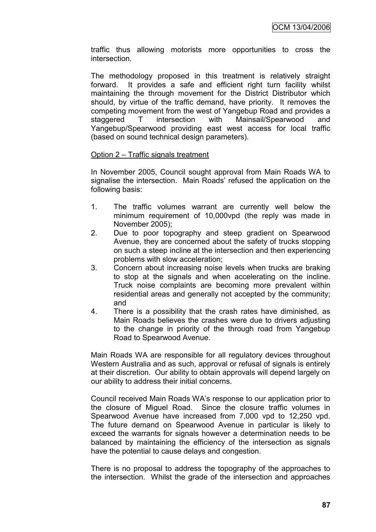traffic thus allowing motorists more opportunities to cross the intersection.

The methodology proposed in this treatment is relatively straight forward. It provides a safe and efficient right turn facility whilst maintaining the through movement for the District Distributor which should, by virtue of the traffic demand, have priority. It removes the competing movement from the west of Yangebup Road and provides a staggered T intersection with Mainsail/Spearwood and Yangebup/Spearwood providing east west access for local traffic (based on sound technical design parameters).

#### Option 2 – Traffic signals treatment

In November 2005, Council sought approval from Main Roads WA to signalise the intersection. Main Roads' refused the application on the following basis:

- 1. The traffic volumes warrant are currently well below the minimum requirement of 10,000vpd (the reply was made in November 2005);
- 2. Due to poor topography and steep gradient on Spearwood Avenue, they are concerned about the safety of trucks stopping on such a steep incline at the intersection and then experiencing problems with slow acceleration;
- 3. Concern about increasing noise levels when trucks are braking to stop at the signals and when accelerating on the incline. Truck noise complaints are becoming more prevalent within residential areas and generally not accepted by the community; and
- 4. There is a possibility that the crash rates have diminished, as Main Roads believes the crashes were due to drivers adjusting to the change in priority of the through road from Yangebup Road to Spearwood Avenue.

Main Roads WA are responsible for all regulatory devices throughout Western Australia and as such, approval or refusal of signals is entirely at their discretion. Our ability to obtain approvals will depend largely on our ability to address their initial concerns.

Council received Main Roads WA"s response to our application prior to the closure of Miguel Road. Since the closure traffic volumes in Spearwood Avenue have increased from 7,000 vpd to 12,250 vpd. The future demand on Spearwood Avenue in particular is likely to exceed the warrants for signals however a determination needs to be balanced by maintaining the efficiency of the intersection as signals have the potential to cause delays and congestion.

There is no proposal to address the topography of the approaches to the intersection. Whilst the grade of the intersection and approaches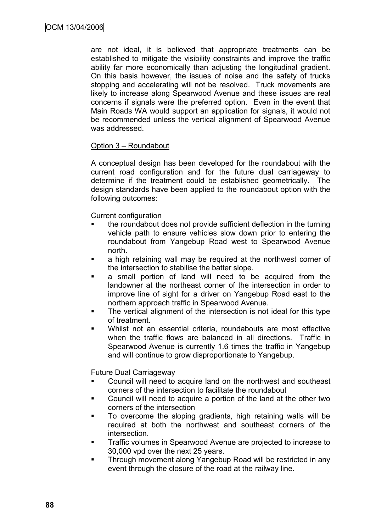are not ideal, it is believed that appropriate treatments can be established to mitigate the visibility constraints and improve the traffic ability far more economically than adjusting the longitudinal gradient. On this basis however, the issues of noise and the safety of trucks stopping and accelerating will not be resolved. Truck movements are likely to increase along Spearwood Avenue and these issues are real concerns if signals were the preferred option. Even in the event that Main Roads WA would support an application for signals, it would not be recommended unless the vertical alignment of Spearwood Avenue was addressed.

#### Option 3 – Roundabout

A conceptual design has been developed for the roundabout with the current road configuration and for the future dual carriageway to determine if the treatment could be established geometrically. The design standards have been applied to the roundabout option with the following outcomes:

Current configuration

- the roundabout does not provide sufficient deflection in the turning vehicle path to ensure vehicles slow down prior to entering the roundabout from Yangebup Road west to Spearwood Avenue north.
- a high retaining wall may be required at the northwest corner of the intersection to stabilise the batter slope.
- a small portion of land will need to be acquired from the landowner at the northeast corner of the intersection in order to improve line of sight for a driver on Yangebup Road east to the northern approach traffic in Spearwood Avenue.
- The vertical alignment of the intersection is not ideal for this type of treatment.
- Whilst not an essential criteria, roundabouts are most effective when the traffic flows are balanced in all directions. Traffic in Spearwood Avenue is currently 1.6 times the traffic in Yangebup and will continue to grow disproportionate to Yangebup.

Future Dual Carriageway

- Council will need to acquire land on the northwest and southeast corners of the intersection to facilitate the roundabout
- Council will need to acquire a portion of the land at the other two corners of the intersection
- To overcome the sloping gradients, high retaining walls will be required at both the northwest and southeast corners of the intersection.
- **Traffic volumes in Spearwood Avenue are projected to increase to** 30,000 vpd over the next 25 years.
- **Through movement along Yangebup Road will be restricted in any** event through the closure of the road at the railway line.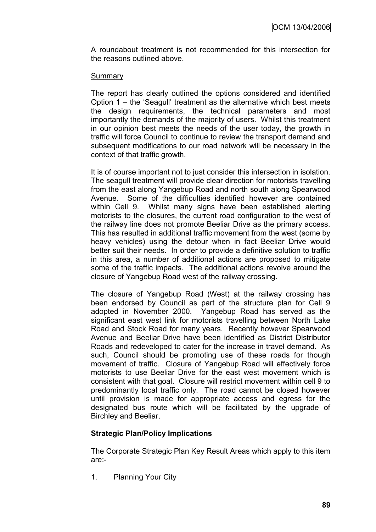A roundabout treatment is not recommended for this intersection for the reasons outlined above.

#### **Summary**

The report has clearly outlined the options considered and identified Option 1 – the "Seagull" treatment as the alternative which best meets the design requirements, the technical parameters and most importantly the demands of the majority of users. Whilst this treatment in our opinion best meets the needs of the user today, the growth in traffic will force Council to continue to review the transport demand and subsequent modifications to our road network will be necessary in the context of that traffic growth.

It is of course important not to just consider this intersection in isolation. The seagull treatment will provide clear direction for motorists travelling from the east along Yangebup Road and north south along Spearwood Avenue. Some of the difficulties identified however are contained within Cell 9. Whilst many signs have been established alerting motorists to the closures, the current road configuration to the west of the railway line does not promote Beeliar Drive as the primary access. This has resulted in additional traffic movement from the west (some by heavy vehicles) using the detour when in fact Beeliar Drive would better suit their needs. In order to provide a definitive solution to traffic in this area, a number of additional actions are proposed to mitigate some of the traffic impacts. The additional actions revolve around the closure of Yangebup Road west of the railway crossing.

The closure of Yangebup Road (West) at the railway crossing has been endorsed by Council as part of the structure plan for Cell 9 adopted in November 2000. Yangebup Road has served as the significant east west link for motorists travelling between North Lake Road and Stock Road for many years. Recently however Spearwood Avenue and Beeliar Drive have been identified as District Distributor Roads and redeveloped to cater for the increase in travel demand. As such, Council should be promoting use of these roads for though movement of traffic. Closure of Yangebup Road will effectively force motorists to use Beeliar Drive for the east west movement which is consistent with that goal. Closure will restrict movement within cell 9 to predominantly local traffic only. The road cannot be closed however until provision is made for appropriate access and egress for the designated bus route which will be facilitated by the upgrade of Birchley and Beeliar.

#### **Strategic Plan/Policy Implications**

The Corporate Strategic Plan Key Result Areas which apply to this item are:-

1. Planning Your City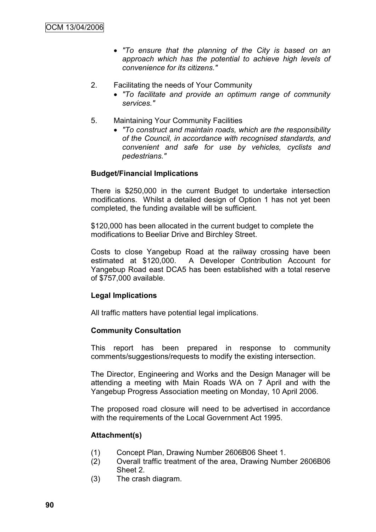- *"To ensure that the planning of the City is based on an approach which has the potential to achieve high levels of convenience for its citizens."*
- 2. Facilitating the needs of Your Community
	- *"To facilitate and provide an optimum range of community services."*
- 5. Maintaining Your Community Facilities
	- *"To construct and maintain roads, which are the responsibility of the Council, in accordance with recognised standards, and convenient and safe for use by vehicles, cyclists and pedestrians."*

#### **Budget/Financial Implications**

There is \$250,000 in the current Budget to undertake intersection modifications. Whilst a detailed design of Option 1 has not yet been completed, the funding available will be sufficient.

\$120,000 has been allocated in the current budget to complete the modifications to Beeliar Drive and Birchley Street.

Costs to close Yangebup Road at the railway crossing have been estimated at \$120,000. A Developer Contribution Account for Yangebup Road east DCA5 has been established with a total reserve of \$757,000 available.

#### **Legal Implications**

All traffic matters have potential legal implications.

#### **Community Consultation**

This report has been prepared in response to community comments/suggestions/requests to modify the existing intersection.

The Director, Engineering and Works and the Design Manager will be attending a meeting with Main Roads WA on 7 April and with the Yangebup Progress Association meeting on Monday, 10 April 2006.

The proposed road closure will need to be advertised in accordance with the requirements of the Local Government Act 1995.

#### **Attachment(s)**

- (1) Concept Plan, Drawing Number 2606B06 Sheet 1.
- (2) Overall traffic treatment of the area, Drawing Number 2606B06 Sheet 2.
- (3) The crash diagram.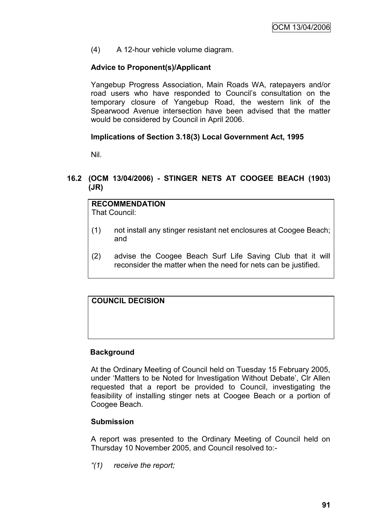(4) A 12-hour vehicle volume diagram.

## **Advice to Proponent(s)/Applicant**

Yangebup Progress Association, Main Roads WA, ratepayers and/or road users who have responded to Council"s consultation on the temporary closure of Yangebup Road, the western link of the Spearwood Avenue intersection have been advised that the matter would be considered by Council in April 2006.

## **Implications of Section 3.18(3) Local Government Act, 1995**

Nil.

## **16.2 (OCM 13/04/2006) - STINGER NETS AT COOGEE BEACH (1903) (JR)**

#### **RECOMMENDATION** That Council:

- (1) not install any stinger resistant net enclosures at Coogee Beach; and
- (2) advise the Coogee Beach Surf Life Saving Club that it will reconsider the matter when the need for nets can be justified.

# **COUNCIL DECISION**

#### **Background**

At the Ordinary Meeting of Council held on Tuesday 15 February 2005, under "Matters to be Noted for Investigation Without Debate", Clr Allen requested that a report be provided to Council, investigating the feasibility of installing stinger nets at Coogee Beach or a portion of Coogee Beach.

#### **Submission**

A report was presented to the Ordinary Meeting of Council held on Thursday 10 November 2005, and Council resolved to:-

*"(1) receive the report;*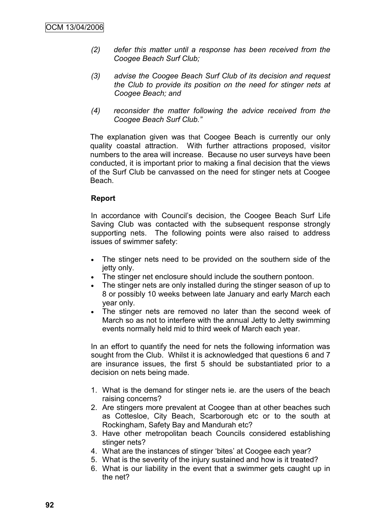- *(2) defer this matter until a response has been received from the Coogee Beach Surf Club;*
- *(3) advise the Coogee Beach Surf Club of its decision and request the Club to provide its position on the need for stinger nets at Coogee Beach; and*
- *(4) reconsider the matter following the advice received from the Coogee Beach Surf Club."*

The explanation given was that Coogee Beach is currently our only quality coastal attraction. With further attractions proposed, visitor numbers to the area will increase. Because no user surveys have been conducted, it is important prior to making a final decision that the views of the Surf Club be canvassed on the need for stinger nets at Coogee Beach.

## **Report**

In accordance with Council's decision, the Coogee Beach Surf Life Saving Club was contacted with the subsequent response strongly supporting nets. The following points were also raised to address issues of swimmer safety:

- The stinger nets need to be provided on the southern side of the jetty only.
- The stinger net enclosure should include the southern pontoon.
- The stinger nets are only installed during the stinger season of up to 8 or possibly 10 weeks between late January and early March each year only.
- The stinger nets are removed no later than the second week of March so as not to interfere with the annual Jetty to Jetty swimming events normally held mid to third week of March each year.

In an effort to quantify the need for nets the following information was sought from the Club. Whilst it is acknowledged that questions 6 and 7 are insurance issues, the first 5 should be substantiated prior to a decision on nets being made.

- 1. What is the demand for stinger nets ie. are the users of the beach raising concerns?
- 2. Are stingers more prevalent at Coogee than at other beaches such as Cottesloe, City Beach, Scarborough etc or to the south at Rockingham, Safety Bay and Mandurah etc?
- 3. Have other metropolitan beach Councils considered establishing stinger nets?
- 4. What are the instances of stinger 'bites' at Coogee each year?
- 5. What is the severity of the injury sustained and how is it treated?
- 6. What is our liability in the event that a swimmer gets caught up in the net?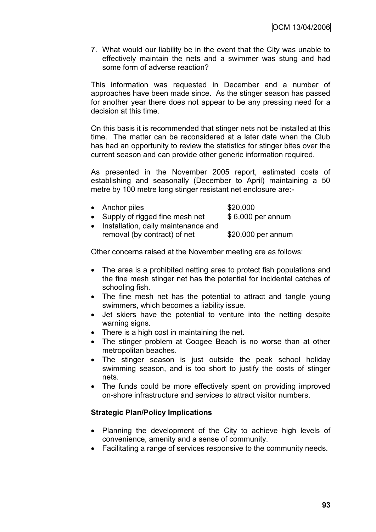7. What would our liability be in the event that the City was unable to effectively maintain the nets and a swimmer was stung and had some form of adverse reaction?

This information was requested in December and a number of approaches have been made since. As the stinger season has passed for another year there does not appear to be any pressing need for a decision at this time.

On this basis it is recommended that stinger nets not be installed at this time. The matter can be reconsidered at a later date when the Club has had an opportunity to review the statistics for stinger bites over the current season and can provide other generic information required.

As presented in the November 2005 report, estimated costs of establishing and seasonally (December to April) maintaining a 50 metre by 100 metre long stinger resistant net enclosure are:-

| • Anchor piles                        | \$20,000           |
|---------------------------------------|--------------------|
| • Supply of rigged fine mesh net      | \$6,000 per annum  |
| • Installation, daily maintenance and |                    |
| removal (by contract) of net          | \$20,000 per annum |

Other concerns raised at the November meeting are as follows:

- The area is a prohibited netting area to protect fish populations and the fine mesh stinger net has the potential for incidental catches of schooling fish.
- The fine mesh net has the potential to attract and tangle young swimmers, which becomes a liability issue.
- Jet skiers have the potential to venture into the netting despite warning signs.
- There is a high cost in maintaining the net.
- The stinger problem at Coogee Beach is no worse than at other metropolitan beaches.
- The stinger season is just outside the peak school holiday swimming season, and is too short to justify the costs of stinger nets.
- The funds could be more effectively spent on providing improved on-shore infrastructure and services to attract visitor numbers.

#### **Strategic Plan/Policy Implications**

- Planning the development of the City to achieve high levels of convenience, amenity and a sense of community.
- Facilitating a range of services responsive to the community needs.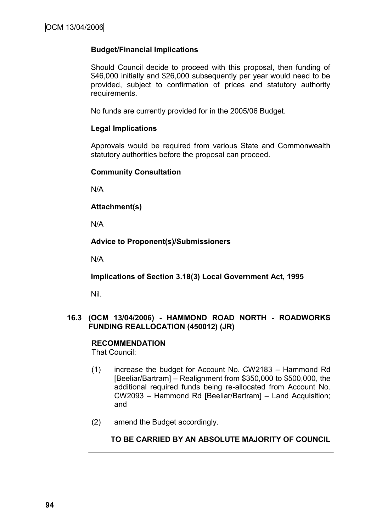#### **Budget/Financial Implications**

Should Council decide to proceed with this proposal, then funding of \$46,000 initially and \$26,000 subsequently per year would need to be provided, subject to confirmation of prices and statutory authority requirements.

No funds are currently provided for in the 2005/06 Budget.

#### **Legal Implications**

Approvals would be required from various State and Commonwealth statutory authorities before the proposal can proceed.

#### **Community Consultation**

N/A

#### **Attachment(s)**

N/A

#### **Advice to Proponent(s)/Submissioners**

N/A

**Implications of Section 3.18(3) Local Government Act, 1995**

Nil.

#### **16.3 (OCM 13/04/2006) - HAMMOND ROAD NORTH - ROADWORKS FUNDING REALLOCATION (450012) (JR)**

# **RECOMMENDATION**

That Council:

- (1) increase the budget for Account No. CW2183 Hammond Rd [Beeliar/Bartram] – Realignment from \$350,000 to \$500,000, the additional required funds being re-allocated from Account No. CW2093 – Hammond Rd [Beeliar/Bartram] – Land Acquisition; and
- (2) amend the Budget accordingly.

**TO BE CARRIED BY AN ABSOLUTE MAJORITY OF COUNCIL**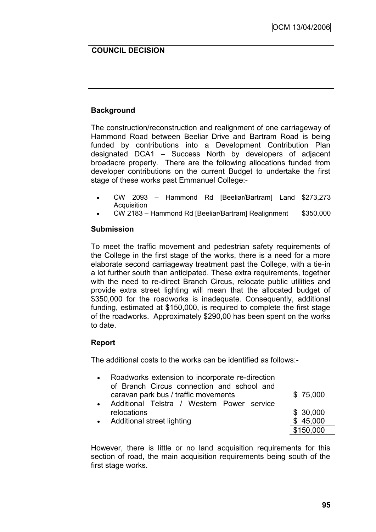# **COUNCIL DECISION**

# **Background**

The construction/reconstruction and realignment of one carriageway of Hammond Road between Beeliar Drive and Bartram Road is being funded by contributions into a Development Contribution Plan designated DCA1 – Success North by developers of adjacent broadacre property. There are the following allocations funded from developer contributions on the current Budget to undertake the first stage of these works past Emmanuel College:-

- CW 2093 Hammond Rd [Beeliar/Bartram] Land \$273,273 **Acquisition**
- CW 2183 Hammond Rd [Beeliar/Bartram] Realignment \$350,000

#### **Submission**

To meet the traffic movement and pedestrian safety requirements of the College in the first stage of the works, there is a need for a more elaborate second carriageway treatment past the College, with a tie-in a lot further south than anticipated. These extra requirements, together with the need to re-direct Branch Circus, relocate public utilities and provide extra street lighting will mean that the allocated budget of \$350,000 for the roadworks is inadequate. Consequently, additional funding, estimated at \$150,000, is required to complete the first stage of the roadworks. Approximately \$290,00 has been spent on the works to date.

# **Report**

The additional costs to the works can be identified as follows:-

| Roadworks extension to incorporate re-direction |           |
|-------------------------------------------------|-----------|
| of Branch Circus connection and school and      |           |
| caravan park bus / traffic movements            | \$75,000  |
| Additional Telstra / Western Power service      |           |
| relocations                                     | \$30,000  |
| • Additional street lighting                    | \$45,000  |
|                                                 | \$150,000 |

However, there is little or no land acquisition requirements for this section of road, the main acquisition requirements being south of the first stage works.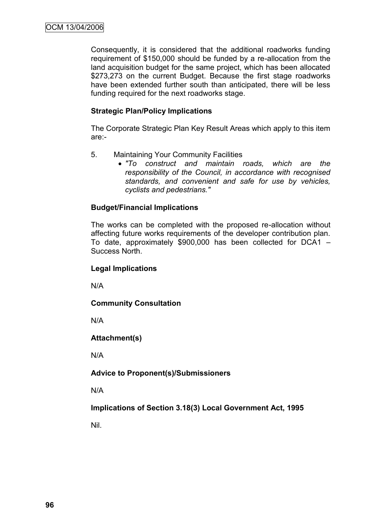Consequently, it is considered that the additional roadworks funding requirement of \$150,000 should be funded by a re-allocation from the land acquisition budget for the same project, which has been allocated \$273,273 on the current Budget. Because the first stage roadworks have been extended further south than anticipated, there will be less funding required for the next roadworks stage.

## **Strategic Plan/Policy Implications**

The Corporate Strategic Plan Key Result Areas which apply to this item are:-

- 5. Maintaining Your Community Facilities
	- *"To construct and maintain roads, which are the responsibility of the Council, in accordance with recognised standards, and convenient and safe for use by vehicles, cyclists and pedestrians."*

# **Budget/Financial Implications**

The works can be completed with the proposed re-allocation without affecting future works requirements of the developer contribution plan. To date, approximately \$900,000 has been collected for DCA1 – Success North.

#### **Legal Implications**

N/A

**Community Consultation**

N/A

# **Attachment(s)**

N/A

**Advice to Proponent(s)/Submissioners**

N/A

**Implications of Section 3.18(3) Local Government Act, 1995**

Nil.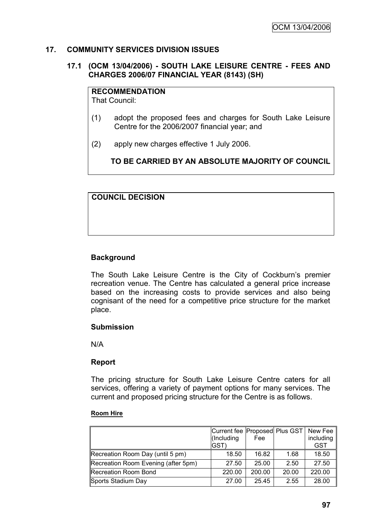#### **17. COMMUNITY SERVICES DIVISION ISSUES**

#### **17.1 (OCM 13/04/2006) - SOUTH LAKE LEISURE CENTRE - FEES AND CHARGES 2006/07 FINANCIAL YEAR (8143) (SH)**

# **RECOMMENDATION**

That Council:

- (1) adopt the proposed fees and charges for South Lake Leisure Centre for the 2006/2007 financial year; and
- (2) apply new charges effective 1 July 2006.

**TO BE CARRIED BY AN ABSOLUTE MAJORITY OF COUNCIL**

#### **COUNCIL DECISION**

## **Background**

The South Lake Leisure Centre is the City of Cockburn's premier recreation venue. The Centre has calculated a general price increase based on the increasing costs to provide services and also being cognisant of the need for a competitive price structure for the market place.

#### **Submission**

N/A

#### **Report**

The pricing structure for South Lake Leisure Centre caters for all services, offering a variety of payment options for many services. The current and proposed pricing structure for the Centre is as follows.

#### **Room Hire**

|                                     | Current fee   Proposed   Plus GST  <br>(Including<br>IGST) | Fee    |       | New Fee<br>including<br><b>GST</b> |
|-------------------------------------|------------------------------------------------------------|--------|-------|------------------------------------|
| Recreation Room Day (until 5 pm)    | 18.50                                                      | 16.82  | 1.68  | 18.50                              |
| Recreation Room Evening (after 5pm) | 27.50                                                      | 25.00  | 2.50  | 27.50                              |
| Recreation Room Bond                | 220.00                                                     | 200.00 | 20.00 | 220.00                             |
| Sports Stadium Day                  | 27.00                                                      | 25.45  | 2.55  | 28.00                              |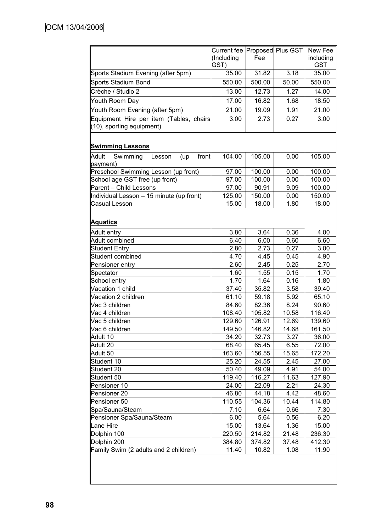|                                                                      | Current fee Proposed Plus GST<br>(Including<br>GST) | Fee    |       | New Fee<br>including<br><b>GST</b> |
|----------------------------------------------------------------------|-----------------------------------------------------|--------|-------|------------------------------------|
| Sports Stadium Evening (after 5pm)                                   | 35.00                                               | 31.82  | 3.18  | 35.00                              |
| Sports Stadium Bond                                                  | 550.00                                              | 500.00 | 50.00 | 550.00                             |
| Crèche / Studio 2                                                    | 13.00                                               | 12.73  | 1.27  | 14.00                              |
| Youth Room Day                                                       | 17.00                                               | 16.82  | 1.68  | 18.50                              |
|                                                                      |                                                     |        |       |                                    |
| Youth Room Evening (after 5pm)                                       | 21.00                                               | 19.09  | 1.91  | 21.00                              |
| Equipment Hire per item (Tables, chairs<br>(10), sporting equipment) | 3.00                                                | 2.73   | 0.27  | 3.00                               |
| <b>Swimming Lessons</b>                                              |                                                     |        |       |                                    |
| Adult<br>Swimming<br>front<br>Lesson<br>(up<br>payment)              | 104.00                                              | 105.00 | 0.00  | 105.00                             |
| Preschool Swimming Lesson (up front)                                 | 97.00                                               | 100.00 | 0.00  | 100.00                             |
| School age GST free (up front)                                       | 97.00                                               | 100.00 | 0.00  | 100.00                             |
| Parent - Child Lessons                                               | 97.00                                               | 90.91  | 9.09  | 100.00                             |
| Individual Lesson - 15 minute (up front)                             | 125.00                                              | 150.00 | 0.00  | 150.00                             |
| <b>Casual Lesson</b>                                                 | 15.00                                               | 18.00  | 1.80  | 18.00                              |
| <b>Aquatics</b>                                                      |                                                     |        |       |                                    |
| Adult entry                                                          | 3.80                                                | 3.64   | 0.36  | 4.00                               |
| Adult combined                                                       | 6.40                                                | 6.00   | 0.60  | 6.60                               |
| <b>Student Entry</b>                                                 | 2.80                                                | 2.73   | 0.27  | 3.00                               |
| Student combined                                                     | 4.70                                                | 4.45   | 0.45  | 4.90                               |
| Pensioner entry                                                      | 2.60                                                | 2.45   | 0.25  | 2.70                               |
| Spectator                                                            | 1.60                                                | 1.55   | 0.15  | 1.70                               |
| School entry                                                         | 1.70                                                | 1.64   | 0.16  | 1.80                               |
| Vacation 1 child                                                     | 37.40                                               | 35.82  | 3.58  | 39.40                              |
| Vacation 2 children                                                  | 61.10                                               | 59.18  | 5.92  | 65.10                              |
| Vac 3 children                                                       | 84.60                                               | 82.36  | 8.24  | 90.60                              |
| Vac 4 children                                                       | 108.40                                              | 105.82 | 10.58 | 116.40                             |
| Vac 5 children                                                       | 129.60                                              | 126.91 | 12.69 | 139.60                             |
| Vac 6 children                                                       | 149.50                                              | 146.82 | 14.68 | 161.50                             |
| Adult 10                                                             | 34.20                                               | 32.73  | 3.27  | 36.00                              |
| Adult 20                                                             | 68.40                                               | 65.45  | 6.55  | 72.00                              |
| Adult 50                                                             | 163.60                                              | 156.55 | 15.65 | 172.20                             |
| Student 10                                                           | 25.20                                               | 24.55  | 2.45  | 27.00                              |
| Student 20                                                           | 50.40                                               | 49.09  | 4.91  | 54.00                              |
| Student 50                                                           | 119.40                                              | 116.27 | 11.63 | 127.90                             |
| Pensioner 10                                                         | 24.00                                               | 22.09  | 2.21  | 24.30                              |
| Pensioner 20                                                         | 46.80                                               | 44.18  | 4.42  | 48.60                              |
| Pensioner 50                                                         | 110.55                                              | 104.36 | 10.44 | 114.80                             |
| Spa/Sauna/Steam                                                      | 7.10                                                | 6.64   | 0.66  | 7.30                               |
| Pensioner Spa/Sauna/Steam                                            | 6.00                                                | 5.64   | 0.56  | 6.20                               |
| Lane Hire                                                            | 15.00                                               | 13.64  | 1.36  | 15.00                              |
| Dolphin 100                                                          | 220.50                                              | 214.82 | 21.48 | 236.30                             |
| Dolphin 200                                                          | 384.80                                              | 374.82 | 37.48 | 412.30                             |
| Family Swim (2 adults and 2 children)                                | 11.40                                               | 10.82  | 1.08  | 11.90                              |
|                                                                      |                                                     |        |       |                                    |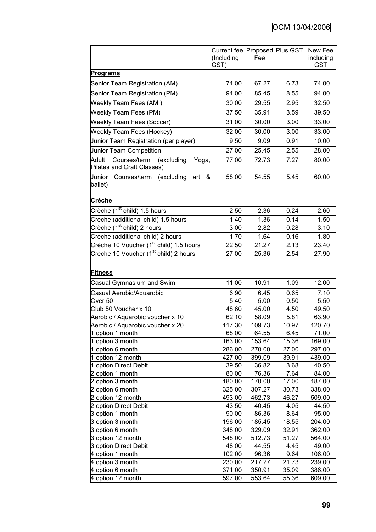|                                                                            | Current fee Proposed Plus GST<br>(Including<br>GST) | Fee             |               | New Fee<br>including<br><b>GST</b> |
|----------------------------------------------------------------------------|-----------------------------------------------------|-----------------|---------------|------------------------------------|
| <b>Programs</b>                                                            |                                                     |                 |               |                                    |
| Senior Team Registration (AM)                                              | 74.00                                               | 67.27           | 6.73          | 74.00                              |
| Senior Team Registration (PM)                                              | 94.00                                               | 85.45           | 8.55          | 94.00                              |
| Weekly Team Fees (AM)                                                      | 30.00                                               | 29.55           | 2.95          | 32.50                              |
|                                                                            |                                                     | 35.91           |               |                                    |
| Weekly Team Fees (PM)                                                      | 37.50                                               |                 | 3.59          | 39.50                              |
| <b>Weekly Team Fees (Soccer)</b>                                           | 31.00                                               | 30.00           | 3.00          | 33.00                              |
| <b>Weekly Team Fees (Hockey)</b>                                           | 32.00                                               | 30.00           | 3.00          | 33.00                              |
| Junior Team Registration (per player)                                      | 9.50                                                | 9.09            | 0.91          | 10.00                              |
| Junior Team Competition                                                    | 27.00                                               | 25.45           | 2.55          | 28.00                              |
| Adult<br>Courses/term<br>(excluding<br>Yoga,<br>Pilates and Craft Classes) | 77.00                                               | 72.73           | 7.27          | 80.00                              |
| Uunior Courses/term<br>(excluding<br>&<br>art<br>ballet)                   | 58.00                                               | 54.55           | 5.45          | 60.00                              |
| <b>Crèche</b>                                                              |                                                     |                 |               |                                    |
| $C$ rèche (1 <sup>st</sup> child) 1.5 hours                                | 2.50                                                | 2.36            | 0.24          | 2.60                               |
| Crèche (additional child) 1.5 hours                                        | 1.40                                                | 1.36            | 0.14          | 1.50                               |
| Crèche (1 <sup>st</sup> child) 2 hours                                     | 3.00                                                | 2.82            | 0.28          | 3.10                               |
| Crèche (additional child) 2 hours                                          | 1.70                                                | 1.64            | 0.16          | 1.80                               |
| Crèche 10 Voucher (1 <sup>st</sup> child) 1.5 hours                        | 22.50                                               | 21.27           | 2.13          | 23.40                              |
| Crèche 10 Voucher (1 <sup>st</sup> child) 2 hours                          | 27.00                                               | 25.36           | 2.54          | 27.90                              |
| Fitness                                                                    |                                                     |                 |               |                                    |
| Casual Gymnasium and Swim                                                  | 11.00                                               | 10.91           | 1.09          | 12.00                              |
| Casual Aerobic/Aquarobic                                                   | 6.90                                                | 6.45            | 0.65          | 7.10                               |
| Over <sub>50</sub>                                                         | 5.40                                                | 5.00            | 0.50          | 5.50                               |
| Club 50 Voucher x 10                                                       | 48.60                                               | 45.00           | 4.50          | 49.50                              |
| Aerobic / Aquarobic voucher x 10                                           | 62.10                                               | 58.09           | 5.81          | 63.90                              |
| Aerobic / Aquarobic voucher x 20                                           | 117.30                                              | 109.73          | 10.97         | 120.70                             |
| 1 option 1 month                                                           | 68.00                                               | 64.55           | 6.45          | 71.00                              |
| 1 option 3 month                                                           | 163.00                                              | 153.64          | 15.36         | 169.00                             |
| 1 option 6 month                                                           | 286.00                                              | 270.00          | 27.00         | 297.00                             |
| 1 option 12 month                                                          | 427.00                                              | 399.09          | 39.91         | 439.00                             |
| 1 option Direct Debit                                                      | 39.50                                               | 36.82           | 3.68          | 40.50                              |
| 2 option 1 month                                                           | 80.00                                               | 76.36           | 7.64          | 84.00                              |
| 2 option 3 month                                                           | 180.00                                              | 170.00          | 17.00         | 187.00                             |
| 2 option 6 month                                                           | 325.00                                              | 307.27          | 30.73         | 338.00                             |
| 2 option 12 month                                                          | 493.00                                              | 462.73          | 46.27         | 509.00                             |
| 2 option Direct Debit                                                      | 43.50                                               | 40.45           | 4.05          | 44.50                              |
| 3 option 1 month                                                           | 90.00                                               | 86.36           | 8.64          | 95.00                              |
| 3 option 3 month                                                           | 196.00                                              | 185.45          | 18.55         | 204.00                             |
| 3 option 6 month                                                           | 348.00                                              | 329.09          | 32.91         | 362.00                             |
| 3 option 12 month<br>3 option Direct Debit                                 | 548.00<br>48.00                                     | 512.73<br>44.55 | 51.27<br>4.45 | 564.00<br>49.00                    |
| 4 option 1 month                                                           | 102.00                                              | 96.36           | 9.64          | 106.00                             |
| $\mu$ option 3 month                                                       | 230.00                                              | 217.27          | 21.73         | 239.00                             |
| 4 option 6 month                                                           | 371.00                                              | 350.91          | 35.09         | 386.00                             |
| 4 option 12 month                                                          | 597.00                                              | 553.64          | 55.36         | 609.00                             |
|                                                                            |                                                     |                 |               |                                    |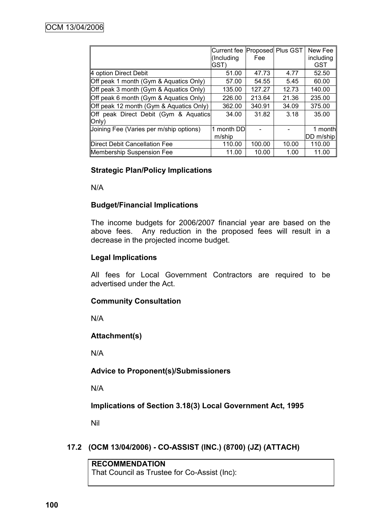|                                                          | Current fee   Proposed   Plus GST<br>(Including<br>GST) | Fee    |       | New Fee<br>including<br><b>GST</b> |
|----------------------------------------------------------|---------------------------------------------------------|--------|-------|------------------------------------|
| 4 option Direct Debit                                    | 51.00                                                   | 47.73  | 4.77  | 52.50                              |
| Off peak 1 month (Gym & Aquatics Only)                   | 57.00                                                   | 54.55  | 5.45  | 60.00                              |
| Off peak 3 month (Gym & Aquatics Only)                   | 135.00                                                  | 127.27 | 12.73 | 140.00                             |
| Off peak 6 month (Gym & Aquatics Only)                   | 226.00                                                  | 213.64 | 21.36 | 235.00                             |
| Off peak 12 month (Gym & Aquatics Only)                  | 362.00                                                  | 340.91 | 34.09 | 375.00                             |
| Off peak Direct Debit (Gym & Aquatics)<br>$ Only\rangle$ | 34.00                                                   | 31.82  | 3.18  | 35.00                              |
| Joining Fee (Varies per m/ship options)                  | month DD                                                |        |       | 1 monthl                           |
|                                                          | m/ship                                                  |        |       | <b>IDD</b> m/ship                  |
| Direct Debit Cancellation Fee                            | 110.00                                                  | 100.00 | 10.00 | 110.00                             |
| <b>Membership Suspension Fee</b>                         | 11.00                                                   | 10.00  | 1.00  | 11.00                              |

## **Strategic Plan/Policy Implications**

N/A

#### **Budget/Financial Implications**

The income budgets for 2006/2007 financial year are based on the above fees. Any reduction in the proposed fees will result in a decrease in the projected income budget.

## **Legal Implications**

All fees for Local Government Contractors are required to be advertised under the Act.

#### **Community Consultation**

N/A

# **Attachment(s)**

N/A

#### **Advice to Proponent(s)/Submissioners**

N/A

**Implications of Section 3.18(3) Local Government Act, 1995**

Nil

# **17.2 (OCM 13/04/2006) - CO-ASSIST (INC.) (8700) (JZ) (ATTACH)**

# **RECOMMENDATION**

That Council as Trustee for Co-Assist (Inc):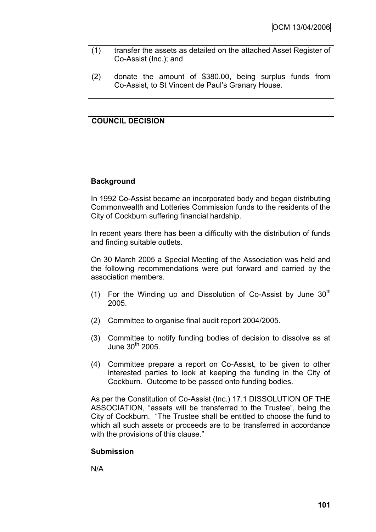- (1) transfer the assets as detailed on the attached Asset Register of Co-Assist (Inc.); and
- (2) donate the amount of \$380.00, being surplus funds from Co-Assist, to St Vincent de Paul"s Granary House.

# **COUNCIL DECISION**

## **Background**

In 1992 Co-Assist became an incorporated body and began distributing Commonwealth and Lotteries Commission funds to the residents of the City of Cockburn suffering financial hardship.

In recent years there has been a difficulty with the distribution of funds and finding suitable outlets.

On 30 March 2005 a Special Meeting of the Association was held and the following recommendations were put forward and carried by the association members.

- (1) For the Winding up and Dissolution of Co-Assist by June  $30<sup>th</sup>$ 2005.
- (2) Committee to organise final audit report 2004/2005.
- (3) Committee to notify funding bodies of decision to dissolve as at June  $30<sup>th</sup>$  2005.
- (4) Committee prepare a report on Co-Assist, to be given to other interested parties to look at keeping the funding in the City of Cockburn. Outcome to be passed onto funding bodies.

As per the Constitution of Co-Assist (Inc.) 17.1 DISSOLUTION OF THE ASSOCIATION, "assets will be transferred to the Trustee", being the City of Cockburn. "The Trustee shall be entitled to choose the fund to which all such assets or proceeds are to be transferred in accordance with the provisions of this clause."

#### **Submission**

N/A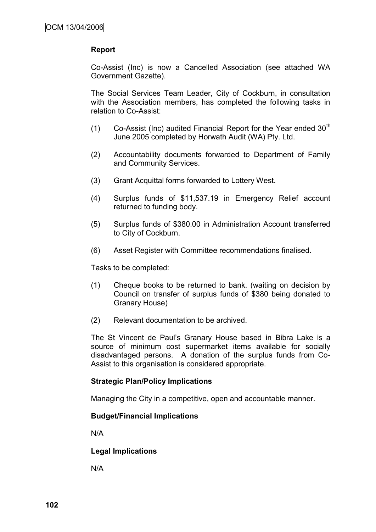#### **Report**

Co-Assist (Inc) is now a Cancelled Association (see attached WA Government Gazette).

The Social Services Team Leader, City of Cockburn, in consultation with the Association members, has completed the following tasks in relation to Co-Assist:

- $(1)$  Co-Assist (Inc) audited Financial Report for the Year ended 30<sup>th</sup> June 2005 completed by Horwath Audit (WA) Pty. Ltd.
- (2) Accountability documents forwarded to Department of Family and Community Services.
- (3) Grant Acquittal forms forwarded to Lottery West.
- (4) Surplus funds of \$11,537.19 in Emergency Relief account returned to funding body.
- (5) Surplus funds of \$380.00 in Administration Account transferred to City of Cockburn.
- (6) Asset Register with Committee recommendations finalised.

Tasks to be completed:

- (1) Cheque books to be returned to bank. (waiting on decision by Council on transfer of surplus funds of \$380 being donated to Granary House)
- (2) Relevant documentation to be archived.

The St Vincent de Paul"s Granary House based in Bibra Lake is a source of minimum cost supermarket items available for socially disadvantaged persons. A donation of the surplus funds from Co-Assist to this organisation is considered appropriate.

#### **Strategic Plan/Policy Implications**

Managing the City in a competitive, open and accountable manner.

#### **Budget/Financial Implications**

N/A

#### **Legal Implications**

N/A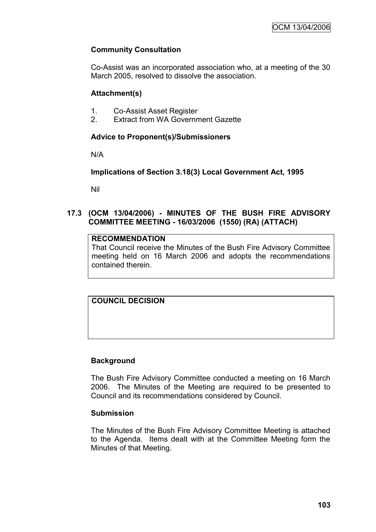## **Community Consultation**

Co-Assist was an incorporated association who, at a meeting of the 30 March 2005, resolved to dissolve the association.

## **Attachment(s)**

- 1. Co-Assist Asset Register
- 2. Extract from WA Government Gazette

## **Advice to Proponent(s)/Submissioners**

N/A

## **Implications of Section 3.18(3) Local Government Act, 1995**

Nil

#### **17.3 (OCM 13/04/2006) - MINUTES OF THE BUSH FIRE ADVISORY COMMITTEE MEETING - 16/03/2006 (1550) (RA) (ATTACH)**

#### **RECOMMENDATION**

That Council receive the Minutes of the Bush Fire Advisory Committee meeting held on 16 March 2006 and adopts the recommendations contained therein.

## **COUNCIL DECISION**

## **Background**

The Bush Fire Advisory Committee conducted a meeting on 16 March 2006. The Minutes of the Meeting are required to be presented to Council and its recommendations considered by Council.

#### **Submission**

The Minutes of the Bush Fire Advisory Committee Meeting is attached to the Agenda. Items dealt with at the Committee Meeting form the Minutes of that Meeting.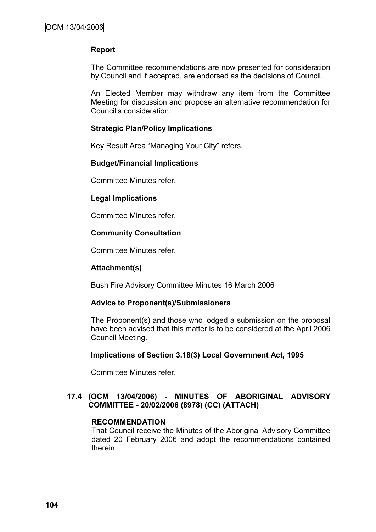## **Report**

The Committee recommendations are now presented for consideration by Council and if accepted, are endorsed as the decisions of Council.

An Elected Member may withdraw any item from the Committee Meeting for discussion and propose an alternative recommendation for Council"s consideration.

## **Strategic Plan/Policy Implications**

Key Result Area "Managing Your City" refers.

#### **Budget/Financial Implications**

Committee Minutes refer.

#### **Legal Implications**

Committee Minutes refer.

#### **Community Consultation**

Committee Minutes refer.

#### **Attachment(s)**

Bush Fire Advisory Committee Minutes 16 March 2006

#### **Advice to Proponent(s)/Submissioners**

The Proponent(s) and those who lodged a submission on the proposal have been advised that this matter is to be considered at the April 2006 Council Meeting.

#### **Implications of Section 3.18(3) Local Government Act, 1995**

Committee Minutes refer.

## **17.4 (OCM 13/04/2006) - MINUTES OF ABORIGINAL ADVISORY COMMITTEE - 20/02/2006 (8978) (CC) (ATTACH)**

#### **RECOMMENDATION**

That Council receive the Minutes of the Aboriginal Advisory Committee dated 20 February 2006 and adopt the recommendations contained therein.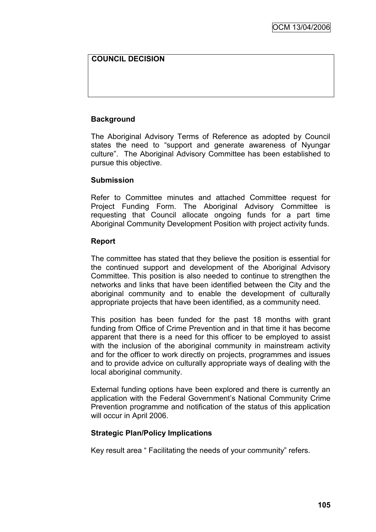## **COUNCIL DECISION**

## **Background**

The Aboriginal Advisory Terms of Reference as adopted by Council states the need to "support and generate awareness of Nyungar culture". The Aboriginal Advisory Committee has been established to pursue this objective.

#### **Submission**

Refer to Committee minutes and attached Committee request for Project Funding Form. The Aboriginal Advisory Committee is requesting that Council allocate ongoing funds for a part time Aboriginal Community Development Position with project activity funds.

#### **Report**

The committee has stated that they believe the position is essential for the continued support and development of the Aboriginal Advisory Committee. This position is also needed to continue to strengthen the networks and links that have been identified between the City and the aboriginal community and to enable the development of culturally appropriate projects that have been identified, as a community need.

This position has been funded for the past 18 months with grant funding from Office of Crime Prevention and in that time it has become apparent that there is a need for this officer to be employed to assist with the inclusion of the aboriginal community in mainstream activity and for the officer to work directly on projects, programmes and issues and to provide advice on culturally appropriate ways of dealing with the local aboriginal community.

External funding options have been explored and there is currently an application with the Federal Government's National Community Crime Prevention programme and notification of the status of this application will occur in April 2006.

#### **Strategic Plan/Policy Implications**

Key result area " Facilitating the needs of your community" refers.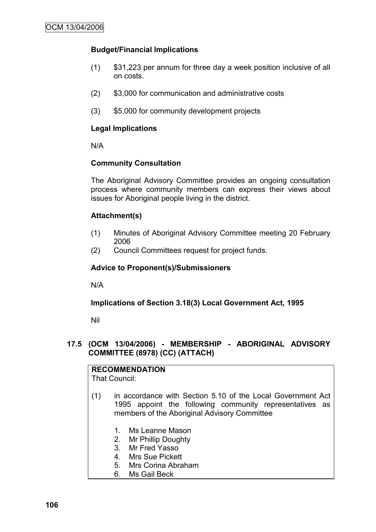## **Budget/Financial Implications**

- (1) \$31,223 per annum for three day a week position inclusive of all on costs.
- (2) \$3,000 for communication and administrative costs
- (3) \$5,000 for community development projects

## **Legal Implications**

N/A

## **Community Consultation**

The Aboriginal Advisory Committee provides an ongoing consultation process where community members can express their views about issues for Aboriginal people living in the district.

## **Attachment(s)**

- (1) Minutes of Aboriginal Advisory Committee meeting 20 February 2006
- (2) Council Committees request for project funds.

## **Advice to Proponent(s)/Submissioners**

N/A

#### **Implications of Section 3.18(3) Local Government Act, 1995**

Nil

#### **17.5 (OCM 13/04/2006) - MEMBERSHIP - ABORIGINAL ADVISORY COMMITTEE (8978) (CC) (ATTACH)**

**RECOMMENDATION** That Council:

- (1) in accordance with Section 5.10 of the Local Government Act 1995 appoint the following community representatives as members of the Aboriginal Advisory Committee
	- 1. Ms Leanne Mason
	- 2. Mr Phillip Doughty
	- 3. Mr Fred Yasso
	- 4. Mrs Sue Pickett
	- 5. Mrs Corina Abraham
	- 6. Ms Gail Beck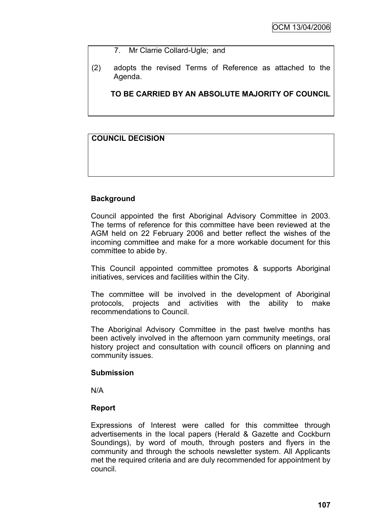- 7. Mr Clarrie Collard-Ugle; and
- (2) adopts the revised Terms of Reference as attached to the Agenda.

**TO BE CARRIED BY AN ABSOLUTE MAJORITY OF COUNCIL**

## **COUNCIL DECISION**

## **Background**

Council appointed the first Aboriginal Advisory Committee in 2003. The terms of reference for this committee have been reviewed at the AGM held on 22 February 2006 and better reflect the wishes of the incoming committee and make for a more workable document for this committee to abide by.

This Council appointed committee promotes & supports Aboriginal initiatives, services and facilities within the City.

The committee will be involved in the development of Aboriginal protocols, projects and activities with the ability to make recommendations to Council.

The Aboriginal Advisory Committee in the past twelve months has been actively involved in the afternoon yarn community meetings, oral history project and consultation with council officers on planning and community issues.

#### **Submission**

N/A

#### **Report**

Expressions of Interest were called for this committee through advertisements in the local papers (Herald & Gazette and Cockburn Soundings), by word of mouth, through posters and flyers in the community and through the schools newsletter system. All Applicants met the required criteria and are duly recommended for appointment by council.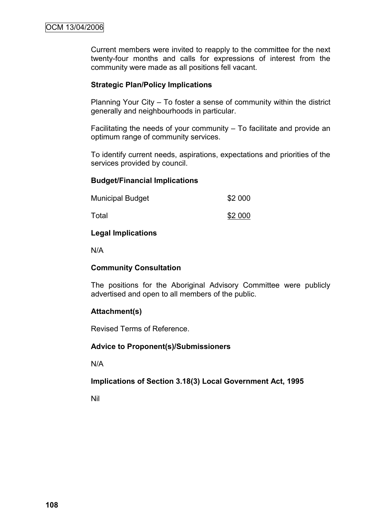Current members were invited to reapply to the committee for the next twenty-four months and calls for expressions of interest from the community were made as all positions fell vacant.

#### **Strategic Plan/Policy Implications**

Planning Your City – To foster a sense of community within the district generally and neighbourhoods in particular.

Facilitating the needs of your community – To facilitate and provide an optimum range of community services.

To identify current needs, aspirations, expectations and priorities of the services provided by council.

#### **Budget/Financial Implications**

| <b>Municipal Budget</b><br>Total | \$2 000 |
|----------------------------------|---------|
|                                  | \$2 000 |

#### **Legal Implications**

N/A

#### **Community Consultation**

The positions for the Aboriginal Advisory Committee were publicly advertised and open to all members of the public.

#### **Attachment(s)**

Revised Terms of Reference.

#### **Advice to Proponent(s)/Submissioners**

N/A

#### **Implications of Section 3.18(3) Local Government Act, 1995**

Nil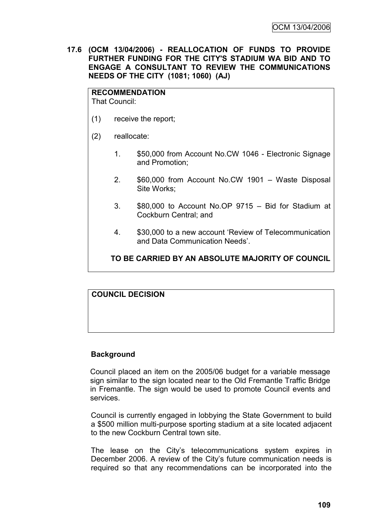**17.6 (OCM 13/04/2006) - REALLOCATION OF FUNDS TO PROVIDE FURTHER FUNDING FOR THE CITY'S STADIUM WA BID AND TO ENGAGE A CONSULTANT TO REVIEW THE COMMUNICATIONS NEEDS OF THE CITY (1081; 1060) (AJ)**

#### **RECOMMENDATION**

That Council:

- (1) receive the report;
- (2) reallocate:
	- 1. \$50,000 from Account No.CW 1046 Electronic Signage and Promotion;
	- 2. \$60,000 from Account No.CW 1901 Waste Disposal Site Works;
	- 3. \$80,000 to Account No.OP 9715 Bid for Stadium at Cockburn Central; and
	- 4. \$30,000 to a new account "Review of Telecommunication and Data Communication Needs".

## **TO BE CARRIED BY AN ABSOLUTE MAJORITY OF COUNCIL**

## **COUNCIL DECISION**

## **Background**

Council placed an item on the 2005/06 budget for a variable message sign similar to the sign located near to the Old Fremantle Traffic Bridge in Fremantle. The sign would be used to promote Council events and services.

Council is currently engaged in lobbying the State Government to build a \$500 million multi-purpose sporting stadium at a site located adjacent to the new Cockburn Central town site.

The lease on the City"s telecommunications system expires in December 2006. A review of the City"s future communication needs is required so that any recommendations can be incorporated into the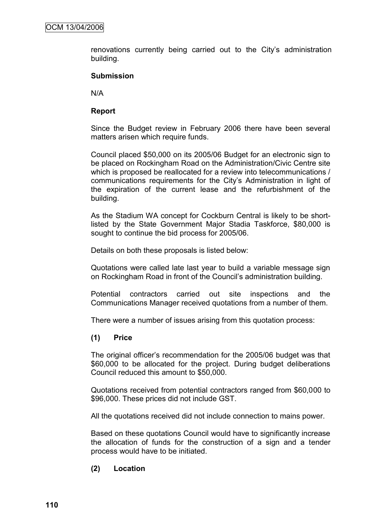renovations currently being carried out to the City"s administration building.

#### **Submission**

N/A

#### **Report**

Since the Budget review in February 2006 there have been several matters arisen which require funds.

Council placed \$50,000 on its 2005/06 Budget for an electronic sign to be placed on Rockingham Road on the Administration/Civic Centre site which is proposed be reallocated for a review into telecommunications / communications requirements for the City"s Administration in light of the expiration of the current lease and the refurbishment of the building.

As the Stadium WA concept for Cockburn Central is likely to be shortlisted by the State Government Major Stadia Taskforce, \$80,000 is sought to continue the bid process for 2005/06.

Details on both these proposals is listed below:

Quotations were called late last year to build a variable message sign on Rockingham Road in front of the Council"s administration building.

Potential contractors carried out site inspections and the Communications Manager received quotations from a number of them.

There were a number of issues arising from this quotation process:

#### **(1) Price**

The original officer"s recommendation for the 2005/06 budget was that \$60,000 to be allocated for the project. During budget deliberations Council reduced this amount to \$50,000.

Quotations received from potential contractors ranged from \$60,000 to \$96,000. These prices did not include GST.

All the quotations received did not include connection to mains power.

Based on these quotations Council would have to significantly increase the allocation of funds for the construction of a sign and a tender process would have to be initiated.

## **(2) Location**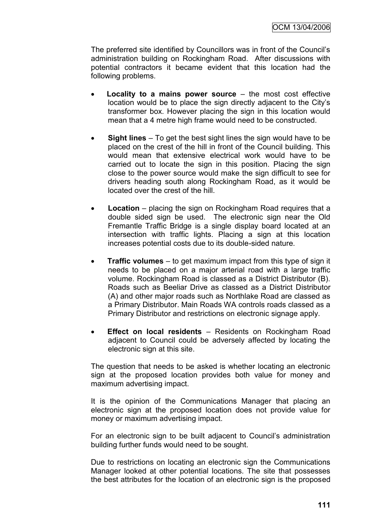The preferred site identified by Councillors was in front of the Council"s administration building on Rockingham Road. After discussions with potential contractors it became evident that this location had the following problems.

- **Locality to a mains power source** the most cost effective location would be to place the sign directly adjacent to the City"s transformer box. However placing the sign in this location would mean that a 4 metre high frame would need to be constructed.
- **Sight lines**  To get the best sight lines the sign would have to be placed on the crest of the hill in front of the Council building. This would mean that extensive electrical work would have to be carried out to locate the sign in this position. Placing the sign close to the power source would make the sign difficult to see for drivers heading south along Rockingham Road, as it would be located over the crest of the hill.
- **Location**  placing the sign on Rockingham Road requires that a double sided sign be used. The electronic sign near the Old Fremantle Traffic Bridge is a single display board located at an intersection with traffic lights. Placing a sign at this location increases potential costs due to its double-sided nature.
- **Traffic volumes**  to get maximum impact from this type of sign it needs to be placed on a major arterial road with a large traffic volume. Rockingham Road is classed as a District Distributor (B). Roads such as Beeliar Drive as classed as a District Distributor (A) and other major roads such as Northlake Road are classed as a Primary Distributor. Main Roads WA controls roads classed as a Primary Distributor and restrictions on electronic signage apply.
- **Effect on local residents**  Residents on Rockingham Road adjacent to Council could be adversely affected by locating the electronic sign at this site.

The question that needs to be asked is whether locating an electronic sign at the proposed location provides both value for money and maximum advertising impact.

It is the opinion of the Communications Manager that placing an electronic sign at the proposed location does not provide value for money or maximum advertising impact.

For an electronic sign to be built adjacent to Council's administration building further funds would need to be sought.

Due to restrictions on locating an electronic sign the Communications Manager looked at other potential locations. The site that possesses the best attributes for the location of an electronic sign is the proposed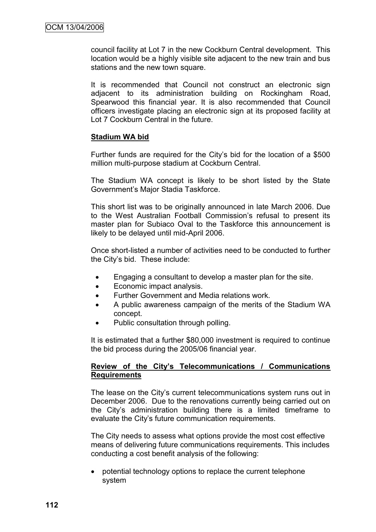council facility at Lot 7 in the new Cockburn Central development. This location would be a highly visible site adjacent to the new train and bus stations and the new town square.

It is recommended that Council not construct an electronic sign adjacent to its administration building on Rockingham Road, Spearwood this financial year. It is also recommended that Council officers investigate placing an electronic sign at its proposed facility at Lot 7 Cockburn Central in the future.

#### **Stadium WA bid**

Further funds are required for the City"s bid for the location of a \$500 million multi-purpose stadium at Cockburn Central.

The Stadium WA concept is likely to be short listed by the State Government"s Major Stadia Taskforce.

This short list was to be originally announced in late March 2006. Due to the West Australian Football Commission"s refusal to present its master plan for Subiaco Oval to the Taskforce this announcement is likely to be delayed until mid-April 2006.

Once short-listed a number of activities need to be conducted to further the City"s bid. These include:

- Engaging a consultant to develop a master plan for the site.
- Economic impact analysis.
- Further Government and Media relations work.
- A public awareness campaign of the merits of the Stadium WA concept.
- Public consultation through polling.

It is estimated that a further \$80,000 investment is required to continue the bid process during the 2005/06 financial year.

#### **Review of the City's Telecommunications / Communications Requirements**

The lease on the City"s current telecommunications system runs out in December 2006. Due to the renovations currently being carried out on the City"s administration building there is a limited timeframe to evaluate the City"s future communication requirements.

The City needs to assess what options provide the most cost effective means of delivering future communications requirements. This includes conducting a cost benefit analysis of the following:

 potential technology options to replace the current telephone system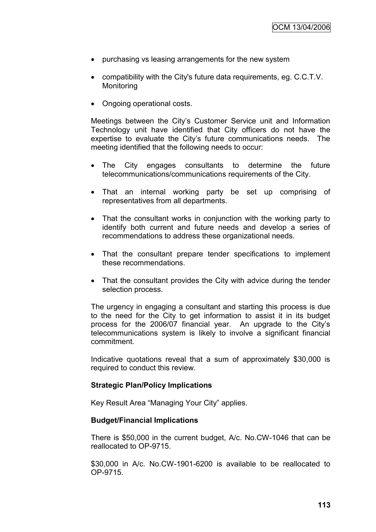- purchasing vs leasing arrangements for the new system
- compatibility with the City's future data requirements, eg. C.C.T.V. **Monitoring**
- Ongoing operational costs.

Meetings between the City"s Customer Service unit and Information Technology unit have identified that City officers do not have the expertise to evaluate the City"s future communications needs. The meeting identified that the following needs to occur:

- The City engages consultants to determine the future telecommunications/communications requirements of the City.
- That an internal working party be set up comprising of representatives from all departments.
- That the consultant works in conjunction with the working party to identify both current and future needs and develop a series of recommendations to address these organizational needs.
- That the consultant prepare tender specifications to implement these recommendations.
- That the consultant provides the City with advice during the tender selection process.

The urgency in engaging a consultant and starting this process is due to the need for the City to get information to assist it in its budget process for the 2006/07 financial year. An upgrade to the City"s telecommunications system is likely to involve a significant financial commitment.

Indicative quotations reveal that a sum of approximately \$30,000 is required to conduct this review.

#### **Strategic Plan/Policy Implications**

Key Result Area "Managing Your City" applies.

#### **Budget/Financial Implications**

There is \$50,000 in the current budget, A/c. No.CW-1046 that can be reallocated to OP-9715.

\$30,000 in A/c. No.CW-1901-6200 is available to be reallocated to OP-9715.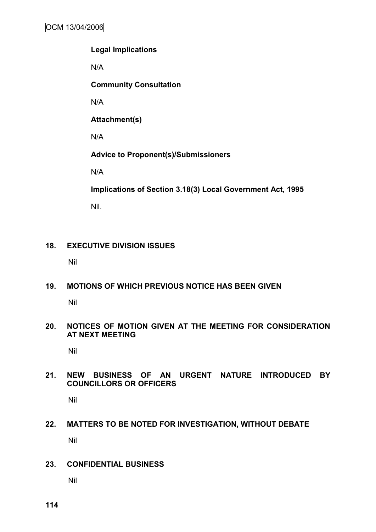## **Legal Implications**

N/A

**Community Consultation**

N/A

**Attachment(s)**

N/A

**Advice to Proponent(s)/Submissioners**

N/A

**Implications of Section 3.18(3) Local Government Act, 1995**

Nil.

# **18. EXECUTIVE DIVISION ISSUES**

Nil

# **19. MOTIONS OF WHICH PREVIOUS NOTICE HAS BEEN GIVEN**

Nil

## **20. NOTICES OF MOTION GIVEN AT THE MEETING FOR CONSIDERATION AT NEXT MEETING**

Nil

# **21. NEW BUSINESS OF AN URGENT NATURE INTRODUCED BY COUNCILLORS OR OFFICERS**

Nil

# **22. MATTERS TO BE NOTED FOR INVESTIGATION, WITHOUT DEBATE** Nil

## **23. CONFIDENTIAL BUSINESS**

Nil